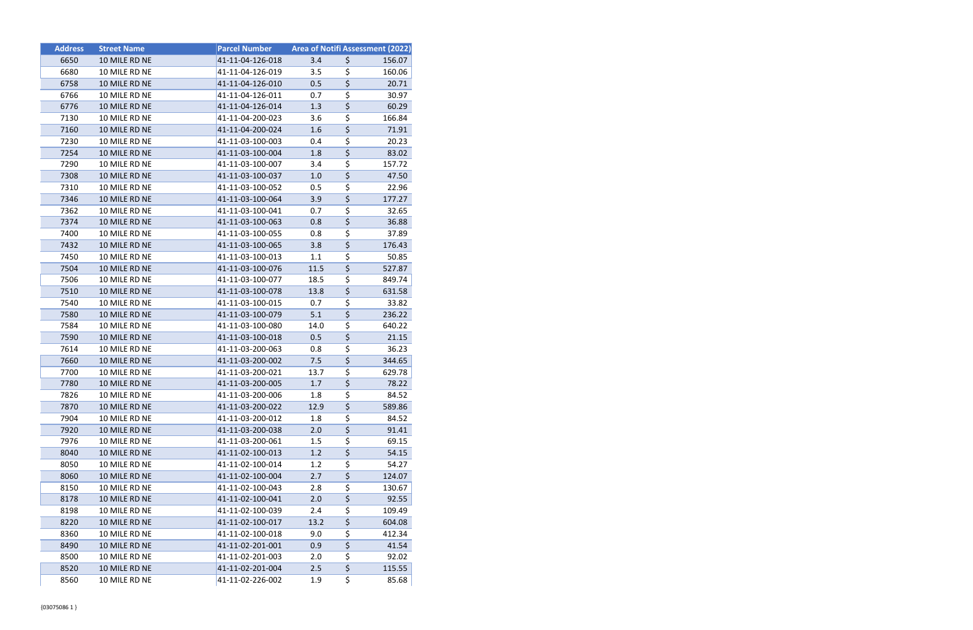| <b>Address</b> | <b>Street Name</b> | <b>Parcel Number</b> |      | <b>Area of Notifi Assessment (2022)</b> |
|----------------|--------------------|----------------------|------|-----------------------------------------|
| 6650           | 10 MILE RD NE      | 41-11-04-126-018     | 3.4  | \$<br>156.07                            |
| 6680           | 10 MILE RD NE      | 41-11-04-126-019     | 3.5  | \$<br>160.06                            |
| 6758           | 10 MILE RD NE      | 41-11-04-126-010     | 0.5  | \$<br>20.71                             |
| 6766           | 10 MILE RD NE      | 41-11-04-126-011     | 0.7  | \$<br>30.97                             |
| 6776           | 10 MILE RD NE      | 41-11-04-126-014     | 1.3  | \$<br>60.29                             |
| 7130           | 10 MILE RD NE      | 41-11-04-200-023     | 3.6  | \$<br>166.84                            |
| 7160           | 10 MILE RD NE      | 41-11-04-200-024     | 1.6  | \$<br>71.91                             |
| 7230           | 10 MILE RD NE      | 41-11-03-100-003     | 0.4  | \$<br>20.23                             |
| 7254           | 10 MILE RD NE      | 41-11-03-100-004     | 1.8  | \$<br>83.02                             |
| 7290           | 10 MILE RD NE      | 41-11-03-100-007     | 3.4  | \$<br>157.72                            |
| 7308           | 10 MILE RD NE      | 41-11-03-100-037     | 1.0  | \$<br>47.50                             |
| 7310           | 10 MILE RD NE      | 41-11-03-100-052     | 0.5  | \$<br>22.96                             |
| 7346           | 10 MILE RD NE      | 41-11-03-100-064     | 3.9  | \$<br>177.27                            |
| 7362           | 10 MILE RD NE      | 41-11-03-100-041     | 0.7  | \$<br>32.65                             |
| 7374           | 10 MILE RD NE      | 41-11-03-100-063     | 0.8  | \$<br>36.88                             |
| 7400           | 10 MILE RD NE      | 41-11-03-100-055     | 0.8  | \$<br>37.89                             |
| 7432           | 10 MILE RD NE      | 41-11-03-100-065     | 3.8  | \$<br>176.43                            |
| 7450           | 10 MILE RD NE      | 41-11-03-100-013     | 1.1  | \$<br>50.85                             |
| 7504           | 10 MILE RD NE      | 41-11-03-100-076     | 11.5 | \$<br>527.87                            |
| 7506           | 10 MILE RD NE      | 41-11-03-100-077     | 18.5 | \$<br>849.74                            |
| 7510           | 10 MILE RD NE      | 41-11-03-100-078     | 13.8 | \$<br>631.58                            |
| 7540           | 10 MILE RD NE      | 41-11-03-100-015     | 0.7  | \$<br>33.82                             |
| 7580           | 10 MILE RD NE      | 41-11-03-100-079     | 5.1  | \$<br>236.22                            |
| 7584           | 10 MILE RD NE      | 41-11-03-100-080     | 14.0 | \$<br>640.22                            |
| 7590           | 10 MILE RD NE      | 41-11-03-100-018     | 0.5  | \$<br>21.15                             |
| 7614           | 10 MILE RD NE      | 41-11-03-200-063     | 0.8  | \$<br>36.23                             |
| 7660           | 10 MILE RD NE      | 41-11-03-200-002     | 7.5  | \$<br>344.65                            |
| 7700           | 10 MILE RD NE      | 41-11-03-200-021     | 13.7 | \$<br>629.78                            |
| 7780           | 10 MILE RD NE      | 41-11-03-200-005     | 1.7  | \$<br>78.22                             |
| 7826           | 10 MILE RD NE      | 41-11-03-200-006     | 1.8  | \$<br>84.52                             |
| 7870           | 10 MILE RD NE      | 41-11-03-200-022     | 12.9 | \$<br>589.86                            |
| 7904           | 10 MILE RD NE      | 41-11-03-200-012     | 1.8  | \$<br>84.52                             |
| 7920           | 10 MILE RD NE      | 41-11-03-200-038     | 2.0  | \$<br>91.41                             |
| 7976           | 10 MILE RD NE      | 41-11-03-200-061     | 1.5  | \$<br>69.15                             |
| 8040           | 10 MILE RD NE      | 41-11-02-100-013     | 1.2  | \$<br>54.15                             |
| 8050           | 10 MILE RD NE      | 41-11-02-100-014     | 1.2  | \$<br>54.27                             |
| 8060           | 10 MILE RD NE      | 41-11-02-100-004     | 2.7  | \$<br>124.07                            |
| 8150           | 10 MILE RD NE      | 41-11-02-100-043     | 2.8  | \$<br>130.67                            |
| 8178           | 10 MILE RD NE      | 41-11-02-100-041     | 2.0  | \$<br>92.55                             |
| 8198           | 10 MILE RD NE      | 41-11-02-100-039     | 2.4  | \$<br>109.49                            |
| 8220           | 10 MILE RD NE      | 41-11-02-100-017     | 13.2 | \$<br>604.08                            |
| 8360           | 10 MILE RD NE      | 41-11-02-100-018     | 9.0  | \$<br>412.34                            |
| 8490           | 10 MILE RD NE      | 41-11-02-201-001     | 0.9  | \$<br>41.54                             |
| 8500           | 10 MILE RD NE      | 41-11-02-201-003     | 2.0  | \$<br>92.02                             |
| 8520           | 10 MILE RD NE      | 41-11-02-201-004     | 2.5  | \$<br>115.55                            |
| 8560           | 10 MILE RD NE      | 41-11-02-226-002     | 1.9  | \$<br>85.68                             |
|                |                    |                      |      |                                         |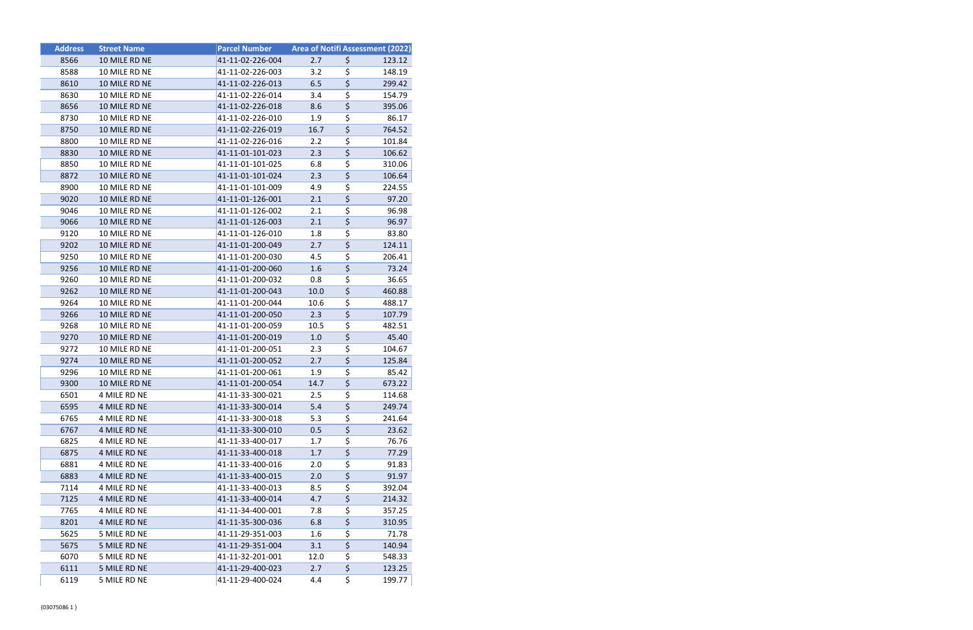| <b>Address</b> | <b>Street Name</b> | <b>Parcel Number</b> |      |                                     | Area of Notifi Assessment (2022) |
|----------------|--------------------|----------------------|------|-------------------------------------|----------------------------------|
| 8566           | 10 MILE RD NE      | 41-11-02-226-004     | 2.7  | \$                                  | 123.12                           |
| 8588           | 10 MILE RD NE      | 41-11-02-226-003     | 3.2  | \$                                  | 148.19                           |
| 8610           | 10 MILE RD NE      | 41-11-02-226-013     | 6.5  | \$                                  | 299.42                           |
| 8630           | 10 MILE RD NE      | 41-11-02-226-014     | 3.4  | \$                                  | 154.79                           |
| 8656           | 10 MILE RD NE      | 41-11-02-226-018     | 8.6  | \$                                  | 395.06                           |
| 8730           | 10 MILE RD NE      | 41-11-02-226-010     | 1.9  | \$                                  | 86.17                            |
| 8750           | 10 MILE RD NE      | 41-11-02-226-019     | 16.7 | \$                                  | 764.52                           |
| 8800           | 10 MILE RD NE      | 41-11-02-226-016     | 2.2  | \$                                  | 101.84                           |
| 8830           | 10 MILE RD NE      | 41-11-01-101-023     | 2.3  | \$                                  | 106.62                           |
| 8850           | 10 MILE RD NE      | 41-11-01-101-025     | 6.8  | \$                                  | 310.06                           |
| 8872           | 10 MILE RD NE      | 41-11-01-101-024     | 2.3  | \$                                  | 106.64                           |
| 8900           | 10 MILE RD NE      | 41-11-01-101-009     | 4.9  | \$                                  | 224.55                           |
| 9020           | 10 MILE RD NE      | 41-11-01-126-001     | 2.1  | \$                                  | 97.20                            |
| 9046           | 10 MILE RD NE      | 41-11-01-126-002     | 2.1  | \$                                  | 96.98                            |
| 9066           | 10 MILE RD NE      | 41-11-01-126-003     | 2.1  | \$                                  | 96.97                            |
| 9120           | 10 MILE RD NE      | 41-11-01-126-010     | 1.8  | \$                                  | 83.80                            |
| 9202           | 10 MILE RD NE      | 41-11-01-200-049     | 2.7  | \$                                  | 124.11                           |
| 9250           | 10 MILE RD NE      | 41-11-01-200-030     | 4.5  | \$                                  | 206.41                           |
| 9256           | 10 MILE RD NE      | 41-11-01-200-060     | 1.6  | \$                                  | 73.24                            |
| 9260           | 10 MILE RD NE      | 41-11-01-200-032     | 0.8  | \$                                  | 36.65                            |
| 9262           | 10 MILE RD NE      | 41-11-01-200-043     | 10.0 | \$                                  | 460.88                           |
| 9264           | 10 MILE RD NE      | 41-11-01-200-044     | 10.6 | \$                                  | 488.17                           |
| 9266           | 10 MILE RD NE      | 41-11-01-200-050     | 2.3  | \$                                  | 107.79                           |
| 9268           | 10 MILE RD NE      | 41-11-01-200-059     | 10.5 | \$                                  | 482.51                           |
| 9270           | 10 MILE RD NE      | 41-11-01-200-019     | 1.0  | \$                                  | 45.40                            |
| 9272           | 10 MILE RD NE      | 41-11-01-200-051     | 2.3  | \$                                  | 104.67                           |
| 9274           | 10 MILE RD NE      | 41-11-01-200-052     | 2.7  | \$                                  | 125.84                           |
| 9296           | 10 MILE RD NE      | 41-11-01-200-061     | 1.9  | \$                                  | 85.42                            |
| 9300           | 10 MILE RD NE      | 41-11-01-200-054     | 14.7 | \$                                  | 673.22                           |
| 6501           | 4 MILE RD NE       | 41-11-33-300-021     | 2.5  | \$                                  | 114.68                           |
| 6595           | 4 MILE RD NE       | 41-11-33-300-014     | 5.4  | \$                                  | 249.74                           |
| 6765           | 4 MILE RD NE       | 41-11-33-300-018     | 5.3  | \$                                  | 241.64                           |
| 6767           | 4 MILE RD NE       | 41-11-33-300-010     | 0.5  | \$                                  | 23.62                            |
| 6825           | 4 MILE RD NE       | 41-11-33-400-017     | 1.7  | $\overline{\boldsymbol{\varsigma}}$ | 76.76                            |
| 6875           | 4 MILE RD NE       | 41-11-33-400-018     | 1.7  | \$                                  | 77.29                            |
| 6881           | 4 MILE RD NE       | 41-11-33-400-016     | 2.0  | \$                                  | 91.83                            |
| 6883           | 4 MILE RD NE       | 41-11-33-400-015     | 2.0  | \$                                  | 91.97                            |
| 7114           | 4 MILE RD NE       | 41-11-33-400-013     | 8.5  | \$                                  | 392.04                           |
| 7125           | 4 MILE RD NE       | 41-11-33-400-014     | 4.7  | \$                                  | 214.32                           |
| 7765           | 4 MILE RD NE       | 41-11-34-400-001     | 7.8  | \$                                  | 357.25                           |
| 8201           | 4 MILE RD NE       | 41-11-35-300-036     | 6.8  | \$                                  | 310.95                           |
| 5625           | 5 MILE RD NE       | 41-11-29-351-003     | 1.6  | \$                                  | 71.78                            |
| 5675           | 5 MILE RD NE       | 41-11-29-351-004     | 3.1  | \$                                  | 140.94                           |
| 6070           | 5 MILE RD NE       | 41-11-32-201-001     | 12.0 | \$                                  | 548.33                           |
| 6111           | 5 MILE RD NE       | 41-11-29-400-023     | 2.7  | \$                                  | 123.25                           |
| 6119           | 5 MILE RD NE       | 41-11-29-400-024     | 4.4  | \$                                  | 199.77                           |
|                |                    |                      |      |                                     |                                  |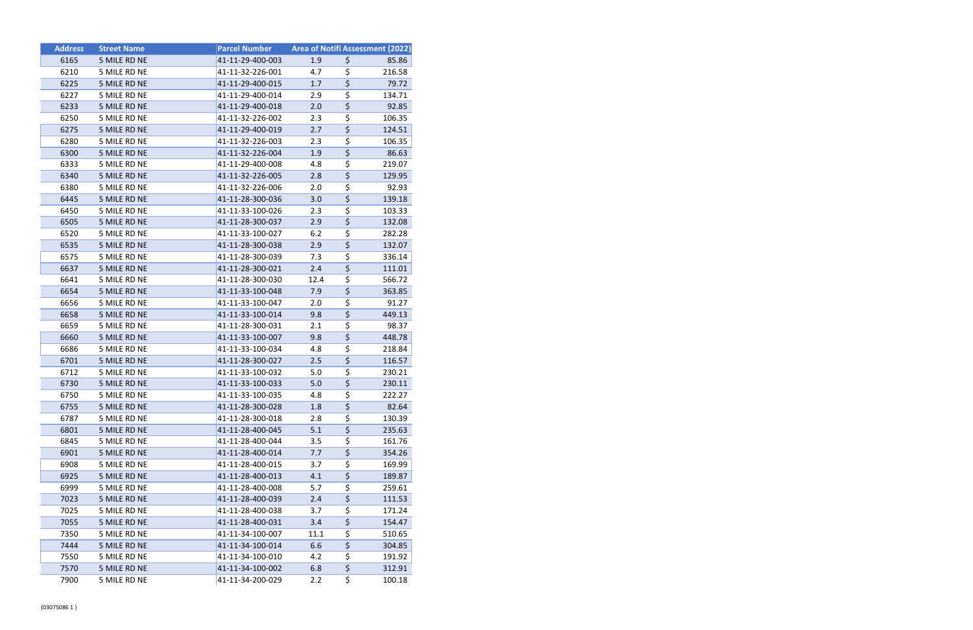| <b>Address</b> | <b>Street Name</b> | <b>Parcel Number</b> | <b>Area of Notifi Assessment (2022)</b> |                                     |        |
|----------------|--------------------|----------------------|-----------------------------------------|-------------------------------------|--------|
| 6165           | 5 MILE RD NE       | 41-11-29-400-003     | 1.9                                     | \$                                  | 85.86  |
| 6210           | 5 MILE RD NE       | 41-11-32-226-001     | 4.7                                     | $\overline{\boldsymbol{\zeta}}$     | 216.58 |
| 6225           | 5 MILE RD NE       | 41-11-29-400-015     | 1.7                                     | $\overline{\xi}$                    | 79.72  |
| 6227           | 5 MILE RD NE       | 41-11-29-400-014     | 2.9                                     | \$                                  | 134.71 |
| 6233           | 5 MILE RD NE       | 41-11-29-400-018     | 2.0                                     | $\overline{\varsigma}$              | 92.85  |
| 6250           | 5 MILE RD NE       | 41-11-32-226-002     | 2.3                                     | \$                                  | 106.35 |
| 6275           | 5 MILE RD NE       | 41-11-29-400-019     | 2.7                                     | $\overline{\xi}$                    | 124.51 |
| 6280           | 5 MILE RD NE       | 41-11-32-226-003     | 2.3                                     | \$                                  | 106.35 |
| 6300           | 5 MILE RD NE       | 41-11-32-226-004     | 1.9                                     | \$                                  | 86.63  |
| 6333           | 5 MILE RD NE       | 41-11-29-400-008     | 4.8                                     | $\overline{\boldsymbol{\zeta}}$     | 219.07 |
| 6340           | 5 MILE RD NE       | 41-11-32-226-005     | 2.8                                     | \$                                  | 129.95 |
| 6380           | 5 MILE RD NE       | 41-11-32-226-006     | 2.0                                     | $\overline{\boldsymbol{\zeta}}$     | 92.93  |
| 6445           | 5 MILE RD NE       | 41-11-28-300-036     | 3.0                                     | $\overline{\xi}$                    | 139.18 |
| 6450           | 5 MILE RD NE       | 41-11-33-100-026     | 2.3                                     | \$                                  | 103.33 |
| 6505           | 5 MILE RD NE       | 41-11-28-300-037     | 2.9                                     | $\overline{\xi}$                    | 132.08 |
| 6520           | 5 MILE RD NE       | 41-11-33-100-027     | 6.2                                     | $\overline{\boldsymbol{\zeta}}$     | 282.28 |
| 6535           | 5 MILE RD NE       | 41-11-28-300-038     | 2.9                                     | $\overline{\varsigma}$              | 132.07 |
| 6575           | 5 MILE RD NE       | 41-11-28-300-039     | 7.3                                     | $\overline{\boldsymbol{\zeta}}$     | 336.14 |
| 6637           | 5 MILE RD NE       | 41-11-28-300-021     | 2.4                                     | $\overline{\boldsymbol{\zeta}}$     | 111.01 |
| 6641           | 5 MILE RD NE       | 41-11-28-300-030     | 12.4                                    | \$                                  | 566.72 |
| 6654           | 5 MILE RD NE       | 41-11-33-100-048     | 7.9                                     | \$                                  | 363.85 |
| 6656           | 5 MILE RD NE       | 41-11-33-100-047     | 2.0                                     | $\overline{\boldsymbol{\zeta}}$     | 91.27  |
| 6658           | 5 MILE RD NE       | 41-11-33-100-014     | 9.8                                     | \$                                  | 449.13 |
| 6659           | 5 MILE RD NE       | 41-11-28-300-031     | 2.1                                     | $\overline{\boldsymbol{\zeta}}$     | 98.37  |
| 6660           | 5 MILE RD NE       | 41-11-33-100-007     | 9.8                                     | \$                                  | 448.78 |
| 6686           | 5 MILE RD NE       | 41-11-33-100-034     | 4.8                                     | \$                                  | 218.84 |
| 6701           | 5 MILE RD NE       | 41-11-28-300-027     | 2.5                                     | $\overline{\xi}$                    | 116.57 |
| 6712           | 5 MILE RD NE       | 41-11-33-100-032     | 5.0                                     | $\overline{\boldsymbol{\zeta}}$     | 230.21 |
| 6730           | 5 MILE RD NE       | 41-11-33-100-033     | 5.0                                     | $\overline{\boldsymbol{\zeta}}$     | 230.11 |
| 6750           | 5 MILE RD NE       | 41-11-33-100-035     | 4.8                                     | \$                                  | 222.27 |
| 6755           | 5 MILE RD NE       | 41-11-28-300-028     | 1.8                                     | \$                                  | 82.64  |
| 6787           | 5 MILE RD NE       | 41-11-28-300-018     | 2.8                                     | \$                                  | 130.39 |
| 6801           | 5 MILE RD NE       | 41-11-28-400-045     | 5.1                                     | $\overline{\xi}$                    | 235.63 |
| 6845           | 5 MILE RD NE       | 41-11-28-400-044     | 3.5                                     | $\overline{\boldsymbol{\zeta}}$     | 161.76 |
| 6901           | 5 MILE RD NE       | 41-11-28-400-014     | 7.7                                     | $\overline{\boldsymbol{\varsigma}}$ | 354.26 |
| 6908           | 5 MILE RD NE       | 41-11-28-400-015     | 3.7                                     | \$                                  | 169.99 |
| 6925           | 5 MILE RD NE       | 41-11-28-400-013     | 4.1                                     | $\overline{\boldsymbol{\zeta}}$     | 189.87 |
| 6999           | 5 MILE RD NE       | 41-11-28-400-008     | 5.7                                     | $\overline{\boldsymbol{\zeta}}$     | 259.61 |
| 7023           | 5 MILE RD NE       | 41-11-28-400-039     | 2.4                                     | $\overline{\xi}$                    | 111.53 |
| 7025           | 5 MILE RD NE       | 41-11-28-400-038     | 3.7                                     | $\overline{\boldsymbol{\zeta}}$     | 171.24 |
| 7055           | 5 MILE RD NE       | 41-11-28-400-031     | 3.4                                     | \$                                  | 154.47 |
| 7350           | 5 MILE RD NE       | 41-11-34-100-007     | 11.1                                    | \$                                  | 510.65 |
| 7444           | 5 MILE RD NE       | 41-11-34-100-014     | 6.6                                     | $\overline{\boldsymbol{\zeta}}$     | 304.85 |
| 7550           | 5 MILE RD NE       | 41-11-34-100-010     | 4.2                                     | $\overline{\boldsymbol{\zeta}}$     | 191.92 |
| 7570           | 5 MILE RD NE       | 41-11-34-100-002     | 6.8                                     | $\overline{\boldsymbol{\varsigma}}$ | 312.91 |
| 7900           | 5 MILE RD NE       | 41-11-34-200-029     | 2.2                                     | \$                                  | 100.18 |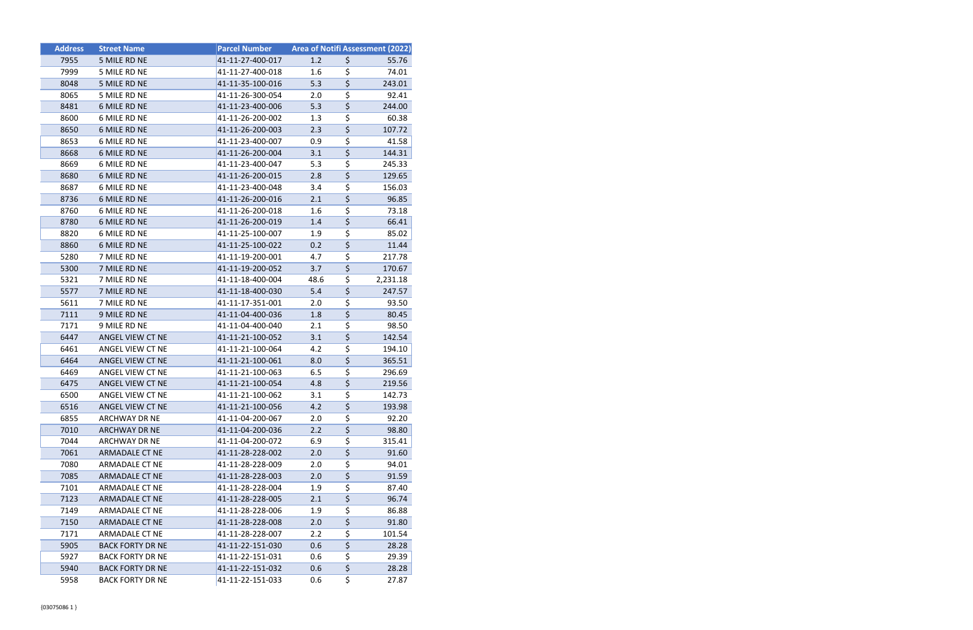| <b>Address</b> | <b>Street Name</b>      | <b>Parcel Number</b> |      | Area of Notifi Assessment (2022)    |          |
|----------------|-------------------------|----------------------|------|-------------------------------------|----------|
| 7955           | 5 MILE RD NE            | 41-11-27-400-017     | 1.2  | \$                                  | 55.76    |
| 7999           | 5 MILE RD NE            | 41-11-27-400-018     | 1.6  | \$                                  | 74.01    |
| 8048           | 5 MILE RD NE            | 41-11-35-100-016     | 5.3  | $\overline{\xi}$                    | 243.01   |
| 8065           | 5 MILE RD NE            | 41-11-26-300-054     | 2.0  | \$                                  | 92.41    |
| 8481           | 6 MILE RD NE            | 41-11-23-400-006     | 5.3  | \$                                  | 244.00   |
| 8600           | 6 MILE RD NE            | 41-11-26-200-002     | 1.3  | \$                                  | 60.38    |
| 8650           | 6 MILE RD NE            | 41-11-26-200-003     | 2.3  | $\overline{\boldsymbol{\zeta}}$     | 107.72   |
| 8653           | 6 MILE RD NE            | 41-11-23-400-007     | 0.9  | \$                                  | 41.58    |
| 8668           | 6 MILE RD NE            | 41-11-26-200-004     | 3.1  | $\overline{\boldsymbol{\varsigma}}$ | 144.31   |
| 8669           | 6 MILE RD NE            | 41-11-23-400-047     | 5.3  | \$                                  | 245.33   |
| 8680           | 6 MILE RD NE            | 41-11-26-200-015     | 2.8  | \$                                  | 129.65   |
| 8687           | 6 MILE RD NE            | 41-11-23-400-048     | 3.4  | \$                                  | 156.03   |
| 8736           | 6 MILE RD NE            | 41-11-26-200-016     | 2.1  | $\overline{\boldsymbol{\zeta}}$     | 96.85    |
| 8760           | 6 MILE RD NE            | 41-11-26-200-018     | 1.6  | \$                                  | 73.18    |
| 8780           | 6 MILE RD NE            | 41-11-26-200-019     | 1.4  | \$                                  | 66.41    |
| 8820           | 6 MILE RD NE            | 41-11-25-100-007     | 1.9  | \$                                  | 85.02    |
| 8860           | 6 MILE RD NE            | 41-11-25-100-022     | 0.2  | $\overline{\xi}$                    | 11.44    |
| 5280           | 7 MILE RD NE            | 41-11-19-200-001     | 4.7  | \$                                  | 217.78   |
| 5300           | 7 MILE RD NE            | 41-11-19-200-052     | 3.7  | $\overline{\boldsymbol{\zeta}}$     | 170.67   |
| 5321           | 7 MILE RD NE            | 41-11-18-400-004     | 48.6 | \$                                  | 2,231.18 |
| 5577           | 7 MILE RD NE            | 41-11-18-400-030     | 5.4  | $\overline{\boldsymbol{\zeta}}$     | 247.57   |
| 5611           | 7 MILE RD NE            | 41-11-17-351-001     | 2.0  | \$                                  | 93.50    |
| 7111           | 9 MILE RD NE            | 41-11-04-400-036     | 1.8  | \$                                  | 80.45    |
| 7171           | 9 MILE RD NE            | 41-11-04-400-040     | 2.1  | \$                                  | 98.50    |
| 6447           | ANGEL VIEW CT NE        | 41-11-21-100-052     | 3.1  | $\overline{\boldsymbol{\zeta}}$     | 142.54   |
| 6461           | ANGEL VIEW CT NE        | 41-11-21-100-064     | 4.2  | \$                                  | 194.10   |
| 6464           | ANGEL VIEW CT NE        | 41-11-21-100-061     | 8.0  | $\overline{\boldsymbol{\zeta}}$     | 365.51   |
| 6469           | ANGEL VIEW CT NE        | 41-11-21-100-063     | 6.5  | \$                                  | 296.69   |
| 6475           | ANGEL VIEW CT NE        | 41-11-21-100-054     | 4.8  | $\overline{\boldsymbol{\zeta}}$     | 219.56   |
| 6500           | ANGEL VIEW CT NE        | 41-11-21-100-062     | 3.1  | \$                                  | 142.73   |
| 6516           | ANGEL VIEW CT NE        | 41-11-21-100-056     | 4.2  | \$                                  | 193.98   |
| 6855           | <b>ARCHWAY DR NE</b>    | 41-11-04-200-067     | 2.0  | \$                                  | 92.20    |
| 7010           | <b>ARCHWAY DR NE</b>    | 41-11-04-200-036     | 2.2  | \$                                  | 98.80    |
| 7044           | ARCHWAY DR NE           | 41-11-04-200-072     | 6.9  | \$                                  | 315.41   |
| 7061           | <b>ARMADALE CT NE</b>   | 41-11-28-228-002     | 2.0  | \$                                  | 91.60    |
| 7080           | ARMADALE CT NE          | 41-11-28-228-009     | 2.0  | \$                                  | 94.01    |
| 7085           | <b>ARMADALE CT NE</b>   | 41-11-28-228-003     | 2.0  | \$                                  | 91.59    |
| 7101           | ARMADALE CT NE          | 41-11-28-228-004     | 1.9  | \$                                  | 87.40    |
| 7123           | <b>ARMADALE CT NE</b>   | 41-11-28-228-005     | 2.1  | $\overline{\boldsymbol{\varsigma}}$ | 96.74    |
| 7149           | ARMADALE CT NE          | 41-11-28-228-006     | 1.9  | \$                                  | 86.88    |
| 7150           | <b>ARMADALE CT NE</b>   | 41-11-28-228-008     | 2.0  | \$                                  | 91.80    |
| 7171           | ARMADALE CT NE          | 41-11-28-228-007     | 2.2  | \$                                  | 101.54   |
| 5905           | <b>BACK FORTY DR NE</b> | 41-11-22-151-030     | 0.6  | \$                                  | 28.28    |
| 5927           | <b>BACK FORTY DR NE</b> | 41-11-22-151-031     | 0.6  | \$                                  | 29.39    |
| 5940           | <b>BACK FORTY DR NE</b> | 41-11-22-151-032     | 0.6  | $\overline{\boldsymbol{\varsigma}}$ | 28.28    |
| 5958           | <b>BACK FORTY DR NE</b> | 41-11-22-151-033     | 0.6  | \$                                  | 27.87    |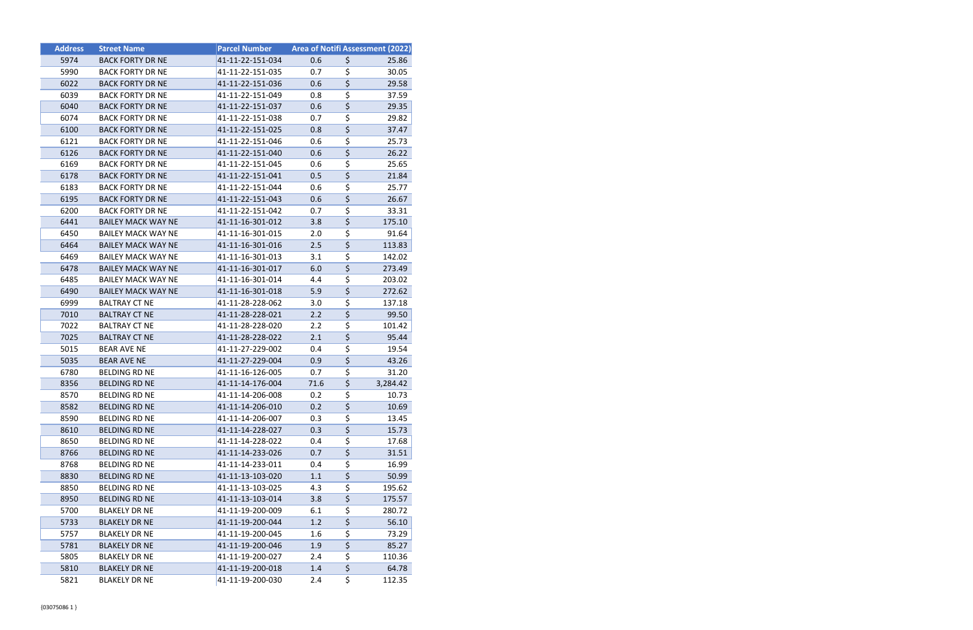| <b>Address</b> | <b>Street Name</b>        | <b>Parcel Number</b> | <b>Area of Notifi Assessment (2022)</b> |                                     |          |
|----------------|---------------------------|----------------------|-----------------------------------------|-------------------------------------|----------|
| 5974           | <b>BACK FORTY DR NE</b>   | 41-11-22-151-034     | 0.6                                     | \$                                  | 25.86    |
| 5990           | <b>BACK FORTY DR NE</b>   | 41-11-22-151-035     | 0.7                                     | \$                                  | 30.05    |
| 6022           | <b>BACK FORTY DR NE</b>   | 41-11-22-151-036     | 0.6                                     | $\overline{\boldsymbol{\zeta}}$     | 29.58    |
| 6039           | <b>BACK FORTY DR NE</b>   | 41-11-22-151-049     | 0.8                                     | \$                                  | 37.59    |
| 6040           | <b>BACK FORTY DR NE</b>   | 41-11-22-151-037     | 0.6                                     | $\overline{\boldsymbol{\zeta}}$     | 29.35    |
| 6074           | <b>BACK FORTY DR NE</b>   | 41-11-22-151-038     | 0.7                                     | \$                                  | 29.82    |
| 6100           | <b>BACK FORTY DR NE</b>   | 41-11-22-151-025     | 0.8                                     | \$                                  | 37.47    |
| 6121           | <b>BACK FORTY DR NE</b>   | 41-11-22-151-046     | 0.6                                     | \$                                  | 25.73    |
| 6126           | <b>BACK FORTY DR NE</b>   | 41-11-22-151-040     | 0.6                                     | $\overline{\boldsymbol{\zeta}}$     | 26.22    |
| 6169           | <b>BACK FORTY DR NE</b>   | 41-11-22-151-045     | 0.6                                     | $\overline{\boldsymbol{\zeta}}$     | 25.65    |
| 6178           | <b>BACK FORTY DR NE</b>   | 41-11-22-151-041     | 0.5                                     | \$                                  | 21.84    |
| 6183           | <b>BACK FORTY DR NE</b>   | 41-11-22-151-044     | 0.6                                     | \$                                  | 25.77    |
| 6195           | <b>BACK FORTY DR NE</b>   | 41-11-22-151-043     | 0.6                                     | $\overline{\boldsymbol{\zeta}}$     | 26.67    |
| 6200           | <b>BACK FORTY DR NE</b>   | 41-11-22-151-042     | 0.7                                     | \$                                  | 33.31    |
| 6441           | <b>BAILEY MACK WAY NE</b> | 41-11-16-301-012     | 3.8                                     | $\overline{\boldsymbol{\zeta}}$     | 175.10   |
| 6450           | <b>BAILEY MACK WAY NE</b> | 41-11-16-301-015     | 2.0                                     | $\overline{\boldsymbol{\zeta}}$     | 91.64    |
| 6464           | <b>BAILEY MACK WAY NE</b> | 41-11-16-301-016     | 2.5                                     | $\overline{\boldsymbol{\varsigma}}$ | 113.83   |
| 6469           | <b>BAILEY MACK WAY NE</b> | 41-11-16-301-013     | 3.1                                     | \$                                  | 142.02   |
| 6478           | <b>BAILEY MACK WAY NE</b> | 41-11-16-301-017     | 6.0                                     | \$                                  | 273.49   |
| 6485           | <b>BAILEY MACK WAY NE</b> | 41-11-16-301-014     | 4.4                                     | \$                                  | 203.02   |
| 6490           | <b>BAILEY MACK WAY NE</b> | 41-11-16-301-018     | 5.9                                     | $\overline{\varsigma}$              | 272.62   |
| 6999           | <b>BALTRAY CT NE</b>      | 41-11-28-228-062     | 3.0                                     | \$                                  | 137.18   |
| 7010           | <b>BALTRAY CT NE</b>      | 41-11-28-228-021     | 2.2                                     | $\overline{\xi}$                    | 99.50    |
| 7022           | <b>BALTRAY CT NE</b>      | 41-11-28-228-020     | 2.2                                     | \$                                  | 101.42   |
| 7025           | <b>BALTRAY CT NE</b>      | 41-11-28-228-022     | 2.1                                     | $\overline{\boldsymbol{\varsigma}}$ | 95.44    |
| 5015           | <b>BEAR AVE NE</b>        | 41-11-27-229-002     | 0.4                                     | \$                                  | 19.54    |
| 5035           | <b>BEAR AVE NE</b>        | 41-11-27-229-004     | 0.9                                     | $\overline{\boldsymbol{\zeta}}$     | 43.26    |
| 6780           | <b>BELDING RD NE</b>      | 41-11-16-126-005     | 0.7                                     | \$                                  | 31.20    |
| 8356           | <b>BELDING RD NE</b>      | 41-11-14-176-004     | 71.6                                    | $\overline{\boldsymbol{\varsigma}}$ | 3,284.42 |
| 8570           | <b>BELDING RD NE</b>      | 41-11-14-206-008     | 0.2                                     | \$                                  | 10.73    |
| 8582           | <b>BELDING RD NE</b>      | 41-11-14-206-010     | 0.2                                     | \$                                  | 10.69    |
| 8590           | <b>BELDING RD NE</b>      | 41-11-14-206-007     | 0.3                                     | \$                                  | 13.45    |
| 8610           | <b>BELDING RD NE</b>      | 41-11-14-228-027     | 0.3                                     | $\overline{\xi}$                    | 15.73    |
| 8650           | <b>BELDING RD NE</b>      | 41-11-14-228-022     | 0.4                                     | $\overline{\boldsymbol{\zeta}}$     | 17.68    |
| 8766           | <b>BELDING RD NE</b>      | 41-11-14-233-026     | 0.7                                     | $\overline{\boldsymbol{\varsigma}}$ | 31.51    |
| 8768           | <b>BELDING RD NE</b>      | 41-11-14-233-011     | 0.4                                     | \$                                  | 16.99    |
| 8830           | <b>BELDING RD NE</b>      | 41-11-13-103-020     | 1.1                                     | $\overline{\boldsymbol{\varsigma}}$ | 50.99    |
| 8850           | <b>BELDING RD NE</b>      | 41-11-13-103-025     | 4.3                                     | \$                                  | 195.62   |
| 8950           | <b>BELDING RD NE</b>      | 41-11-13-103-014     | 3.8                                     | $\overline{\boldsymbol{\varsigma}}$ | 175.57   |
| 5700           | <b>BLAKELY DR NE</b>      | 41-11-19-200-009     | 6.1                                     | $\overline{\boldsymbol{\zeta}}$     | 280.72   |
| 5733           | <b>BLAKELY DR NE</b>      | 41-11-19-200-044     | 1.2                                     | \$                                  | 56.10    |
| 5757           | <b>BLAKELY DR NE</b>      | 41-11-19-200-045     | 1.6                                     | \$                                  | 73.29    |
| 5781           | <b>BLAKELY DR NE</b>      | 41-11-19-200-046     | 1.9                                     | $\overline{\boldsymbol{\zeta}}$     | 85.27    |
| 5805           | <b>BLAKELY DR NE</b>      | 41-11-19-200-027     | 2.4                                     | $\overline{\boldsymbol{\zeta}}$     | 110.36   |
| 5810           | <b>BLAKELY DR NE</b>      | 41-11-19-200-018     | 1.4                                     | $\overline{\boldsymbol{\zeta}}$     | 64.78    |
| 5821           | <b>BLAKELY DR NE</b>      | 41-11-19-200-030     | 2.4                                     | \$                                  | 112.35   |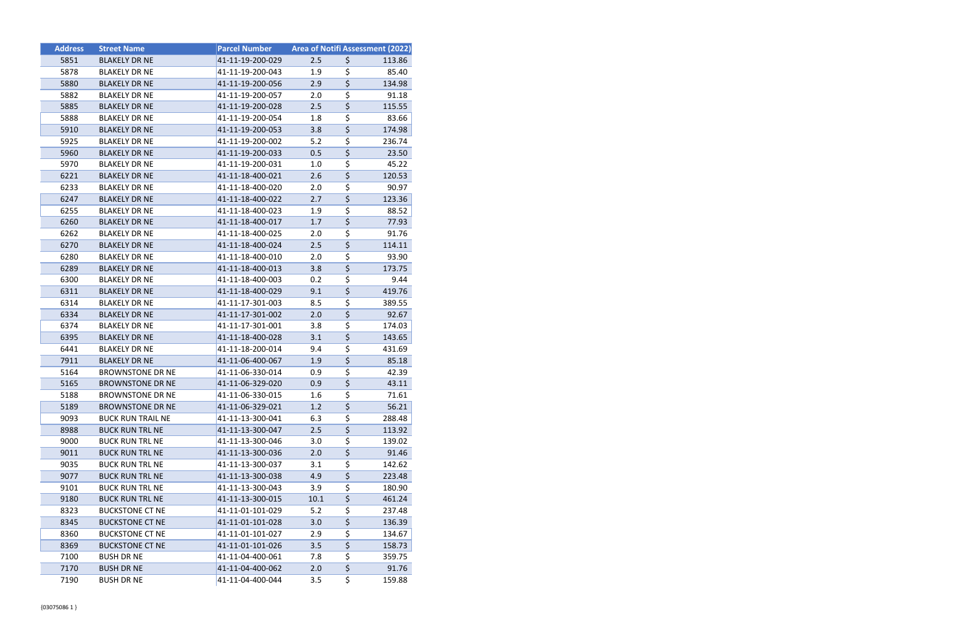| <b>Address</b> | <b>Street Name</b>       | <b>Parcel Number</b> | Area of Notifi Assessment (2022) |                                     |        |
|----------------|--------------------------|----------------------|----------------------------------|-------------------------------------|--------|
| 5851           | <b>BLAKELY DR NE</b>     | 41-11-19-200-029     | 2.5                              | \$                                  | 113.86 |
| 5878           | <b>BLAKELY DR NE</b>     | 41-11-19-200-043     | 1.9                              | \$                                  | 85.40  |
| 5880           | <b>BLAKELY DR NE</b>     | 41-11-19-200-056     | 2.9                              | $\overline{\boldsymbol{\zeta}}$     | 134.98 |
| 5882           | <b>BLAKELY DR NE</b>     | 41-11-19-200-057     | 2.0                              | \$                                  | 91.18  |
| 5885           | <b>BLAKELY DR NE</b>     | 41-11-19-200-028     | 2.5                              | \$                                  | 115.55 |
| 5888           | <b>BLAKELY DR NE</b>     | 41-11-19-200-054     | 1.8                              | \$                                  | 83.66  |
| 5910           | <b>BLAKELY DR NE</b>     | 41-11-19-200-053     | 3.8                              | \$                                  | 174.98 |
| 5925           | <b>BLAKELY DR NE</b>     | 41-11-19-200-002     | 5.2                              | \$                                  | 236.74 |
| 5960           | <b>BLAKELY DR NE</b>     | 41-11-19-200-033     | 0.5                              | \$                                  | 23.50  |
| 5970           | <b>BLAKELY DR NE</b>     | 41-11-19-200-031     | 1.0                              | \$                                  | 45.22  |
| 6221           | <b>BLAKELY DR NE</b>     | 41-11-18-400-021     | 2.6                              | $\overline{\boldsymbol{\zeta}}$     | 120.53 |
| 6233           | <b>BLAKELY DR NE</b>     | 41-11-18-400-020     | 2.0                              | \$                                  | 90.97  |
| 6247           | <b>BLAKELY DR NE</b>     | 41-11-18-400-022     | 2.7                              | $\overline{\boldsymbol{\varsigma}}$ | 123.36 |
| 6255           | <b>BLAKELY DR NE</b>     | 41-11-18-400-023     | 1.9                              | \$                                  | 88.52  |
| 6260           | <b>BLAKELY DR NE</b>     | 41-11-18-400-017     | 1.7                              | $\overline{\xi}$                    | 77.93  |
| 6262           | <b>BLAKELY DR NE</b>     | 41-11-18-400-025     | 2.0                              | $\overline{\boldsymbol{\zeta}}$     | 91.76  |
| 6270           | <b>BLAKELY DR NE</b>     | 41-11-18-400-024     | 2.5                              | $\overline{\boldsymbol{\zeta}}$     | 114.11 |
| 6280           | <b>BLAKELY DR NE</b>     | 41-11-18-400-010     | 2.0                              | \$                                  | 93.90  |
| 6289           | <b>BLAKELY DR NE</b>     | 41-11-18-400-013     | 3.8                              | \$                                  | 173.75 |
| 6300           | <b>BLAKELY DR NE</b>     | 41-11-18-400-003     | 0.2                              | \$                                  | 9.44   |
| 6311           | <b>BLAKELY DR NE</b>     | 41-11-18-400-029     | 9.1                              | \$                                  | 419.76 |
| 6314           | <b>BLAKELY DR NE</b>     | 41-11-17-301-003     | 8.5                              | \$                                  | 389.55 |
| 6334           | <b>BLAKELY DR NE</b>     | 41-11-17-301-002     | 2.0                              | $\overline{\boldsymbol{\zeta}}$     | 92.67  |
| 6374           | <b>BLAKELY DR NE</b>     | 41-11-17-301-001     | 3.8                              | \$                                  | 174.03 |
| 6395           | <b>BLAKELY DR NE</b>     | 41-11-18-400-028     | 3.1                              | $\overline{\boldsymbol{\zeta}}$     | 143.65 |
| 6441           | <b>BLAKELY DR NE</b>     | 41-11-18-200-014     | 9.4                              | \$                                  | 431.69 |
| 7911           | <b>BLAKELY DR NE</b>     | 41-11-06-400-067     | 1.9                              | $\overline{\boldsymbol{\zeta}}$     | 85.18  |
| 5164           | <b>BROWNSTONE DR NE</b>  | 41-11-06-330-014     | 0.9                              | \$                                  | 42.39  |
| 5165           | <b>BROWNSTONE DR NE</b>  | 41-11-06-329-020     | 0.9                              | $\overline{\boldsymbol{\zeta}}$     | 43.11  |
| 5188           | <b>BROWNSTONE DR NE</b>  | 41-11-06-330-015     | 1.6                              | $\overline{\boldsymbol{\zeta}}$     | 71.61  |
| 5189           | <b>BROWNSTONE DR NE</b>  | 41-11-06-329-021     | 1.2                              | \$                                  | 56.21  |
| 9093           | <b>BUCK RUN TRAIL NE</b> | 41-11-13-300-041     | 6.3                              | \$                                  | 288.48 |
| 8988           | <b>BUCK RUN TRL NE</b>   | 41-11-13-300-047     | 2.5                              | \$                                  | 113.92 |
| 9000           | <b>BUCK RUN TRL NE</b>   | 41-11-13-300-046     | 3.0                              | $\overline{\boldsymbol{\zeta}}$     | 139.02 |
| 9011           | <b>BUCK RUN TRL NE</b>   | 41-11-13-300-036     | 2.0                              | $\overline{\boldsymbol{\zeta}}$     | 91.46  |
| 9035           | <b>BUCK RUN TRL NE</b>   | 41-11-13-300-037     | 3.1                              | \$                                  | 142.62 |
| 9077           | <b>BUCK RUN TRL NE</b>   | 41-11-13-300-038     | 4.9                              | \$                                  | 223.48 |
| 9101           | <b>BUCK RUN TRL NE</b>   | 41-11-13-300-043     | 3.9                              | \$                                  | 180.90 |
| 9180           | <b>BUCK RUN TRL NE</b>   | 41-11-13-300-015     | 10.1                             | $\overline{\boldsymbol{\varsigma}}$ | 461.24 |
| 8323           | <b>BUCKSTONE CT NE</b>   | 41-11-01-101-029     | 5.2                              | \$                                  | 237.48 |
| 8345           | <b>BUCKSTONE CT NE</b>   | 41-11-01-101-028     | 3.0                              | $\overline{\boldsymbol{\zeta}}$     | 136.39 |
| 8360           | <b>BUCKSTONE CT NE</b>   | 41-11-01-101-027     | 2.9                              | \$                                  | 134.67 |
| 8369           | <b>BUCKSTONE CT NE</b>   | 41-11-01-101-026     | 3.5                              | \$                                  | 158.73 |
| 7100           | <b>BUSH DR NE</b>        | 41-11-04-400-061     | 7.8                              | $\overline{\boldsymbol{\zeta}}$     | 359.75 |
| 7170           | <b>BUSH DR NE</b>        | 41-11-04-400-062     | 2.0                              | \$                                  | 91.76  |
| 7190           | <b>BUSH DR NE</b>        | 41-11-04-400-044     | 3.5                              | \$                                  | 159.88 |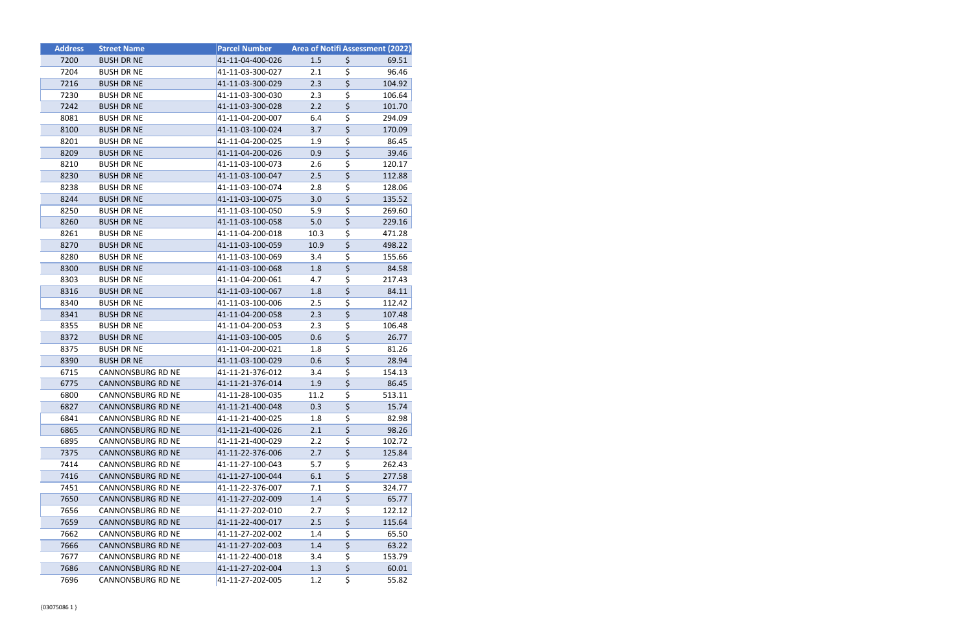| <b>Address</b> | <b>Street Name</b>       | <b>Parcel Number</b> | Area of Notifi Assessment (2022) |                                     |        |
|----------------|--------------------------|----------------------|----------------------------------|-------------------------------------|--------|
| 7200           | <b>BUSH DR NE</b>        | 41-11-04-400-026     | 1.5                              | \$                                  | 69.51  |
| 7204           | <b>BUSH DR NE</b>        | 41-11-03-300-027     | 2.1                              | \$                                  | 96.46  |
| 7216           | <b>BUSH DR NE</b>        | 41-11-03-300-029     | 2.3                              | $\overline{\xi}$                    | 104.92 |
| 7230           | <b>BUSH DR NE</b>        | 41-11-03-300-030     | 2.3                              | \$                                  | 106.64 |
| 7242           | <b>BUSH DR NE</b>        | 41-11-03-300-028     | 2.2                              | $\overline{\xi}$                    | 101.70 |
| 8081           | <b>BUSH DR NE</b>        | 41-11-04-200-007     | 6.4                              | \$                                  | 294.09 |
| 8100           | <b>BUSH DR NE</b>        | 41-11-03-100-024     | 3.7                              | $\overline{\boldsymbol{\zeta}}$     | 170.09 |
| 8201           | <b>BUSH DR NE</b>        | 41-11-04-200-025     | 1.9                              | \$                                  | 86.45  |
| 8209           | <b>BUSH DR NE</b>        | 41-11-04-200-026     | 0.9                              | \$                                  | 39.46  |
| 8210           | <b>BUSH DR NE</b>        | 41-11-03-100-073     | 2.6                              | \$                                  | 120.17 |
| 8230           | <b>BUSH DR NE</b>        | 41-11-03-100-047     | 2.5                              | $\overline{\xi}$                    | 112.88 |
| 8238           | <b>BUSH DR NE</b>        | 41-11-03-100-074     | 2.8                              | $\overline{\boldsymbol{\zeta}}$     | 128.06 |
| 8244           | <b>BUSH DR NE</b>        | 41-11-03-100-075     | 3.0                              | \$                                  | 135.52 |
| 8250           | <b>BUSH DR NE</b>        | 41-11-03-100-050     | 5.9                              | \$                                  | 269.60 |
| 8260           | <b>BUSH DR NE</b>        | 41-11-03-100-058     | 5.0                              | $\overline{\xi}$                    | 229.16 |
| 8261           | <b>BUSH DR NE</b>        | 41-11-04-200-018     | 10.3                             | $\overline{\xi}$                    | 471.28 |
| 8270           | <b>BUSH DR NE</b>        | 41-11-03-100-059     | 10.9                             | $\overline{\xi}$                    | 498.22 |
| 8280           | <b>BUSH DR NE</b>        | 41-11-03-100-069     | 3.4                              | \$                                  | 155.66 |
| 8300           | <b>BUSH DR NE</b>        | 41-11-03-100-068     | 1.8                              | $\overline{\boldsymbol{\zeta}}$     | 84.58  |
| 8303           | <b>BUSH DR NE</b>        | 41-11-04-200-061     | 4.7                              | \$                                  | 217.43 |
| 8316           | <b>BUSH DR NE</b>        | 41-11-03-100-067     | 1.8                              | $\overline{\xi}$                    | 84.11  |
| 8340           | <b>BUSH DR NE</b>        | 41-11-03-100-006     | 2.5                              | $\overline{\boldsymbol{\zeta}}$     | 112.42 |
| 8341           | <b>BUSH DR NE</b>        | 41-11-04-200-058     | 2.3                              | \$                                  | 107.48 |
| 8355           | <b>BUSH DR NE</b>        | 41-11-04-200-053     | 2.3                              | \$                                  | 106.48 |
| 8372           | <b>BUSH DR NE</b>        | 41-11-03-100-005     | 0.6                              | $\overline{\xi}$                    | 26.77  |
| 8375           | <b>BUSH DR NE</b>        | 41-11-04-200-021     | 1.8                              | \$                                  | 81.26  |
| 8390           | <b>BUSH DR NE</b>        | 41-11-03-100-029     | 0.6                              | $\overline{\xi}$                    | 28.94  |
| 6715           | <b>CANNONSBURG RD NE</b> | 41-11-21-376-012     | 3.4                              | $\overline{\boldsymbol{\zeta}}$     | 154.13 |
| 6775           | <b>CANNONSBURG RD NE</b> | 41-11-21-376-014     | 1.9                              | $\overline{\xi}$                    | 86.45  |
| 6800           | <b>CANNONSBURG RD NE</b> | 41-11-28-100-035     | 11.2                             | $\overline{\boldsymbol{\zeta}}$     | 513.11 |
| 6827           | <b>CANNONSBURG RD NE</b> | 41-11-21-400-048     | 0.3                              | \$                                  | 15.74  |
| 6841           | CANNONSBURG RD NE        | 41-11-21-400-025     | 1.8                              | \$                                  | 82.98  |
| 6865           | <b>CANNONSBURG RD NE</b> | 41-11-21-400-026     | 2.1                              | $\overline{\xi}$                    | 98.26  |
| 6895           | <b>CANNONSBURG RD NE</b> | 41-11-21-400-029     | 2.2                              | $\overline{\boldsymbol{\zeta}}$     | 102.72 |
| 7375           | <b>CANNONSBURG RD NE</b> | 41-11-22-376-006     | 2.7                              | $\overline{\xi}$                    | 125.84 |
| 7414           | <b>CANNONSBURG RD NE</b> | 41-11-27-100-043     | 5.7                              | \$                                  | 262.43 |
| 7416           | <b>CANNONSBURG RD NE</b> | 41-11-27-100-044     | 6.1                              | $\overline{\boldsymbol{\varsigma}}$ | 277.58 |
| 7451           | CANNONSBURG RD NE        | 41-11-22-376-007     | 7.1                              | \$                                  | 324.77 |
| 7650           | <b>CANNONSBURG RD NE</b> | 41-11-27-202-009     | 1.4                              | $\overline{\xi}$                    | 65.77  |
| 7656           | CANNONSBURG RD NE        | 41-11-27-202-010     | 2.7                              | $\overline{\boldsymbol{\varsigma}}$ | 122.12 |
| 7659           | <b>CANNONSBURG RD NE</b> | 41-11-22-400-017     | 2.5                              | $\overline{\xi}$                    | 115.64 |
| 7662           | CANNONSBURG RD NE        | 41-11-27-202-002     | 1.4                              | \$                                  | 65.50  |
| 7666           | <b>CANNONSBURG RD NE</b> | 41-11-27-202-003     | 1.4                              | \$                                  | 63.22  |
| 7677           | <b>CANNONSBURG RD NE</b> | 41-11-22-400-018     | 3.4                              | $\overline{\boldsymbol{\zeta}}$     | 153.79 |
| 7686           | <b>CANNONSBURG RD NE</b> | 41-11-27-202-004     | 1.3                              | $\overline{\xi}$                    | 60.01  |
| 7696           | CANNONSBURG RD NE        | 41-11-27-202-005     | 1.2                              | \$                                  | 55.82  |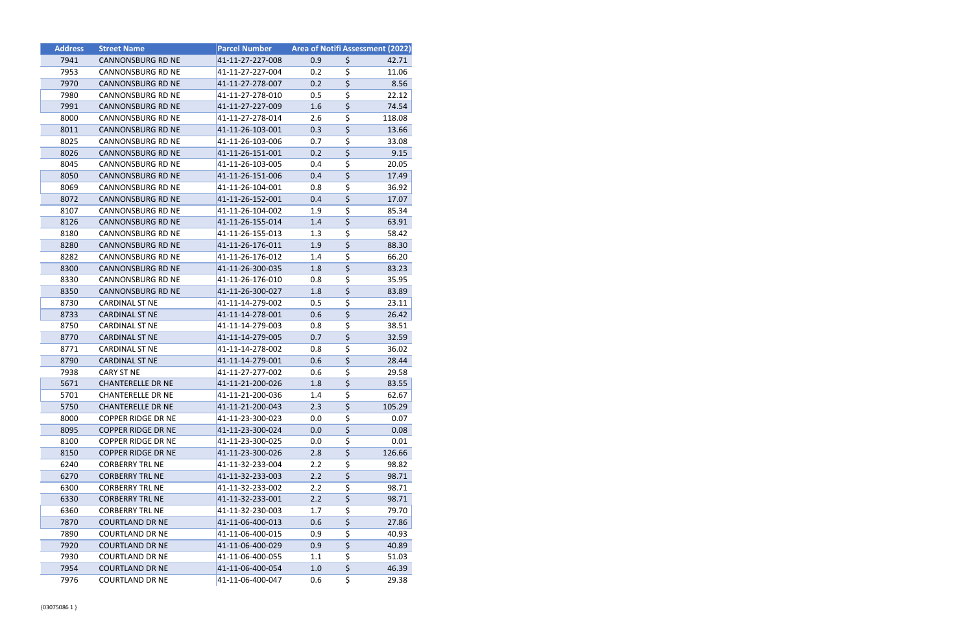| <b>Address</b> | <b>Street Name</b>        | <b>Parcel Number</b> | <b>Area of Notifi Assessment (2022)</b> |                                     |        |
|----------------|---------------------------|----------------------|-----------------------------------------|-------------------------------------|--------|
| 7941           | <b>CANNONSBURG RD NE</b>  | 41-11-27-227-008     | 0.9                                     | \$                                  | 42.71  |
| 7953           | <b>CANNONSBURG RD NE</b>  | 41-11-27-227-004     | 0.2                                     | \$                                  | 11.06  |
| 7970           | <b>CANNONSBURG RD NE</b>  | 41-11-27-278-007     | 0.2                                     | $\overline{\boldsymbol{\zeta}}$     | 8.56   |
| 7980           | <b>CANNONSBURG RD NE</b>  | 41-11-27-278-010     | 0.5                                     | \$                                  | 22.12  |
| 7991           | <b>CANNONSBURG RD NE</b>  | 41-11-27-227-009     | 1.6                                     | $\overline{\boldsymbol{\zeta}}$     | 74.54  |
| 8000           | CANNONSBURG RD NE         | 41-11-27-278-014     | 2.6                                     | \$                                  | 118.08 |
| 8011           | <b>CANNONSBURG RD NE</b>  | 41-11-26-103-001     | 0.3                                     | $\overline{\boldsymbol{\zeta}}$     | 13.66  |
| 8025           | CANNONSBURG RD NE         | 41-11-26-103-006     | 0.7                                     | \$                                  | 33.08  |
| 8026           | <b>CANNONSBURG RD NE</b>  | 41-11-26-151-001     | 0.2                                     | $\overline{\boldsymbol{\varsigma}}$ | 9.15   |
| 8045           | <b>CANNONSBURG RD NE</b>  | 41-11-26-103-005     | 0.4                                     | \$                                  | 20.05  |
| 8050           | <b>CANNONSBURG RD NE</b>  | 41-11-26-151-006     | 0.4                                     | $\overline{\boldsymbol{\zeta}}$     | 17.49  |
| 8069           | CANNONSBURG RD NE         | 41-11-26-104-001     | 0.8                                     | \$                                  | 36.92  |
| 8072           | <b>CANNONSBURG RD NE</b>  | 41-11-26-152-001     | 0.4                                     | $\overline{\boldsymbol{\zeta}}$     | 17.07  |
| 8107           | <b>CANNONSBURG RD NE</b>  | 41-11-26-104-002     | 1.9                                     | \$                                  | 85.34  |
| 8126           | <b>CANNONSBURG RD NE</b>  | 41-11-26-155-014     | 1.4                                     | $\overline{\boldsymbol{\varsigma}}$ | 63.91  |
| 8180           | CANNONSBURG RD NE         | 41-11-26-155-013     | 1.3                                     | \$                                  | 58.42  |
| 8280           | <b>CANNONSBURG RD NE</b>  | 41-11-26-176-011     | 1.9                                     | \$                                  | 88.30  |
| 8282           | <b>CANNONSBURG RD NE</b>  | 41-11-26-176-012     | 1.4                                     | \$                                  | 66.20  |
| 8300           | <b>CANNONSBURG RD NE</b>  | 41-11-26-300-035     | 1.8                                     | $\overline{\boldsymbol{\zeta}}$     | 83.23  |
| 8330           | CANNONSBURG RD NE         | 41-11-26-176-010     | 0.8                                     | \$                                  | 35.95  |
| 8350           | <b>CANNONSBURG RD NE</b>  | 41-11-26-300-027     | 1.8                                     | $\overline{\boldsymbol{\varsigma}}$ | 83.89  |
| 8730           | <b>CARDINAL ST NE</b>     | 41-11-14-279-002     | 0.5                                     | \$                                  | 23.11  |
| 8733           | <b>CARDINAL ST NE</b>     | 41-11-14-278-001     | 0.6                                     | $\overline{\boldsymbol{\zeta}}$     | 26.42  |
| 8750           | CARDINAL ST NE            | 41-11-14-279-003     | 0.8                                     | \$                                  | 38.51  |
| 8770           | <b>CARDINAL ST NE</b>     | 41-11-14-279-005     | 0.7                                     | \$                                  | 32.59  |
| 8771           | <b>CARDINAL ST NE</b>     | 41-11-14-278-002     | 0.8                                     | \$                                  | 36.02  |
| 8790           | <b>CARDINAL ST NE</b>     | 41-11-14-279-001     | 0.6                                     | $\overline{\boldsymbol{\zeta}}$     | 28.44  |
| 7938           | CARY ST NE                | 41-11-27-277-002     | 0.6                                     | \$                                  | 29.58  |
| 5671           | <b>CHANTERELLE DR NE</b>  | 41-11-21-200-026     | 1.8                                     | \$                                  | 83.55  |
| 5701           | <b>CHANTERELLE DR NE</b>  | 41-11-21-200-036     | 1.4                                     | $\overline{\boldsymbol{\zeta}}$     | 62.67  |
| 5750           | <b>CHANTERELLE DR NE</b>  | 41-11-21-200-043     | 2.3                                     | \$                                  | 105.29 |
| 8000           | <b>COPPER RIDGE DR NE</b> | 41-11-23-300-023     | 0.0                                     | \$                                  | 0.07   |
| 8095           | <b>COPPER RIDGE DR NE</b> | 41-11-23-300-024     | 0.0                                     | $\overline{\boldsymbol{\zeta}}$     | 0.08   |
| 8100           | COPPER RIDGE DR NE        | 41-11-23-300-025     | 0.0                                     | \$                                  | 0.01   |
| 8150           | <b>COPPER RIDGE DR NE</b> | 41-11-23-300-026     | 2.8                                     | $\overline{\boldsymbol{\varsigma}}$ | 126.66 |
| 6240           | <b>CORBERRY TRL NE</b>    | 41-11-32-233-004     | 2.2                                     | \$                                  | 98.82  |
| 6270           | <b>CORBERRY TRL NE</b>    | 41-11-32-233-003     | 2.2                                     | \$                                  | 98.71  |
| 6300           | <b>CORBERRY TRL NE</b>    | 41-11-32-233-002     | 2.2                                     | \$                                  | 98.71  |
| 6330           | <b>CORBERRY TRL NE</b>    | 41-11-32-233-001     | 2.2                                     | \$                                  | 98.71  |
| 6360           | <b>CORBERRY TRL NE</b>    | 41-11-32-230-003     | 1.7                                     | \$                                  | 79.70  |
| 7870           | <b>COURTLAND DR NE</b>    | 41-11-06-400-013     | 0.6                                     | \$                                  | 27.86  |
| 7890           | <b>COURTLAND DR NE</b>    | 41-11-06-400-015     | 0.9                                     | \$                                  | 40.93  |
| 7920           | <b>COURTLAND DR NE</b>    | 41-11-06-400-029     | 0.9                                     | \$                                  | 40.89  |
| 7930           | <b>COURTLAND DR NE</b>    | 41-11-06-400-055     | 1.1                                     | \$                                  | 51.03  |
| 7954           | <b>COURTLAND DR NE</b>    | 41-11-06-400-054     | 1.0                                     | \$                                  | 46.39  |
| 7976           | <b>COURTLAND DR NE</b>    | 41-11-06-400-047     | 0.6                                     | \$                                  | 29.38  |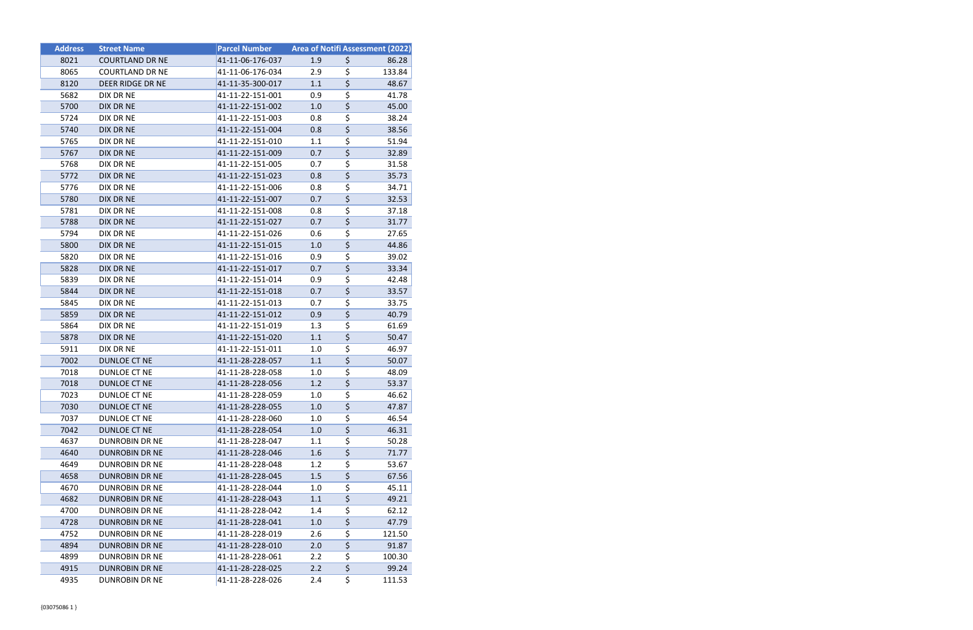| <b>Address</b> | <b>Street Name</b>     | <b>Parcel Number</b> | <b>Area of Notifi Assessment (2022)</b> |                                     |        |
|----------------|------------------------|----------------------|-----------------------------------------|-------------------------------------|--------|
| 8021           | <b>COURTLAND DR NE</b> | 41-11-06-176-037     | 1.9                                     | \$                                  | 86.28  |
| 8065           | <b>COURTLAND DR NE</b> | 41-11-06-176-034     | 2.9                                     | \$                                  | 133.84 |
| 8120           | DEER RIDGE DR NE       | 41-11-35-300-017     | 1.1                                     | \$                                  | 48.67  |
| 5682           | DIX DR NE              | 41-11-22-151-001     | 0.9                                     | \$                                  | 41.78  |
| 5700           | DIX DR NE              | 41-11-22-151-002     | 1.0                                     | $\overline{\boldsymbol{\varsigma}}$ | 45.00  |
| 5724           | DIX DR NE              | 41-11-22-151-003     | 0.8                                     | \$                                  | 38.24  |
| 5740           | DIX DR NE              | 41-11-22-151-004     | 0.8                                     | $\overline{\boldsymbol{\zeta}}$     | 38.56  |
| 5765           | DIX DR NE              | 41-11-22-151-010     | 1.1                                     | \$                                  | 51.94  |
| 5767           | DIX DR NE              | 41-11-22-151-009     | 0.7                                     | \$                                  | 32.89  |
| 5768           | DIX DR NE              | 41-11-22-151-005     | 0.7                                     | \$                                  | 31.58  |
| 5772           | DIX DR NE              | 41-11-22-151-023     | 0.8                                     | \$                                  | 35.73  |
| 5776           | DIX DR NE              | 41-11-22-151-006     | 0.8                                     | \$                                  | 34.71  |
| 5780           | DIX DR NE              | 41-11-22-151-007     | 0.7                                     | $\overline{\boldsymbol{\zeta}}$     | 32.53  |
| 5781           | DIX DR NE              | 41-11-22-151-008     | 0.8                                     | \$                                  | 37.18  |
| 5788           | DIX DR NE              | 41-11-22-151-027     | 0.7                                     | \$                                  | 31.77  |
| 5794           | DIX DR NE              | 41-11-22-151-026     | 0.6                                     | \$                                  | 27.65  |
| 5800           | DIX DR NE              | 41-11-22-151-015     | 1.0                                     | \$                                  | 44.86  |
| 5820           | DIX DR NE              | 41-11-22-151-016     | 0.9                                     | \$                                  | 39.02  |
| 5828           | <b>DIX DR NE</b>       | 41-11-22-151-017     | 0.7                                     | $\overline{\boldsymbol{\zeta}}$     | 33.34  |
| 5839           | DIX DR NE              | 41-11-22-151-014     | 0.9                                     | \$                                  | 42.48  |
| 5844           | DIX DR NE              | 41-11-22-151-018     | 0.7                                     | \$                                  | 33.57  |
| 5845           | DIX DR NE              | 41-11-22-151-013     | 0.7                                     | \$                                  | 33.75  |
| 5859           | DIX DR NE              | 41-11-22-151-012     | 0.9                                     | \$                                  | 40.79  |
| 5864           | DIX DR NE              | 41-11-22-151-019     | 1.3                                     | \$                                  | 61.69  |
| 5878           | DIX DR NE              | 41-11-22-151-020     | 1.1                                     | \$                                  | 50.47  |
| 5911           | DIX DR NE              | 41-11-22-151-011     | 1.0                                     | \$                                  | 46.97  |
| 7002           | DUNLOE CT NE           | 41-11-28-228-057     | 1.1                                     | $\overline{\xi}$                    | 50.07  |
| 7018           | DUNLOE CT NE           | 41-11-28-228-058     | 1.0                                     | \$                                  | 48.09  |
| 7018           | <b>DUNLOE CT NE</b>    | 41-11-28-228-056     | 1.2                                     | \$                                  | 53.37  |
| 7023           | DUNLOE CT NE           | 41-11-28-228-059     | 1.0                                     | \$                                  | 46.62  |
| 7030           | DUNLOE CT NE           | 41-11-28-228-055     | 1.0                                     | \$                                  | 47.87  |
| 7037           | DUNLOE CT NE           | 41-11-28-228-060     | 1.0                                     | \$                                  | 46.54  |
| 7042           | DUNLOE CT NE           | 41-11-28-228-054     | 1.0                                     | \$                                  | 46.31  |
| 4637           | <b>DUNROBIN DR NE</b>  | 41-11-28-228-047     | 1.1                                     | $\overline{\boldsymbol{\zeta}}$     | 50.28  |
| 4640           | <b>DUNROBIN DR NE</b>  | 41-11-28-228-046     | 1.6                                     | $\overline{\boldsymbol{\zeta}}$     | 71.77  |
| 4649           | DUNROBIN DR NE         | 41-11-28-228-048     | 1.2                                     | \$                                  | 53.67  |
| 4658           | <b>DUNROBIN DR NE</b>  | 41-11-28-228-045     | 1.5                                     | \$                                  | 67.56  |
| 4670           | <b>DUNROBIN DR NE</b>  | 41-11-28-228-044     | 1.0                                     | \$                                  | 45.11  |
| 4682           | <b>DUNROBIN DR NE</b>  | 41-11-28-228-043     | 1.1                                     | $\overline{\boldsymbol{\zeta}}$     | 49.21  |
| 4700           | DUNROBIN DR NE         | 41-11-28-228-042     | 1.4                                     | \$                                  | 62.12  |
| 4728           | <b>DUNROBIN DR NE</b>  | 41-11-28-228-041     | 1.0                                     | \$                                  | 47.79  |
| 4752           | <b>DUNROBIN DR NE</b>  | 41-11-28-228-019     | 2.6                                     | \$                                  | 121.50 |
| 4894           | <b>DUNROBIN DR NE</b>  | 41-11-28-228-010     | 2.0                                     | $\overline{\boldsymbol{\zeta}}$     | 91.87  |
| 4899           | <b>DUNROBIN DR NE</b>  | 41-11-28-228-061     | 2.2                                     | \$                                  | 100.30 |
| 4915           | <b>DUNROBIN DR NE</b>  | 41-11-28-228-025     | 2.2                                     | $\overline{\boldsymbol{\zeta}}$     | 99.24  |
| 4935           | <b>DUNROBIN DR NE</b>  | 41-11-28-228-026     | 2.4                                     | \$                                  | 111.53 |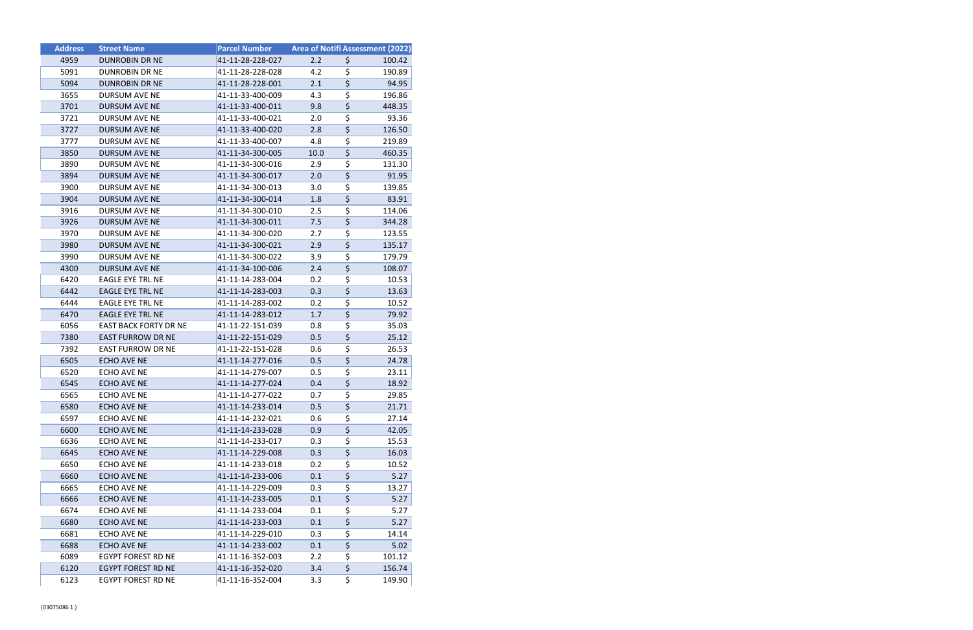| <b>Address</b> | <b>Street Name</b>        | <b>Parcel Number</b> |      | <b>Area of Notifi Assessment (2022)</b> |
|----------------|---------------------------|----------------------|------|-----------------------------------------|
| 4959           | <b>DUNROBIN DR NE</b>     | 41-11-28-228-027     | 2.2  | \$<br>100.42                            |
| 5091           | <b>DUNROBIN DR NE</b>     | 41-11-28-228-028     | 4.2  | \$<br>190.89                            |
| 5094           | <b>DUNROBIN DR NE</b>     | 41-11-28-228-001     | 2.1  | \$<br>94.95                             |
| 3655           | DURSUM AVE NE             | 41-11-33-400-009     | 4.3  | \$<br>196.86                            |
| 3701           | DURSUM AVE NE             | 41-11-33-400-011     | 9.8  | \$<br>448.35                            |
| 3721           | DURSUM AVE NE             | 41-11-33-400-021     | 2.0  | \$<br>93.36                             |
| 3727           | <b>DURSUM AVE NE</b>      | 41-11-33-400-020     | 2.8  | \$<br>126.50                            |
| 3777           | <b>DURSUM AVE NE</b>      | 41-11-33-400-007     | 4.8  | \$<br>219.89                            |
| 3850           | DURSUM AVE NE             | 41-11-34-300-005     | 10.0 | \$<br>460.35                            |
| 3890           | DURSUM AVE NE             | 41-11-34-300-016     | 2.9  | \$<br>131.30                            |
| 3894           | <b>DURSUM AVE NE</b>      | 41-11-34-300-017     | 2.0  | \$<br>91.95                             |
| 3900           | DURSUM AVE NE             | 41-11-34-300-013     | 3.0  | \$<br>139.85                            |
| 3904           | <b>DURSUM AVE NE</b>      | 41-11-34-300-014     | 1.8  | \$<br>83.91                             |
| 3916           | DURSUM AVE NE             | 41-11-34-300-010     | 2.5  | \$<br>114.06                            |
| 3926           | <b>DURSUM AVE NE</b>      | 41-11-34-300-011     | 7.5  | \$<br>344.28                            |
| 3970           | DURSUM AVE NE             | 41-11-34-300-020     | 2.7  | \$<br>123.55                            |
| 3980           | <b>DURSUM AVE NE</b>      | 41-11-34-300-021     | 2.9  | \$<br>135.17                            |
| 3990           | <b>DURSUM AVE NE</b>      | 41-11-34-300-022     | 3.9  | \$<br>179.79                            |
| 4300           | DURSUM AVE NE             | 41-11-34-100-006     | 2.4  | \$<br>108.07                            |
| 6420           | EAGLE EYE TRL NE          | 41-11-14-283-004     | 0.2  | \$<br>10.53                             |
| 6442           | EAGLE EYE TRL NE          | 41-11-14-283-003     | 0.3  | \$<br>13.63                             |
| 6444           | <b>EAGLE EYE TRL NE</b>   | 41-11-14-283-002     | 0.2  | \$<br>10.52                             |
| 6470           | EAGLE EYE TRL NE          | 41-11-14-283-012     | 1.7  | \$<br>79.92                             |
| 6056           | EAST BACK FORTY DR NE     | 41-11-22-151-039     | 0.8  | \$<br>35.03                             |
| 7380           | <b>EAST FURROW DR NE</b>  | 41-11-22-151-029     | 0.5  | \$<br>25.12                             |
| 7392           | <b>EAST FURROW DR NE</b>  | 41-11-22-151-028     | 0.6  | \$<br>26.53                             |
| 6505           | ECHO AVE NE               | 41-11-14-277-016     | 0.5  | \$<br>24.78                             |
| 6520           | ECHO AVE NE               | 41-11-14-279-007     | 0.5  | \$<br>23.11                             |
| 6545           | <b>ECHO AVE NE</b>        | 41-11-14-277-024     | 0.4  | \$<br>18.92                             |
| 6565           | ECHO AVE NE               | 41-11-14-277-022     | 0.7  | \$<br>29.85                             |
| 6580           | <b>ECHO AVE NE</b>        | 41-11-14-233-014     | 0.5  | \$<br>21.71                             |
| 6597           | ECHO AVE NE               | 41-11-14-232-021     | 0.6  | \$<br>27.14                             |
| 6600           | <b>ECHO AVE NE</b>        | 41-11-14-233-028     | 0.9  | \$<br>42.05                             |
| 6636           | ECHO AVE NE               | 41-11-14-233-017     | 0.3  | \$<br>15.53                             |
| 6645           | ECHO AVE NE               | 41-11-14-229-008     | 0.3  | \$<br>16.03                             |
| 6650           | <b>ECHO AVE NE</b>        | 41-11-14-233-018     | 0.2  | \$<br>10.52                             |
| 6660           | ECHO AVE NE               | 41-11-14-233-006     | 0.1  | \$<br>5.27                              |
| 6665           | ECHO AVE NE               | 41-11-14-229-009     | 0.3  | \$<br>13.27                             |
| 6666           | <b>ECHO AVE NE</b>        | 41-11-14-233-005     | 0.1  | \$<br>5.27                              |
| 6674           | ECHO AVE NE               | 41-11-14-233-004     | 0.1  | \$<br>5.27                              |
| 6680           | <b>ECHO AVE NE</b>        | 41-11-14-233-003     | 0.1  | \$<br>5.27                              |
| 6681           | ECHO AVE NE               | 41-11-14-229-010     | 0.3  | \$<br>14.14                             |
| 6688           | ECHO AVE NE               | 41-11-14-233-002     | 0.1  | \$<br>5.02                              |
| 6089           | <b>EGYPT FOREST RD NE</b> | 41-11-16-352-003     | 2.2  | \$<br>101.12                            |
| 6120           | EGYPT FOREST RD NE        | 41-11-16-352-020     | 3.4  | \$<br>156.74                            |
| 6123           | EGYPT FOREST RD NE        | 41-11-16-352-004     | 3.3  | \$<br>149.90                            |
|                |                           |                      |      |                                         |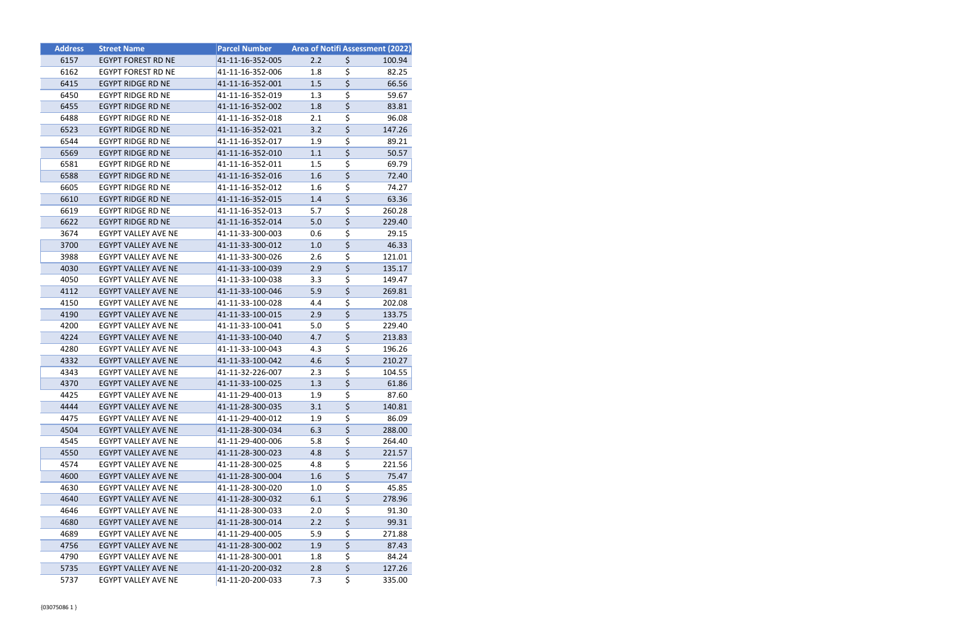| <b>Address</b> | <b>Street Name</b>         | <b>Parcel Number</b> | <b>Area of Notifi Assessment (2022)</b> |                                 |        |
|----------------|----------------------------|----------------------|-----------------------------------------|---------------------------------|--------|
| 6157           | <b>EGYPT FOREST RD NE</b>  | 41-11-16-352-005     | 2.2                                     | \$                              | 100.94 |
| 6162           | EGYPT FOREST RD NE         | 41-11-16-352-006     | 1.8                                     | \$                              | 82.25  |
| 6415           | <b>EGYPT RIDGE RD NE</b>   | 41-11-16-352-001     | 1.5                                     | \$                              | 66.56  |
| 6450           | <b>EGYPT RIDGE RD NE</b>   | 41-11-16-352-019     | 1.3                                     | \$                              | 59.67  |
| 6455           | EGYPT RIDGE RD NE          | 41-11-16-352-002     | 1.8                                     | \$                              | 83.81  |
| 6488           | EGYPT RIDGE RD NE          | 41-11-16-352-018     | 2.1                                     | \$                              | 96.08  |
| 6523           | <b>EGYPT RIDGE RD NE</b>   | 41-11-16-352-021     | 3.2                                     | \$                              | 147.26 |
| 6544           | <b>EGYPT RIDGE RD NE</b>   | 41-11-16-352-017     | 1.9                                     | \$                              | 89.21  |
| 6569           | <b>EGYPT RIDGE RD NE</b>   | 41-11-16-352-010     | 1.1                                     | $\overline{\boldsymbol{\zeta}}$ | 50.57  |
| 6581           | EGYPT RIDGE RD NE          | 41-11-16-352-011     | 1.5                                     | \$                              | 69.79  |
| 6588           | <b>EGYPT RIDGE RD NE</b>   | 41-11-16-352-016     | 1.6                                     | \$                              | 72.40  |
| 6605           | EGYPT RIDGE RD NE          | 41-11-16-352-012     | 1.6                                     | \$                              | 74.27  |
| 6610           | <b>EGYPT RIDGE RD NE</b>   | 41-11-16-352-015     | 1.4                                     | $\overline{\xi}$                | 63.36  |
| 6619           | EGYPT RIDGE RD NE          | 41-11-16-352-013     | 5.7                                     | \$                              | 260.28 |
| 6622           | <b>EGYPT RIDGE RD NE</b>   | 41-11-16-352-014     | 5.0                                     | \$                              | 229.40 |
| 3674           | EGYPT VALLEY AVE NE        | 41-11-33-300-003     | 0.6                                     | \$                              | 29.15  |
| 3700           | <b>EGYPT VALLEY AVE NE</b> | 41-11-33-300-012     | 1.0                                     | \$                              | 46.33  |
| 3988           | EGYPT VALLEY AVE NE        | 41-11-33-300-026     | 2.6                                     | \$                              | 121.01 |
| 4030           | EGYPT VALLEY AVE NE        | 41-11-33-100-039     | 2.9                                     | $\overline{\boldsymbol{\zeta}}$ | 135.17 |
| 4050           | EGYPT VALLEY AVE NE        | 41-11-33-100-038     | 3.3                                     | \$                              | 149.47 |
| 4112           | EGYPT VALLEY AVE NE        | 41-11-33-100-046     | 5.9                                     | \$                              | 269.81 |
| 4150           | EGYPT VALLEY AVE NE        | 41-11-33-100-028     | 4.4                                     | \$                              | 202.08 |
| 4190           | EGYPT VALLEY AVE NE        | 41-11-33-100-015     | 2.9                                     | $\overline{\xi}$                | 133.75 |
| 4200           | EGYPT VALLEY AVE NE        | 41-11-33-100-041     | 5.0                                     | \$                              | 229.40 |
| 4224           | EGYPT VALLEY AVE NE        | 41-11-33-100-040     | 4.7                                     | $\overline{\boldsymbol{\zeta}}$ | 213.83 |
| 4280           | EGYPT VALLEY AVE NE        | 41-11-33-100-043     | 4.3                                     | \$                              | 196.26 |
| 4332           | EGYPT VALLEY AVE NE        | 41-11-33-100-042     | 4.6                                     | \$                              | 210.27 |
| 4343           | EGYPT VALLEY AVE NE        | 41-11-32-226-007     | 2.3                                     | \$                              | 104.55 |
| 4370           | EGYPT VALLEY AVE NE        | 41-11-33-100-025     | 1.3                                     | $\overline{\boldsymbol{\zeta}}$ | 61.86  |
| 4425           | EGYPT VALLEY AVE NE        | 41-11-29-400-013     | 1.9                                     | \$                              | 87.60  |
| 4444           | EGYPT VALLEY AVE NE        | 41-11-28-300-035     | 3.1                                     | \$                              | 140.81 |
| 4475           | EGYPT VALLEY AVE NE        | 41-11-29-400-012     | 1.9                                     | \$                              | 86.09  |
| 4504           | <b>EGYPT VALLEY AVE NE</b> | 41-11-28-300-034     | 6.3                                     | \$                              | 288.00 |
| 4545           | EGYPT VALLEY AVE NE        | 41-11-29-400-006     | 5.8                                     | \$                              | 264.40 |
| 4550           | EGYPT VALLEY AVE NE        | 41-11-28-300-023     | 4.8                                     | \$                              | 221.57 |
| 4574           | <b>EGYPT VALLEY AVE NE</b> | 41-11-28-300-025     | 4.8                                     | \$                              | 221.56 |
| 4600           | EGYPT VALLEY AVE NE        | 41-11-28-300-004     | 1.6                                     | \$                              | 75.47  |
| 4630           | EGYPT VALLEY AVE NE        | 41-11-28-300-020     | 1.0                                     | \$                              | 45.85  |
| 4640           | <b>EGYPT VALLEY AVE NE</b> | 41-11-28-300-032     | 6.1                                     | \$                              | 278.96 |
| 4646           | EGYPT VALLEY AVE NE        | 41-11-28-300-033     | 2.0                                     | \$                              | 91.30  |
| 4680           | EGYPT VALLEY AVE NE        | 41-11-28-300-014     | 2.2                                     | \$                              | 99.31  |
| 4689           | EGYPT VALLEY AVE NE        | 41-11-29-400-005     | 5.9                                     | \$                              | 271.88 |
| 4756           | EGYPT VALLEY AVE NE        | 41-11-28-300-002     | 1.9                                     | \$                              | 87.43  |
| 4790           | EGYPT VALLEY AVE NE        | 41-11-28-300-001     | 1.8                                     | \$                              | 84.24  |
| 5735           | EGYPT VALLEY AVE NE        | 41-11-20-200-032     | 2.8                                     | \$                              | 127.26 |
| 5737           | EGYPT VALLEY AVE NE        | 41-11-20-200-033     | 7.3                                     | \$                              | 335.00 |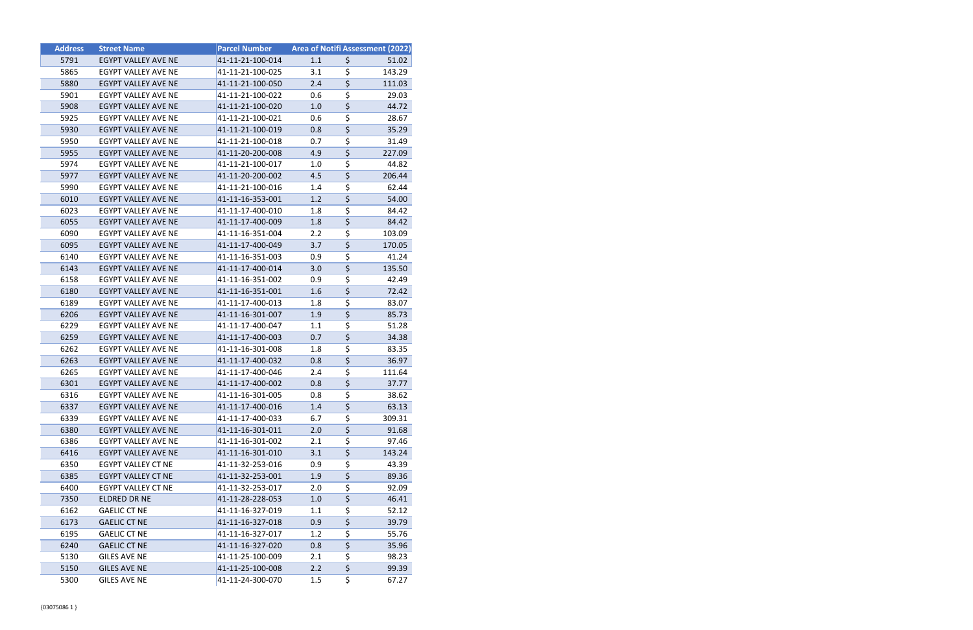| <b>Address</b> | <b>Street Name</b>         | <b>Parcel Number</b> |     | <b>Area of Notifi Assessment (2022)</b> |
|----------------|----------------------------|----------------------|-----|-----------------------------------------|
| 5791           | EGYPT VALLEY AVE NE        | 41-11-21-100-014     | 1.1 | \$<br>51.02                             |
| 5865           | EGYPT VALLEY AVE NE        | 41-11-21-100-025     | 3.1 | \$<br>143.29                            |
| 5880           | EGYPT VALLEY AVE NE        | 41-11-21-100-050     | 2.4 | \$<br>111.03                            |
| 5901           | <b>EGYPT VALLEY AVE NE</b> | 41-11-21-100-022     | 0.6 | \$<br>29.03                             |
| 5908           | EGYPT VALLEY AVE NE        | 41-11-21-100-020     | 1.0 | \$<br>44.72                             |
| 5925           | EGYPT VALLEY AVE NE        | 41-11-21-100-021     | 0.6 | \$<br>28.67                             |
| 5930           | EGYPT VALLEY AVE NE        | 41-11-21-100-019     | 0.8 | \$<br>35.29                             |
| 5950           | EGYPT VALLEY AVE NE        | 41-11-21-100-018     | 0.7 | \$<br>31.49                             |
| 5955           | EGYPT VALLEY AVE NE        | 41-11-20-200-008     | 4.9 | \$<br>227.09                            |
| 5974           | EGYPT VALLEY AVE NE        | 41-11-21-100-017     | 1.0 | \$<br>44.82                             |
| 5977           | EGYPT VALLEY AVE NE        | 41-11-20-200-002     | 4.5 | \$<br>206.44                            |
| 5990           | EGYPT VALLEY AVE NE        | 41-11-21-100-016     | 1.4 | \$<br>62.44                             |
| 6010           | <b>EGYPT VALLEY AVE NE</b> | 41-11-16-353-001     | 1.2 | \$<br>54.00                             |
| 6023           | EGYPT VALLEY AVE NE        | 41-11-17-400-010     | 1.8 | \$<br>84.42                             |
| 6055           | EGYPT VALLEY AVE NE        | 41-11-17-400-009     | 1.8 | \$<br>84.42                             |
| 6090           | EGYPT VALLEY AVE NE        | 41-11-16-351-004     | 2.2 | \$<br>103.09                            |
| 6095           | EGYPT VALLEY AVE NE        | 41-11-17-400-049     | 3.7 | \$<br>170.05                            |
| 6140           | <b>EGYPT VALLEY AVE NE</b> | 41-11-16-351-003     | 0.9 | \$<br>41.24                             |
| 6143           | EGYPT VALLEY AVE NE        | 41-11-17-400-014     | 3.0 | \$<br>135.50                            |
| 6158           | EGYPT VALLEY AVE NE        | 41-11-16-351-002     | 0.9 | \$<br>42.49                             |
| 6180           | EGYPT VALLEY AVE NE        | 41-11-16-351-001     | 1.6 | \$<br>72.42                             |
| 6189           | EGYPT VALLEY AVE NE        | 41-11-17-400-013     | 1.8 | \$<br>83.07                             |
| 6206           | EGYPT VALLEY AVE NE        | 41-11-16-301-007     | 1.9 | \$<br>85.73                             |
| 6229           | EGYPT VALLEY AVE NE        | 41-11-17-400-047     | 1.1 | \$<br>51.28                             |
| 6259           | EGYPT VALLEY AVE NE        | 41-11-17-400-003     | 0.7 | \$<br>34.38                             |
| 6262           | EGYPT VALLEY AVE NE        | 41-11-16-301-008     | 1.8 | \$<br>83.35                             |
| 6263           | EGYPT VALLEY AVE NE        | 41-11-17-400-032     | 0.8 | \$<br>36.97                             |
| 6265           | EGYPT VALLEY AVE NE        | 41-11-17-400-046     | 2.4 | \$<br>111.64                            |
| 6301           | EGYPT VALLEY AVE NE        | 41-11-17-400-002     | 0.8 | \$<br>37.77                             |
| 6316           | EGYPT VALLEY AVE NE        | 41-11-16-301-005     | 0.8 | \$<br>38.62                             |
| 6337           | EGYPT VALLEY AVE NE        | 41-11-17-400-016     | 1.4 | \$<br>63.13                             |
| 6339           | EGYPT VALLEY AVE NE        | 41-11-17-400-033     | 6.7 | \$<br>309.31                            |
| 6380           | EGYPT VALLEY AVE NE        | 41-11-16-301-011     | 2.0 | \$<br>91.68                             |
| 6386           | EGYPT VALLEY AVE NE        | 41-11-16-301-002     | 2.1 | \$<br>97.46                             |
| 6416           | <b>EGYPT VALLEY AVE NE</b> | 41-11-16-301-010     | 3.1 | \$<br>143.24                            |
| 6350           | EGYPT VALLEY CT NE         | 41-11-32-253-016     | 0.9 | \$<br>43.39                             |
| 6385           | EGYPT VALLEY CT NE         | 41-11-32-253-001     | 1.9 | \$<br>89.36                             |
| 6400           | EGYPT VALLEY CT NE         | 41-11-32-253-017     | 2.0 | \$<br>92.09                             |
| 7350           | ELDRED DR NE               | 41-11-28-228-053     | 1.0 | \$<br>46.41                             |
| 6162           | <b>GAELIC CT NE</b>        | 41-11-16-327-019     | 1.1 | \$<br>52.12                             |
| 6173           | <b>GAELIC CT NE</b>        | 41-11-16-327-018     | 0.9 | \$<br>39.79                             |
| 6195           | <b>GAELIC CT NE</b>        | 41-11-16-327-017     | 1.2 | \$<br>55.76                             |
| 6240           | <b>GAELIC CT NE</b>        | 41-11-16-327-020     | 0.8 | \$<br>35.96                             |
| 5130           | <b>GILES AVE NE</b>        | 41-11-25-100-009     | 2.1 | \$<br>98.23                             |
| 5150           | <b>GILES AVE NE</b>        | 41-11-25-100-008     | 2.2 | \$<br>99.39                             |
| 5300           | <b>GILES AVE NE</b>        | 41-11-24-300-070     | 1.5 | \$<br>67.27                             |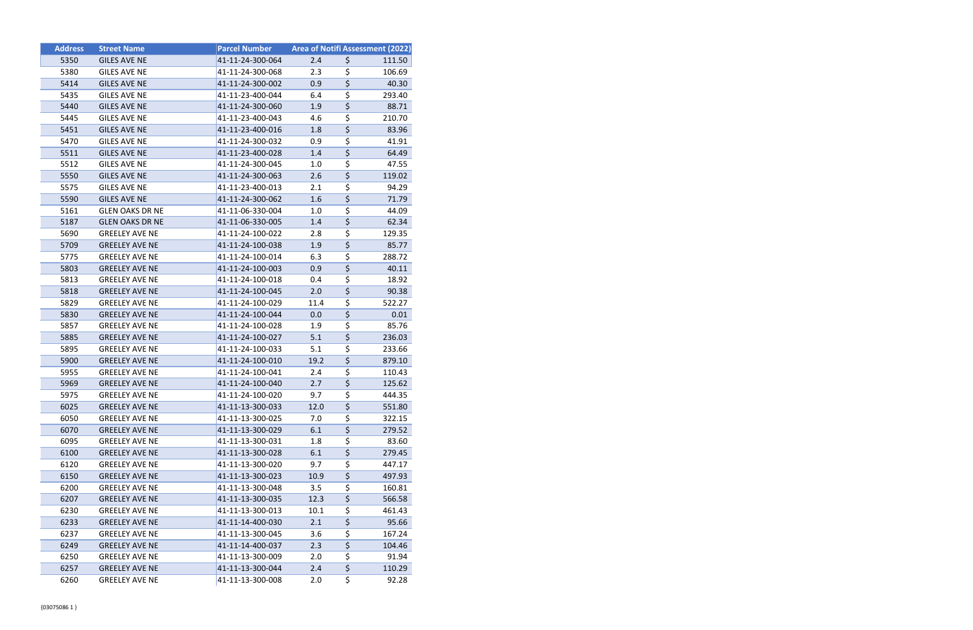| <b>Address</b> | <b>Street Name</b>     | <b>Parcel Number</b> | Area of Notifi Assessment (2022) |                                     |        |
|----------------|------------------------|----------------------|----------------------------------|-------------------------------------|--------|
| 5350           | <b>GILES AVE NE</b>    | 41-11-24-300-064     | 2.4                              | \$                                  | 111.50 |
| 5380           | <b>GILES AVE NE</b>    | 41-11-24-300-068     | 2.3                              | \$                                  | 106.69 |
| 5414           | <b>GILES AVE NE</b>    | 41-11-24-300-002     | 0.9                              | $\overline{\xi}$                    | 40.30  |
| 5435           | <b>GILES AVE NE</b>    | 41-11-23-400-044     | 6.4                              | \$                                  | 293.40 |
| 5440           | <b>GILES AVE NE</b>    | 41-11-24-300-060     | 1.9                              | $\overline{\boldsymbol{\zeta}}$     | 88.71  |
| 5445           | <b>GILES AVE NE</b>    | 41-11-23-400-043     | 4.6                              | \$                                  | 210.70 |
| 5451           | <b>GILES AVE NE</b>    | 41-11-23-400-016     | 1.8                              | $\overline{\boldsymbol{\zeta}}$     | 83.96  |
| 5470           | <b>GILES AVE NE</b>    | 41-11-24-300-032     | 0.9                              | \$                                  | 41.91  |
| 5511           | <b>GILES AVE NE</b>    | 41-11-23-400-028     | 1.4                              | \$                                  | 64.49  |
| 5512           | <b>GILES AVE NE</b>    | 41-11-24-300-045     | 1.0                              | \$                                  | 47.55  |
| 5550           | <b>GILES AVE NE</b>    | 41-11-24-300-063     | 2.6                              | \$                                  | 119.02 |
| 5575           | <b>GILES AVE NE</b>    | 41-11-23-400-013     | 2.1                              | \$                                  | 94.29  |
| 5590           | <b>GILES AVE NE</b>    | 41-11-24-300-062     | 1.6                              | $\overline{\xi}$                    | 71.79  |
| 5161           | <b>GLEN OAKS DR NE</b> | 41-11-06-330-004     | 1.0                              | \$                                  | 44.09  |
| 5187           | <b>GLEN OAKS DR NE</b> | 41-11-06-330-005     | 1.4                              | \$                                  | 62.34  |
| 5690           | <b>GREELEY AVE NE</b>  | 41-11-24-100-022     | 2.8                              | \$                                  | 129.35 |
| 5709           | <b>GREELEY AVE NE</b>  | 41-11-24-100-038     | 1.9                              | \$                                  | 85.77  |
| 5775           | <b>GREELEY AVE NE</b>  | 41-11-24-100-014     | 6.3                              | \$                                  | 288.72 |
| 5803           | <b>GREELEY AVE NE</b>  | 41-11-24-100-003     | 0.9                              | $\overline{\boldsymbol{\zeta}}$     | 40.11  |
| 5813           | <b>GREELEY AVE NE</b>  | 41-11-24-100-018     | 0.4                              | \$                                  | 18.92  |
| 5818           | <b>GREELEY AVE NE</b>  | 41-11-24-100-045     | 2.0                              | \$                                  | 90.38  |
| 5829           | <b>GREELEY AVE NE</b>  | 41-11-24-100-029     | 11.4                             | \$                                  | 522.27 |
| 5830           | <b>GREELEY AVE NE</b>  | 41-11-24-100-044     | 0.0                              | \$                                  | 0.01   |
| 5857           | <b>GREELEY AVE NE</b>  | 41-11-24-100-028     | 1.9                              | \$                                  | 85.76  |
| 5885           | <b>GREELEY AVE NE</b>  | 41-11-24-100-027     | 5.1                              | \$                                  | 236.03 |
| 5895           | <b>GREELEY AVE NE</b>  | 41-11-24-100-033     | 5.1                              | \$                                  | 233.66 |
| 5900           | <b>GREELEY AVE NE</b>  | 41-11-24-100-010     | 19.2                             | $\overline{\xi}$                    | 879.10 |
| 5955           | <b>GREELEY AVE NE</b>  | 41-11-24-100-041     | 2.4                              | \$                                  | 110.43 |
| 5969           | <b>GREELEY AVE NE</b>  | 41-11-24-100-040     | 2.7                              | $\overline{\boldsymbol{\varsigma}}$ | 125.62 |
| 5975           | <b>GREELEY AVE NE</b>  | 41-11-24-100-020     | 9.7                              | \$                                  | 444.35 |
| 6025           | <b>GREELEY AVE NE</b>  | 41-11-13-300-033     | 12.0                             | \$                                  | 551.80 |
| 6050           | <b>GREELEY AVE NE</b>  | 41-11-13-300-025     | 7.0                              | \$                                  | 322.15 |
| 6070           | <b>GREELEY AVE NE</b>  | 41-11-13-300-029     | 6.1                              | $\overline{\boldsymbol{\zeta}}$     | 279.52 |
| 6095           | <b>GREELEY AVE NE</b>  | 41-11-13-300-031     | 1.8                              | $\overline{\boldsymbol{\zeta}}$     | 83.60  |
| 6100           | <b>GREELEY AVE NE</b>  | 41-11-13-300-028     | 6.1                              | $\overline{\boldsymbol{\varsigma}}$ | 279.45 |
| 6120           | <b>GREELEY AVE NE</b>  | 41-11-13-300-020     | 9.7                              | \$                                  | 447.17 |
| 6150           | <b>GREELEY AVE NE</b>  | 41-11-13-300-023     | 10.9                             | \$                                  | 497.93 |
| 6200           | <b>GREELEY AVE NE</b>  | 41-11-13-300-048     | 3.5                              | \$                                  | 160.81 |
| 6207           | <b>GREELEY AVE NE</b>  | 41-11-13-300-035     | 12.3                             | $\overline{\boldsymbol{\varsigma}}$ | 566.58 |
| 6230           | <b>GREELEY AVE NE</b>  | 41-11-13-300-013     | 10.1                             | $\overline{\boldsymbol{\zeta}}$     | 461.43 |
| 6233           | <b>GREELEY AVE NE</b>  | 41-11-14-400-030     | 2.1                              | \$                                  | 95.66  |
| 6237           | <b>GREELEY AVE NE</b>  | 41-11-13-300-045     | 3.6                              | \$                                  | 167.24 |
| 6249           | <b>GREELEY AVE NE</b>  | 41-11-14-400-037     | 2.3                              | $\overline{\boldsymbol{\varsigma}}$ | 104.46 |
| 6250           | <b>GREELEY AVE NE</b>  | 41-11-13-300-009     | 2.0                              | \$                                  | 91.94  |
| 6257           | <b>GREELEY AVE NE</b>  | 41-11-13-300-044     | 2.4                              | $\overline{\boldsymbol{\zeta}}$     | 110.29 |
| 6260           | <b>GREELEY AVE NE</b>  | 41-11-13-300-008     | 2.0                              | \$                                  | 92.28  |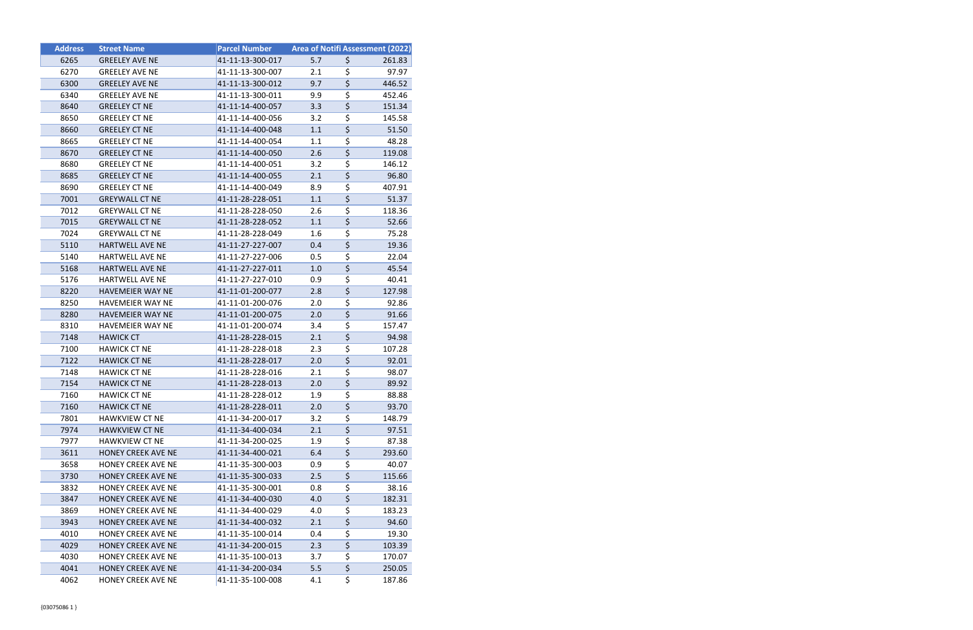| <b>Address</b> | <b>Street Name</b>        | <b>Parcel Number</b> | Area of Notifi Assessment (2022) |                                 |        |
|----------------|---------------------------|----------------------|----------------------------------|---------------------------------|--------|
| 6265           | <b>GREELEY AVE NE</b>     | 41-11-13-300-017     | 5.7                              | \$                              | 261.83 |
| 6270           | <b>GREELEY AVE NE</b>     | 41-11-13-300-007     | 2.1                              | \$                              | 97.97  |
| 6300           | <b>GREELEY AVE NE</b>     | 41-11-13-300-012     | 9.7                              | $\overline{\xi}$                | 446.52 |
| 6340           | <b>GREELEY AVE NE</b>     | 41-11-13-300-011     | 9.9                              | \$                              | 452.46 |
| 8640           | <b>GREELEY CT NE</b>      | 41-11-14-400-057     | 3.3                              | \$                              | 151.34 |
| 8650           | <b>GREELEY CT NE</b>      | 41-11-14-400-056     | 3.2                              | \$                              | 145.58 |
| 8660           | <b>GREELEY CT NE</b>      | 41-11-14-400-048     | 1.1                              | $\overline{\boldsymbol{\zeta}}$ | 51.50  |
| 8665           | <b>GREELEY CT NE</b>      | 41-11-14-400-054     | 1.1                              | \$                              | 48.28  |
| 8670           | <b>GREELEY CT NE</b>      | 41-11-14-400-050     | 2.6                              | \$                              | 119.08 |
| 8680           | <b>GREELEY CT NE</b>      | 41-11-14-400-051     | 3.2                              | \$                              | 146.12 |
| 8685           | <b>GREELEY CT NE</b>      | 41-11-14-400-055     | 2.1                              | \$                              | 96.80  |
| 8690           | <b>GREELEY CT NE</b>      | 41-11-14-400-049     | 8.9                              | \$                              | 407.91 |
| 7001           | <b>GREYWALL CT NE</b>     | 41-11-28-228-051     | 1.1                              | $\overline{\boldsymbol{\zeta}}$ | 51.37  |
| 7012           | <b>GREYWALL CT NE</b>     | 41-11-28-228-050     | 2.6                              | \$                              | 118.36 |
| 7015           | <b>GREYWALL CT NE</b>     | 41-11-28-228-052     | 1.1                              | \$                              | 52.66  |
| 7024           | <b>GREYWALL CT NE</b>     | 41-11-28-228-049     | 1.6                              | \$                              | 75.28  |
| 5110           | HARTWELL AVE NE           | 41-11-27-227-007     | 0.4                              | $\overline{\boldsymbol{\zeta}}$ | 19.36  |
| 5140           | <b>HARTWELL AVE NE</b>    | 41-11-27-227-006     | 0.5                              | \$                              | 22.04  |
| 5168           | <b>HARTWELL AVE NE</b>    | 41-11-27-227-011     | 1.0                              | $\overline{\boldsymbol{\zeta}}$ | 45.54  |
| 5176           | HARTWELL AVE NE           | 41-11-27-227-010     | 0.9                              | \$                              | 40.41  |
| 8220           | <b>HAVEMEIER WAY NE</b>   | 41-11-01-200-077     | 2.8                              | \$                              | 127.98 |
| 8250           | HAVEMEIER WAY NE          | 41-11-01-200-076     | 2.0                              | \$                              | 92.86  |
| 8280           | <b>HAVEMEIER WAY NE</b>   | 41-11-01-200-075     | 2.0                              | \$                              | 91.66  |
| 8310           | <b>HAVEMEIER WAY NE</b>   | 41-11-01-200-074     | 3.4                              | \$                              | 157.47 |
| 7148           | <b>HAWICK CT</b>          | 41-11-28-228-015     | 2.1                              | $\overline{\boldsymbol{\zeta}}$ | 94.98  |
| 7100           | <b>HAWICK CT NE</b>       | 41-11-28-228-018     | 2.3                              | \$                              | 107.28 |
| 7122           | <b>HAWICK CT NE</b>       | 41-11-28-228-017     | 2.0                              | $\overline{\boldsymbol{\zeta}}$ | 92.01  |
| 7148           | <b>HAWICK CT NE</b>       | 41-11-28-228-016     | 2.1                              | \$                              | 98.07  |
| 7154           | <b>HAWICK CT NE</b>       | 41-11-28-228-013     | 2.0                              | $\overline{\boldsymbol{\zeta}}$ | 89.92  |
| 7160           | <b>HAWICK CT NE</b>       | 41-11-28-228-012     | 1.9                              | \$                              | 88.88  |
| 7160           | <b>HAWICK CT NE</b>       | 41-11-28-228-011     | 2.0                              | \$                              | 93.70  |
| 7801           | <b>HAWKVIEW CT NE</b>     | 41-11-34-200-017     | 3.2                              | \$                              | 148.79 |
| 7974           | <b>HAWKVIEW CT NE</b>     | 41-11-34-400-034     | 2.1                              | $\overline{\boldsymbol{\zeta}}$ | 97.51  |
| 7977           | <b>HAWKVIEW CT NE</b>     | 41-11-34-200-025     | 1.9                              | \$                              | 87.38  |
| 3611           | <b>HONEY CREEK AVE NE</b> | 41-11-34-400-021     | 6.4                              | \$                              | 293.60 |
| 3658           | <b>HONEY CREEK AVE NE</b> | 41-11-35-300-003     | 0.9                              | \$                              | 40.07  |
| 3730           | <b>HONEY CREEK AVE NE</b> | 41-11-35-300-033     | 2.5                              | \$                              | 115.66 |
| 3832           | <b>HONEY CREEK AVE NE</b> | 41-11-35-300-001     | 0.8                              | \$                              | 38.16  |
| 3847           | <b>HONEY CREEK AVE NE</b> | 41-11-34-400-030     | 4.0                              | $\overline{\boldsymbol{\zeta}}$ | 182.31 |
| 3869           | HONEY CREEK AVE NE        | 41-11-34-400-029     | 4.0                              | \$                              | 183.23 |
| 3943           | HONEY CREEK AVE NE        | 41-11-34-400-032     | 2.1                              | \$                              | 94.60  |
| 4010           | <b>HONEY CREEK AVE NE</b> | 41-11-35-100-014     | 0.4                              | \$                              | 19.30  |
| 4029           | HONEY CREEK AVE NE        | 41-11-34-200-015     | 2.3                              | \$                              | 103.39 |
| 4030           | HONEY CREEK AVE NE        | 41-11-35-100-013     | 3.7                              | \$                              | 170.07 |
| 4041           | <b>HONEY CREEK AVE NE</b> | 41-11-34-200-034     | 5.5                              | $\overline{\boldsymbol{\zeta}}$ | 250.05 |
| 4062           | HONEY CREEK AVE NE        | 41-11-35-100-008     | 4.1                              | \$                              | 187.86 |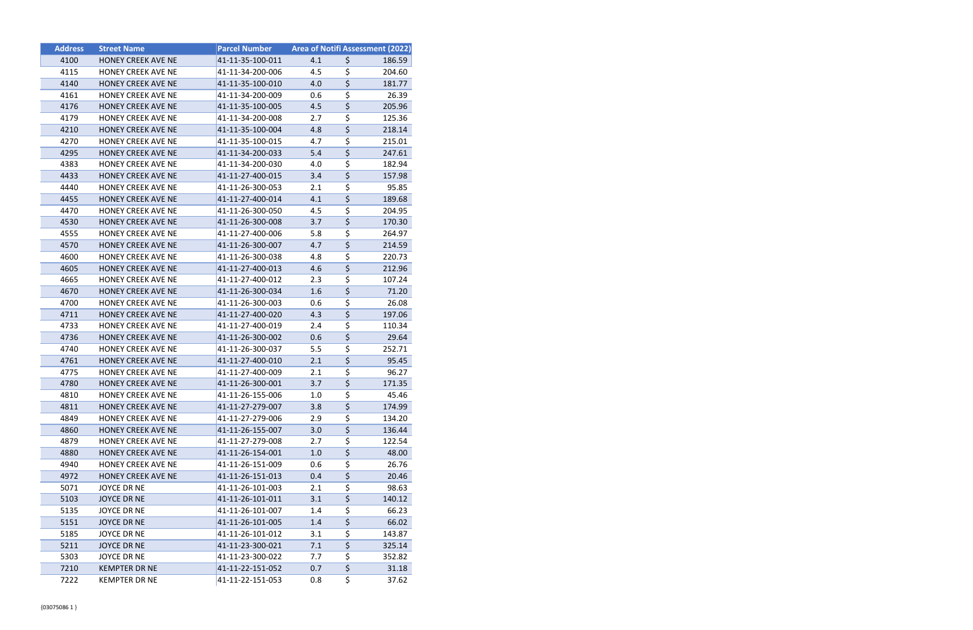| <b>Address</b> | <b>Street Name</b>        | <b>Parcel Number</b> |     | Area of Notifi Assessment (2022)    |        |
|----------------|---------------------------|----------------------|-----|-------------------------------------|--------|
| 4100           | <b>HONEY CREEK AVE NE</b> | 41-11-35-100-011     | 4.1 | \$                                  | 186.59 |
| 4115           | HONEY CREEK AVE NE        | 41-11-34-200-006     | 4.5 | \$                                  | 204.60 |
| 4140           | HONEY CREEK AVE NE        | 41-11-35-100-010     | 4.0 | $\overline{\xi}$                    | 181.77 |
| 4161           | <b>HONEY CREEK AVE NE</b> | 41-11-34-200-009     | 0.6 | \$                                  | 26.39  |
| 4176           | <b>HONEY CREEK AVE NE</b> | 41-11-35-100-005     | 4.5 | \$                                  | 205.96 |
| 4179           | <b>HONEY CREEK AVE NE</b> | 41-11-34-200-008     | 2.7 | \$                                  | 125.36 |
| 4210           | <b>HONEY CREEK AVE NE</b> | 41-11-35-100-004     | 4.8 | $\overline{\boldsymbol{\zeta}}$     | 218.14 |
| 4270           | <b>HONEY CREEK AVE NE</b> | 41-11-35-100-015     | 4.7 | \$                                  | 215.01 |
| 4295           | <b>HONEY CREEK AVE NE</b> | 41-11-34-200-033     | 5.4 | $\overline{\boldsymbol{\varsigma}}$ | 247.61 |
| 4383           | <b>HONEY CREEK AVE NE</b> | 41-11-34-200-030     | 4.0 | \$                                  | 182.94 |
| 4433           | <b>HONEY CREEK AVE NE</b> | 41-11-27-400-015     | 3.4 | \$                                  | 157.98 |
| 4440           | <b>HONEY CREEK AVE NE</b> | 41-11-26-300-053     | 2.1 | \$                                  | 95.85  |
| 4455           | <b>HONEY CREEK AVE NE</b> | 41-11-27-400-014     | 4.1 | $\overline{\boldsymbol{\zeta}}$     | 189.68 |
| 4470           | <b>HONEY CREEK AVE NE</b> | 41-11-26-300-050     | 4.5 | \$                                  | 204.95 |
| 4530           | HONEY CREEK AVE NE        | 41-11-26-300-008     | 3.7 | $\overline{\boldsymbol{\zeta}}$     | 170.30 |
| 4555           | HONEY CREEK AVE NE        | 41-11-27-400-006     | 5.8 | $\overline{\boldsymbol{\zeta}}$     | 264.97 |
| 4570           | <b>HONEY CREEK AVE NE</b> | 41-11-26-300-007     | 4.7 | $\overline{\boldsymbol{\zeta}}$     | 214.59 |
| 4600           | HONEY CREEK AVE NE        | 41-11-26-300-038     | 4.8 | \$                                  | 220.73 |
| 4605           | <b>HONEY CREEK AVE NE</b> | 41-11-27-400-013     | 4.6 | $\overline{\boldsymbol{\zeta}}$     | 212.96 |
| 4665           | HONEY CREEK AVE NE        | 41-11-27-400-012     | 2.3 | \$                                  | 107.24 |
| 4670           | HONEY CREEK AVE NE        | 41-11-26-300-034     | 1.6 | $\overline{\boldsymbol{\zeta}}$     | 71.20  |
| 4700           | <b>HONEY CREEK AVE NE</b> | 41-11-26-300-003     | 0.6 | \$                                  | 26.08  |
| 4711           | <b>HONEY CREEK AVE NE</b> | 41-11-27-400-020     | 4.3 | \$                                  | 197.06 |
| 4733           | <b>HONEY CREEK AVE NE</b> | 41-11-27-400-019     | 2.4 | \$                                  | 110.34 |
| 4736           | HONEY CREEK AVE NE        | 41-11-26-300-002     | 0.6 | $\overline{\boldsymbol{\zeta}}$     | 29.64  |
| 4740           | <b>HONEY CREEK AVE NE</b> | 41-11-26-300-037     | 5.5 | \$                                  | 252.71 |
| 4761           | HONEY CREEK AVE NE        | 41-11-27-400-010     | 2.1 | $\overline{\boldsymbol{\zeta}}$     | 95.45  |
| 4775           | <b>HONEY CREEK AVE NE</b> | 41-11-27-400-009     | 2.1 | \$                                  | 96.27  |
| 4780           | HONEY CREEK AVE NE        | 41-11-26-300-001     | 3.7 | $\overline{\boldsymbol{\zeta}}$     | 171.35 |
| 4810           | <b>HONEY CREEK AVE NE</b> | 41-11-26-155-006     | 1.0 | \$                                  | 45.46  |
| 4811           | HONEY CREEK AVE NE        | 41-11-27-279-007     | 3.8 | \$                                  | 174.99 |
| 4849           | HONEY CREEK AVE NE        | 41-11-27-279-006     | 2.9 | \$                                  | 134.20 |
| 4860           | HONEY CREEK AVE NE        | 41-11-26-155-007     | 3.0 | $\overline{\boldsymbol{\zeta}}$     | 136.44 |
| 4879           | HONEY CREEK AVE NE        | 41-11-27-279-008     | 2.7 | \$                                  | 122.54 |
| 4880           | <b>HONEY CREEK AVE NE</b> | 41-11-26-154-001     | 1.0 | $\overline{\boldsymbol{\zeta}}$     | 48.00  |
| 4940           | <b>HONEY CREEK AVE NE</b> | 41-11-26-151-009     | 0.6 | \$                                  | 26.76  |
| 4972           | <b>HONEY CREEK AVE NE</b> | 41-11-26-151-013     | 0.4 | \$                                  | 20.46  |
| 5071           | JOYCE DR NE               | 41-11-26-101-003     | 2.1 | \$                                  | 98.63  |
| 5103           | <b>JOYCE DR NE</b>        | 41-11-26-101-011     | 3.1 | \$                                  | 140.12 |
| 5135           | JOYCE DR NE               | 41-11-26-101-007     | 1.4 | \$                                  | 66.23  |
| 5151           | <b>JOYCE DR NE</b>        | 41-11-26-101-005     | 1.4 | \$                                  | 66.02  |
| 5185           | JOYCE DR NE               | 41-11-26-101-012     | 3.1 | \$                                  | 143.87 |
| 5211           | JOYCE DR NE               | 41-11-23-300-021     | 7.1 | \$                                  | 325.14 |
| 5303           | JOYCE DR NE               | 41-11-23-300-022     | 7.7 | \$                                  | 352.82 |
| 7210           | <b>KEMPTER DR NE</b>      | 41-11-22-151-052     | 0.7 | $\overline{\boldsymbol{\zeta}}$     | 31.18  |
| 7222           | <b>KEMPTER DR NE</b>      | 41-11-22-151-053     | 0.8 | \$                                  | 37.62  |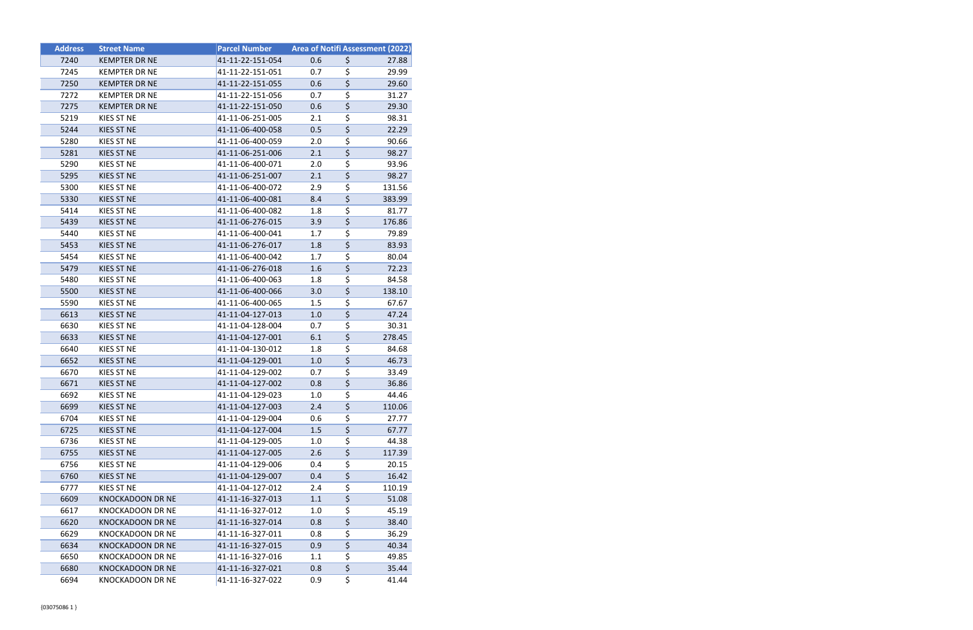| <b>Address</b> | <b>Street Name</b>      | <b>Parcel Number</b> |     |                  | <b>Area of Notifi Assessment (2022)</b> |
|----------------|-------------------------|----------------------|-----|------------------|-----------------------------------------|
| 7240           | <b>KEMPTER DR NE</b>    | 41-11-22-151-054     | 0.6 | \$               | 27.88                                   |
| 7245           | <b>KEMPTER DR NE</b>    | 41-11-22-151-051     | 0.7 | \$               | 29.99                                   |
| 7250           | <b>KEMPTER DR NE</b>    | 41-11-22-151-055     | 0.6 | \$               | 29.60                                   |
| 7272           | <b>KEMPTER DR NE</b>    | 41-11-22-151-056     | 0.7 | \$               | 31.27                                   |
| 7275           | <b>KEMPTER DR NE</b>    | 41-11-22-151-050     | 0.6 | \$               | 29.30                                   |
| 5219           | KIES ST NE              | 41-11-06-251-005     | 2.1 | \$               | 98.31                                   |
| 5244           | <b>KIES ST NE</b>       | 41-11-06-400-058     | 0.5 | \$               | 22.29                                   |
| 5280           | <b>KIES ST NE</b>       | 41-11-06-400-059     | 2.0 | \$               | 90.66                                   |
| 5281           | KIES ST NE              | 41-11-06-251-006     | 2.1 | \$               | 98.27                                   |
| 5290           | <b>KIES ST NE</b>       | 41-11-06-400-071     | 2.0 | \$               | 93.96                                   |
| 5295           | KIES ST NE              | 41-11-06-251-007     | 2.1 | \$               | 98.27                                   |
| 5300           | KIES ST NE              | 41-11-06-400-072     | 2.9 | \$               | 131.56                                  |
| 5330           | KIES ST NE              | 41-11-06-400-081     | 8.4 | \$               | 383.99                                  |
| 5414           | <b>KIES ST NE</b>       | 41-11-06-400-082     | 1.8 | \$               | 81.77                                   |
| 5439           | KIES ST NE              | 41-11-06-276-015     | 3.9 | $\overline{\xi}$ | 176.86                                  |
| 5440           | KIES ST NE              | 41-11-06-400-041     | 1.7 | \$               | 79.89                                   |
| 5453           | <b>KIES ST NE</b>       | 41-11-06-276-017     | 1.8 | \$               | 83.93                                   |
| 5454           | KIES ST NE              | 41-11-06-400-042     | 1.7 | \$               | 80.04                                   |
| 5479           | KIES ST NE              | 41-11-06-276-018     | 1.6 | \$               | 72.23                                   |
| 5480           | KIES ST NE              | 41-11-06-400-063     | 1.8 | \$               | 84.58                                   |
| 5500           | KIES ST NE              | 41-11-06-400-066     | 3.0 | \$               | 138.10                                  |
| 5590           | KIES ST NE              | 41-11-06-400-065     | 1.5 | \$               | 67.67                                   |
| 6613           | KIES ST NE              | 41-11-04-127-013     | 1.0 | \$               | 47.24                                   |
| 6630           | KIES ST NE              | 41-11-04-128-004     | 0.7 | \$               | 30.31                                   |
| 6633           | KIES ST NE              | 41-11-04-127-001     | 6.1 | \$               | 278.45                                  |
| 6640           | <b>KIES ST NE</b>       | 41-11-04-130-012     | 1.8 | \$               | 84.68                                   |
| 6652           | <b>KIES ST NE</b>       | 41-11-04-129-001     | 1.0 | \$               | 46.73                                   |
| 6670           | KIES ST NE              | 41-11-04-129-002     | 0.7 | \$               | 33.49                                   |
| 6671           | <b>KIES ST NE</b>       | 41-11-04-127-002     | 0.8 | \$               | 36.86                                   |
| 6692           | KIES ST NE              | 41-11-04-129-023     | 1.0 | \$               | 44.46                                   |
| 6699           | KIES ST NE              | 41-11-04-127-003     | 2.4 | \$               | 110.06                                  |
| 6704           | KIES ST NE              | 41-11-04-129-004     | 0.6 | \$               | 27.77                                   |
| 6725           | <b>KIES ST NE</b>       | 41-11-04-127-004     | 1.5 | \$               | 67.77                                   |
| 6736           | KIES ST NE              | 41-11-04-129-005     | 1.0 | \$               | 44.38                                   |
| 6755           | <b>KIES ST NE</b>       | 41-11-04-127-005     | 2.6 | \$               | 117.39                                  |
| 6756           | KIES ST NE              | 41-11-04-129-006     | 0.4 | \$               | 20.15                                   |
| 6760           | KIES ST NE              | 41-11-04-129-007     | 0.4 | \$               | 16.42                                   |
| 6777           | KIES ST NE              | 41-11-04-127-012     | 2.4 | \$               | 110.19                                  |
| 6609           | <b>KNOCKADOON DR NE</b> | 41-11-16-327-013     | 1.1 | \$               | 51.08                                   |
| 6617           | <b>KNOCKADOON DR NE</b> | 41-11-16-327-012     | 1.0 | \$               | 45.19                                   |
| 6620           | <b>KNOCKADOON DR NE</b> | 41-11-16-327-014     | 0.8 | \$               | 38.40                                   |
| 6629           | KNOCKADOON DR NE        | 41-11-16-327-011     | 0.8 | \$               | 36.29                                   |
| 6634           | <b>KNOCKADOON DR NE</b> | 41-11-16-327-015     | 0.9 | \$               | 40.34                                   |
| 6650           | <b>KNOCKADOON DR NE</b> | 41-11-16-327-016     | 1.1 | \$               | 49.85                                   |
| 6680           | KNOCKADOON DR NE        | 41-11-16-327-021     | 0.8 | \$               | 35.44                                   |
| 6694           | <b>KNOCKADOON DR NE</b> | 41-11-16-327-022     | 0.9 | \$               | 41.44                                   |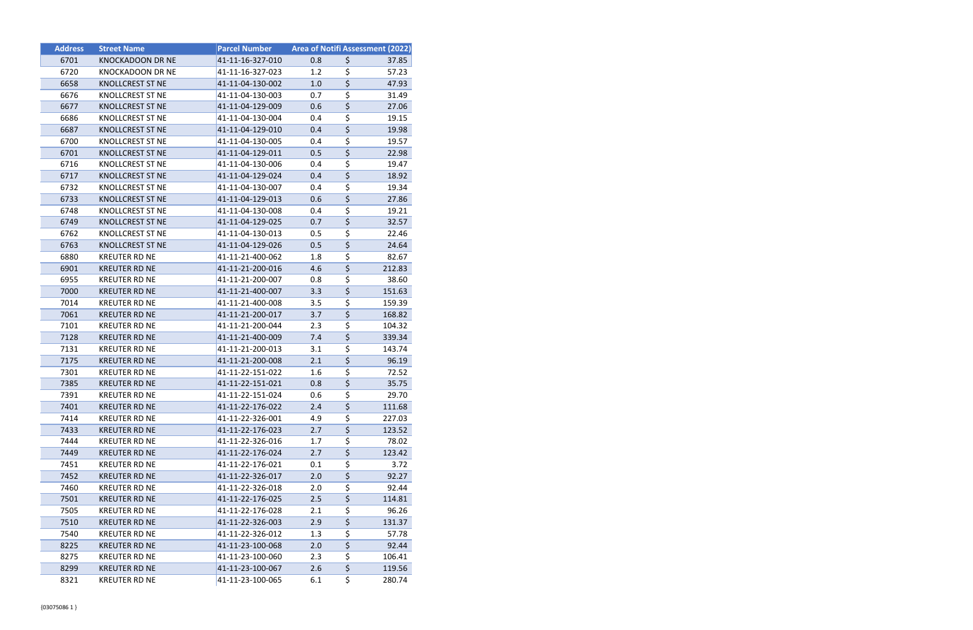| <b>Address</b> | <b>Street Name</b>      | <b>Parcel Number</b> |     |                                     | Area of Notifi Assessment (2022) |
|----------------|-------------------------|----------------------|-----|-------------------------------------|----------------------------------|
| 6701           | <b>KNOCKADOON DR NE</b> | 41-11-16-327-010     | 0.8 | \$                                  | 37.85                            |
| 6720           | <b>KNOCKADOON DR NE</b> | 41-11-16-327-023     | 1.2 | $\overline{\boldsymbol{\zeta}}$     | 57.23                            |
| 6658           | <b>KNOLLCREST ST NE</b> | 41-11-04-130-002     | 1.0 | $\overline{\boldsymbol{\zeta}}$     | 47.93                            |
| 6676           | <b>KNOLLCREST ST NE</b> | 41-11-04-130-003     | 0.7 | $\overline{\boldsymbol{\zeta}}$     | 31.49                            |
| 6677           | <b>KNOLLCREST ST NE</b> | 41-11-04-129-009     | 0.6 | $\overline{\xi}$                    | 27.06                            |
| 6686           | KNOLLCREST ST NE        | 41-11-04-130-004     | 0.4 | \$                                  | 19.15                            |
| 6687           | <b>KNOLLCREST ST NE</b> | 41-11-04-129-010     | 0.4 | \$                                  | 19.98                            |
| 6700           | <b>KNOLLCREST ST NE</b> | 41-11-04-130-005     | 0.4 | $\overline{\boldsymbol{\zeta}}$     | 19.57                            |
| 6701           | <b>KNOLLCREST ST NE</b> | 41-11-04-129-011     | 0.5 | $\overline{\boldsymbol{\zeta}}$     | 22.98                            |
| 6716           | KNOLLCREST ST NE        | 41-11-04-130-006     | 0.4 | $\overline{\boldsymbol{\zeta}}$     | 19.47                            |
| 6717           | <b>KNOLLCREST ST NE</b> | 41-11-04-129-024     | 0.4 | \$                                  | 18.92                            |
| 6732           | KNOLLCREST ST NE        | 41-11-04-130-007     | 0.4 | \$                                  | 19.34                            |
| 6733           | <b>KNOLLCREST ST NE</b> | 41-11-04-129-013     | 0.6 | $\overline{\boldsymbol{\zeta}}$     | 27.86                            |
| 6748           | <b>KNOLLCREST ST NE</b> | 41-11-04-130-008     | 0.4 | \$                                  | 19.21                            |
| 6749           | <b>KNOLLCREST ST NE</b> | 41-11-04-129-025     | 0.7 | $\overline{\varsigma}$              | 32.57                            |
| 6762           | KNOLLCREST ST NE        | 41-11-04-130-013     | 0.5 | $\overline{\boldsymbol{\zeta}}$     | 22.46                            |
| 6763           | <b>KNOLLCREST ST NE</b> | 41-11-04-129-026     | 0.5 | $\overline{\boldsymbol{\varsigma}}$ | 24.64                            |
| 6880           | <b>KREUTER RD NE</b>    | 41-11-21-400-062     | 1.8 | $\overline{\boldsymbol{\zeta}}$     | 82.67                            |
| 6901           | <b>KREUTER RD NE</b>    | 41-11-21-200-016     | 4.6 | \$                                  | 212.83                           |
| 6955           | <b>KREUTER RD NE</b>    | 41-11-21-200-007     | 0.8 | \$                                  | 38.60                            |
| 7000           | <b>KREUTER RD NE</b>    | 41-11-21-400-007     | 3.3 | $\overline{\varsigma}$              | 151.63                           |
| 7014           | <b>KREUTER RD NE</b>    | 41-11-21-400-008     | 3.5 | \$                                  | 159.39                           |
| 7061           | <b>KREUTER RD NE</b>    | 41-11-21-200-017     | 3.7 | $\overline{\boldsymbol{\zeta}}$     | 168.82                           |
| 7101           | KREUTER RD NE           | 41-11-21-200-044     | 2.3 | $\overline{\boldsymbol{\zeta}}$     | 104.32                           |
| 7128           | <b>KREUTER RD NE</b>    | 41-11-21-400-009     | 7.4 | $\overline{\boldsymbol{\varsigma}}$ | 339.34                           |
| 7131           | <b>KREUTER RD NE</b>    | 41-11-21-200-013     | 3.1 | \$                                  | 143.74                           |
| 7175           | <b>KREUTER RD NE</b>    | 41-11-21-200-008     | 2.1 | $\overline{\boldsymbol{\zeta}}$     | 96.19                            |
| 7301           | <b>KREUTER RD NE</b>    | 41-11-22-151-022     | 1.6 | $\overline{\boldsymbol{\zeta}}$     | 72.52                            |
| 7385           | <b>KREUTER RD NE</b>    | 41-11-22-151-021     | 0.8 | $\overline{\boldsymbol{\zeta}}$     | 35.75                            |
| 7391           | <b>KREUTER RD NE</b>    | 41-11-22-151-024     | 0.6 | \$                                  | 29.70                            |
| 7401           | <b>KREUTER RD NE</b>    | 41-11-22-176-022     | 2.4 | \$                                  | 111.68                           |
| 7414           | <b>KREUTER RD NE</b>    | 41-11-22-326-001     | 4.9 | \$                                  | 227.03                           |
| 7433           | <b>KREUTER RD NE</b>    | 41-11-22-176-023     | 2.7 | $\overline{\boldsymbol{\zeta}}$     | 123.52                           |
| 7444           | KREUTER RD NE           | 41-11-22-326-016     | 1.7 | \$                                  | 78.02                            |
| 7449           | <b>KREUTER RD NE</b>    | 41-11-22-176-024     | 2.7 | $\overline{\boldsymbol{\varsigma}}$ | 123.42                           |
| 7451           | <b>KREUTER RD NE</b>    | 41-11-22-176-021     | 0.1 | \$                                  | 3.72                             |
| 7452           | <b>KREUTER RD NE</b>    | 41-11-22-326-017     | 2.0 | $\overline{\boldsymbol{\varsigma}}$ | 92.27                            |
| 7460           | KREUTER RD NE           | 41-11-22-326-018     | 2.0 | \$                                  | 92.44                            |
| 7501           | <b>KREUTER RD NE</b>    | 41-11-22-176-025     | 2.5 | $\overline{\boldsymbol{\zeta}}$     | 114.81                           |
| 7505           | KREUTER RD NE           | 41-11-22-176-028     | 2.1 | $\overline{\boldsymbol{\zeta}}$     | 96.26                            |
| 7510           | <b>KREUTER RD NE</b>    | 41-11-22-326-003     | 2.9 | \$                                  | 131.37                           |
| 7540           | <b>KREUTER RD NE</b>    | 41-11-22-326-012     | 1.3 | \$                                  | 57.78                            |
| 8225           | <b>KREUTER RD NE</b>    | 41-11-23-100-068     | 2.0 | $\overline{\boldsymbol{\varsigma}}$ | 92.44                            |
| 8275           | <b>KREUTER RD NE</b>    | 41-11-23-100-060     | 2.3 | \$                                  | 106.41                           |
| 8299           | <b>KREUTER RD NE</b>    | 41-11-23-100-067     | 2.6 | $\overline{\boldsymbol{\zeta}}$     | 119.56                           |
| 8321           | <b>KREUTER RD NE</b>    | 41-11-23-100-065     | 6.1 | \$                                  | 280.74                           |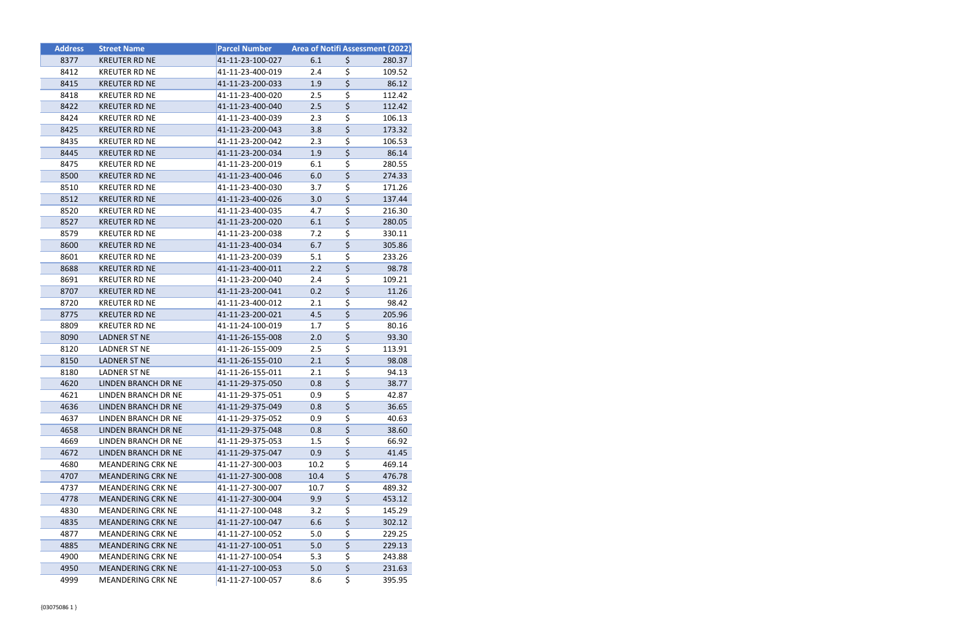| <b>Address</b> | <b>Street Name</b>       | <b>Parcel Number</b> |      |                                     | Area of Notifi Assessment (2022) |
|----------------|--------------------------|----------------------|------|-------------------------------------|----------------------------------|
| 8377           | <b>KREUTER RD NE</b>     | 41-11-23-100-027     | 6.1  | \$                                  | 280.37                           |
| 8412           | <b>KREUTER RD NE</b>     | 41-11-23-400-019     | 2.4  | \$                                  | 109.52                           |
| 8415           | <b>KREUTER RD NE</b>     | 41-11-23-200-033     | 1.9  | $\overline{\boldsymbol{\varsigma}}$ | 86.12                            |
| 8418           | <b>KREUTER RD NE</b>     | 41-11-23-400-020     | 2.5  | \$                                  | 112.42                           |
| 8422           | <b>KREUTER RD NE</b>     | 41-11-23-400-040     | 2.5  | \$                                  | 112.42                           |
| 8424           | <b>KREUTER RD NE</b>     | 41-11-23-400-039     | 2.3  | \$                                  | 106.13                           |
| 8425           | <b>KREUTER RD NE</b>     | 41-11-23-200-043     | 3.8  | \$                                  | 173.32                           |
| 8435           | <b>KREUTER RD NE</b>     | 41-11-23-200-042     | 2.3  | \$                                  | 106.53                           |
| 8445           | <b>KREUTER RD NE</b>     | 41-11-23-200-034     | 1.9  | \$                                  | 86.14                            |
| 8475           | <b>KREUTER RD NE</b>     | 41-11-23-200-019     | 6.1  | \$                                  | 280.55                           |
| 8500           | <b>KREUTER RD NE</b>     | 41-11-23-400-046     | 6.0  | $\overline{\boldsymbol{\zeta}}$     | 274.33                           |
| 8510           | <b>KREUTER RD NE</b>     | 41-11-23-400-030     | 3.7  | \$                                  | 171.26                           |
| 8512           | <b>KREUTER RD NE</b>     | 41-11-23-400-026     | 3.0  | $\overline{\boldsymbol{\zeta}}$     | 137.44                           |
| 8520           | <b>KREUTER RD NE</b>     | 41-11-23-400-035     | 4.7  | \$                                  | 216.30                           |
| 8527           | <b>KREUTER RD NE</b>     | 41-11-23-200-020     | 6.1  | $\overline{\boldsymbol{\zeta}}$     | 280.05                           |
| 8579           | <b>KREUTER RD NE</b>     | 41-11-23-200-038     | 7.2  | \$                                  | 330.11                           |
| 8600           | <b>KREUTER RD NE</b>     | 41-11-23-400-034     | 6.7  | $\overline{\boldsymbol{\zeta}}$     | 305.86                           |
| 8601           | <b>KREUTER RD NE</b>     | 41-11-23-200-039     | 5.1  | \$                                  | 233.26                           |
| 8688           | <b>KREUTER RD NE</b>     | 41-11-23-400-011     | 2.2  | $\overline{\boldsymbol{\zeta}}$     | 98.78                            |
| 8691           | <b>KREUTER RD NE</b>     | 41-11-23-200-040     | 2.4  | \$                                  | 109.21                           |
| 8707           | <b>KREUTER RD NE</b>     | 41-11-23-200-041     | 0.2  | $\overline{\boldsymbol{\zeta}}$     | 11.26                            |
| 8720           | <b>KREUTER RD NE</b>     | 41-11-23-400-012     | 2.1  | \$                                  | 98.42                            |
| 8775           | <b>KREUTER RD NE</b>     | 41-11-23-200-021     | 4.5  | \$                                  | 205.96                           |
| 8809           | <b>KREUTER RD NE</b>     | 41-11-24-100-019     | 1.7  | \$                                  | 80.16                            |
| 8090           | LADNER ST NE             | 41-11-26-155-008     | 2.0  | \$                                  | 93.30                            |
| 8120           | LADNER ST NE             | 41-11-26-155-009     | 2.5  | \$                                  | 113.91                           |
| 8150           | <b>LADNER ST NE</b>      | 41-11-26-155-010     | 2.1  | $\overline{\boldsymbol{\zeta}}$     | 98.08                            |
| 8180           | <b>LADNER ST NE</b>      | 41-11-26-155-011     | 2.1  | \$                                  | 94.13                            |
| 4620           | LINDEN BRANCH DR NE      | 41-11-29-375-050     | 0.8  | $\overline{\boldsymbol{\zeta}}$     | 38.77                            |
| 4621           | LINDEN BRANCH DR NE      | 41-11-29-375-051     | 0.9  | $\overline{\boldsymbol{\zeta}}$     | 42.87                            |
| 4636           | LINDEN BRANCH DR NE      | 41-11-29-375-049     | 0.8  | \$                                  | 36.65                            |
| 4637           | LINDEN BRANCH DR NE      | 41-11-29-375-052     | 0.9  | \$                                  | 40.63                            |
| 4658           | LINDEN BRANCH DR NE      | 41-11-29-375-048     | 0.8  | $\overline{\boldsymbol{\zeta}}$     | 38.60                            |
| 4669           | LINDEN BRANCH DR NE      | 41-11-29-375-053     | 1.5  | \$                                  | 66.92                            |
| 4672           | LINDEN BRANCH DR NE      | 41-11-29-375-047     | 0.9  | \$                                  | 41.45                            |
| 4680           | <b>MEANDERING CRK NE</b> | 41-11-27-300-003     | 10.2 | \$                                  | 469.14                           |
| 4707           | <b>MEANDERING CRK NE</b> | 41-11-27-300-008     | 10.4 | \$                                  | 476.78                           |
| 4737           | <b>MEANDERING CRK NE</b> | 41-11-27-300-007     | 10.7 | \$                                  | 489.32                           |
| 4778           | <b>MEANDERING CRK NE</b> | 41-11-27-300-004     | 9.9  | \$                                  | 453.12                           |
| 4830           | <b>MEANDERING CRK NE</b> | 41-11-27-100-048     | 3.2  | \$                                  | 145.29                           |
| 4835           | <b>MEANDERING CRK NE</b> | 41-11-27-100-047     | 6.6  | $\overline{\boldsymbol{\zeta}}$     | 302.12                           |
| 4877           | <b>MEANDERING CRK NE</b> | 41-11-27-100-052     | 5.0  | \$                                  | 229.25                           |
| 4885           | <b>MEANDERING CRK NE</b> | 41-11-27-100-051     | 5.0  | \$                                  | 229.13                           |
| 4900           | <b>MEANDERING CRK NE</b> | 41-11-27-100-054     | 5.3  | \$                                  | 243.88                           |
| 4950           | <b>MEANDERING CRK NE</b> | 41-11-27-100-053     | 5.0  | $\overline{\xi}$                    | 231.63                           |
| 4999           | <b>MEANDERING CRK NE</b> | 41-11-27-100-057     | 8.6  | \$                                  | 395.95                           |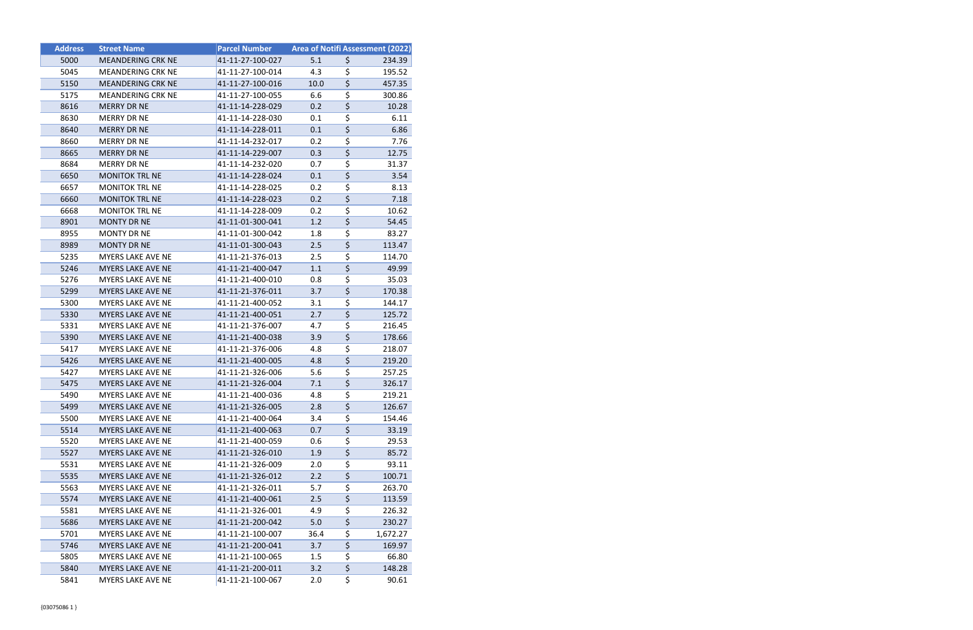| <b>Address</b> | <b>Street Name</b>       | <b>Parcel Number</b> | Area of Notifi Assessment (2022) |                                     |          |
|----------------|--------------------------|----------------------|----------------------------------|-------------------------------------|----------|
| 5000           | <b>MEANDERING CRK NE</b> | 41-11-27-100-027     | 5.1                              | \$                                  | 234.39   |
| 5045           | <b>MEANDERING CRK NE</b> | 41-11-27-100-014     | 4.3                              | \$                                  | 195.52   |
| 5150           | <b>MEANDERING CRK NE</b> | 41-11-27-100-016     | 10.0                             | $\overline{\varsigma}$              | 457.35   |
| 5175           | <b>MEANDERING CRK NE</b> | 41-11-27-100-055     | 6.6                              | \$                                  | 300.86   |
| 8616           | <b>MERRY DR NE</b>       | 41-11-14-228-029     | 0.2                              | $\overline{\boldsymbol{\varsigma}}$ | 10.28    |
| 8630           | MERRY DR NE              | 41-11-14-228-030     | 0.1                              | \$                                  | 6.11     |
| 8640           | <b>MERRY DR NE</b>       | 41-11-14-228-011     | 0.1                              | \$                                  | 6.86     |
| 8660           | <b>MERRY DR NE</b>       | 41-11-14-232-017     | 0.2                              | \$                                  | 7.76     |
| 8665           | <b>MERRY DR NE</b>       | 41-11-14-229-007     | 0.3                              | \$                                  | 12.75    |
| 8684           | <b>MERRY DR NE</b>       | 41-11-14-232-020     | 0.7                              | \$                                  | 31.37    |
| 6650           | <b>MONITOK TRL NE</b>    | 41-11-14-228-024     | 0.1                              | $\overline{\xi}$                    | 3.54     |
| 6657           | <b>MONITOK TRL NE</b>    | 41-11-14-228-025     | 0.2                              | \$                                  | 8.13     |
| 6660           | <b>MONITOK TRL NE</b>    | 41-11-14-228-023     | 0.2                              | $\overline{\xi}$                    | 7.18     |
| 6668           | <b>MONITOK TRL NE</b>    | 41-11-14-228-009     | 0.2                              | \$                                  | 10.62    |
| 8901           | <b>MONTY DR NE</b>       | 41-11-01-300-041     | 1.2                              | $\overline{\varsigma}$              | 54.45    |
| 8955           | <b>MONTY DR NE</b>       | 41-11-01-300-042     | 1.8                              | $\overline{\boldsymbol{\zeta}}$     | 83.27    |
| 8989           | <b>MONTY DR NE</b>       | 41-11-01-300-043     | 2.5                              | $\overline{\xi}$                    | 113.47   |
| 5235           | <b>MYERS LAKE AVE NE</b> | 41-11-21-376-013     | 2.5                              | \$                                  | 114.70   |
| 5246           | <b>MYERS LAKE AVE NE</b> | 41-11-21-400-047     | 1.1                              | $\overline{\boldsymbol{\zeta}}$     | 49.99    |
| 5276           | MYERS LAKE AVE NE        | 41-11-21-400-010     | 0.8                              | \$                                  | 35.03    |
| 5299           | MYERS LAKE AVE NE        | 41-11-21-376-011     | 3.7                              | \$                                  | 170.38   |
| 5300           | MYERS LAKE AVE NE        | 41-11-21-400-052     | 3.1                              | $\overline{\boldsymbol{\zeta}}$     | 144.17   |
| 5330           | <b>MYERS LAKE AVE NE</b> | 41-11-21-400-051     | 2.7                              | $\overline{\boldsymbol{\zeta}}$     | 125.72   |
| 5331           | MYERS LAKE AVE NE        | 41-11-21-376-007     | 4.7                              | \$                                  | 216.45   |
| 5390           | MYERS LAKE AVE NE        | 41-11-21-400-038     | 3.9                              | $\overline{\boldsymbol{\zeta}}$     | 178.66   |
| 5417           | <b>MYERS LAKE AVE NE</b> | 41-11-21-376-006     | 4.8                              | \$                                  | 218.07   |
| 5426           | MYERS LAKE AVE NE        | 41-11-21-400-005     | 4.8                              | $\overline{\boldsymbol{\zeta}}$     | 219.20   |
| 5427           | MYERS LAKE AVE NE        | 41-11-21-326-006     | 5.6                              | $\overline{\boldsymbol{\zeta}}$     | 257.25   |
| 5475           | <b>MYERS LAKE AVE NE</b> | 41-11-21-326-004     | 7.1                              | $\overline{\boldsymbol{\zeta}}$     | 326.17   |
| 5490           | MYERS LAKE AVE NE        | 41-11-21-400-036     | 4.8                              | $\overline{\boldsymbol{\zeta}}$     | 219.21   |
| 5499           | MYERS LAKE AVE NE        | 41-11-21-326-005     | 2.8                              | \$                                  | 126.67   |
| 5500           | MYERS LAKE AVE NE        | 41-11-21-400-064     | 3.4                              | \$                                  | 154.46   |
| 5514           | MYERS LAKE AVE NE        | 41-11-21-400-063     | 0.7                              | \$                                  | 33.19    |
| 5520           | MYERS LAKE AVE NE        | 41-11-21-400-059     | 0.6                              | $\overline{\boldsymbol{\zeta}}$     | 29.53    |
| 5527           | <b>MYERS LAKE AVE NE</b> | 41-11-21-326-010     | 1.9                              | $\overline{\xi}$                    | 85.72    |
| 5531           | MYERS LAKE AVE NE        | 41-11-21-326-009     | 2.0                              | \$                                  | 93.11    |
| 5535           | <b>MYERS LAKE AVE NE</b> | 41-11-21-326-012     | 2.2                              | \$                                  | 100.71   |
| 5563           | MYERS LAKE AVE NE        | 41-11-21-326-011     | 5.7                              | \$                                  | 263.70   |
| 5574           | MYERS LAKE AVE NE        | 41-11-21-400-061     | 2.5                              | \$                                  | 113.59   |
| 5581           | MYERS LAKE AVE NE        | 41-11-21-326-001     | 4.9                              | \$                                  | 226.32   |
| 5686           | <b>MYERS LAKE AVE NE</b> | 41-11-21-200-042     | 5.0                              | \$                                  | 230.27   |
| 5701           | <b>MYERS LAKE AVE NE</b> | 41-11-21-100-007     | 36.4                             | \$                                  | 1,672.27 |
| 5746           | <b>MYERS LAKE AVE NE</b> | 41-11-21-200-041     | 3.7                              | \$                                  | 169.97   |
| 5805           | MYERS LAKE AVE NE        | 41-11-21-100-065     | 1.5                              | $\overline{\boldsymbol{\zeta}}$     | 66.80    |
| 5840           | MYERS LAKE AVE NE        | 41-11-21-200-011     | 3.2                              | \$                                  | 148.28   |
| 5841           | MYERS LAKE AVE NE        | 41-11-21-100-067     | 2.0                              | \$                                  | 90.61    |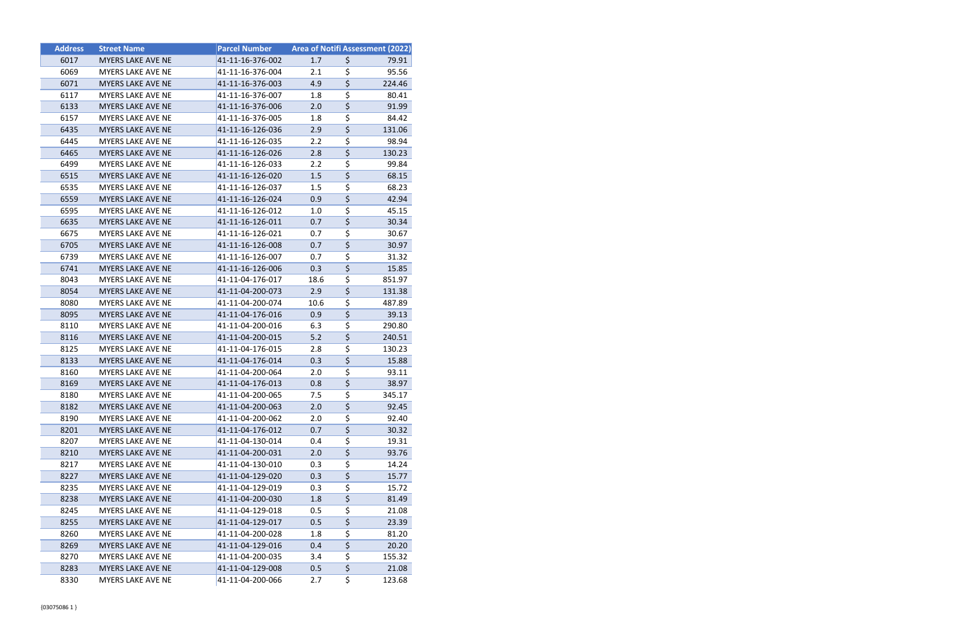| <b>Address</b> | <b>Street Name</b>       | <b>Parcel Number</b> | <b>Area of Notifi Assessment (2022)</b> |                                       |        |
|----------------|--------------------------|----------------------|-----------------------------------------|---------------------------------------|--------|
| 6017           | <b>MYERS LAKE AVE NE</b> | 41-11-16-376-002     | 1.7                                     | \$                                    | 79.91  |
| 6069           | MYERS LAKE AVE NE        | 41-11-16-376-004     | 2.1                                     | \$                                    | 95.56  |
| 6071           | <b>MYERS LAKE AVE NE</b> | 41-11-16-376-003     | 4.9                                     | $\overline{\boldsymbol{\varsigma}}$   | 224.46 |
| 6117           | <b>MYERS LAKE AVE NE</b> | 41-11-16-376-007     | 1.8                                     | \$                                    | 80.41  |
| 6133           | <b>MYERS LAKE AVE NE</b> | 41-11-16-376-006     | 2.0                                     | $\overline{\boldsymbol{\zeta}}$       | 91.99  |
| 6157           | MYERS LAKE AVE NE        | 41-11-16-376-005     | 1.8                                     | \$                                    | 84.42  |
| 6435           | <b>MYERS LAKE AVE NE</b> | 41-11-16-126-036     | 2.9                                     | $\overline{\boldsymbol{\zeta}}$       | 131.06 |
| 6445           | <b>MYERS LAKE AVE NE</b> | 41-11-16-126-035     | $2.2\phantom{0}$                        | \$                                    | 98.94  |
| 6465           | <b>MYERS LAKE AVE NE</b> | 41-11-16-126-026     | 2.8                                     | $\overline{\boldsymbol{\varsigma}}$   | 130.23 |
| 6499           | <b>MYERS LAKE AVE NE</b> | 41-11-16-126-033     | $2.2\,$                                 | \$                                    | 99.84  |
| 6515           | <b>MYERS LAKE AVE NE</b> | 41-11-16-126-020     | 1.5                                     | \$                                    | 68.15  |
| 6535           | MYERS LAKE AVE NE        | 41-11-16-126-037     | $1.5\,$                                 | \$                                    | 68.23  |
| 6559           | <b>MYERS LAKE AVE NE</b> | 41-11-16-126-024     | 0.9                                     | $\overline{\boldsymbol{\zeta}}$       | 42.94  |
| 6595           | <b>MYERS LAKE AVE NE</b> | 41-11-16-126-012     | 1.0                                     | \$                                    | 45.15  |
| 6635           | MYERS LAKE AVE NE        | 41-11-16-126-011     | 0.7                                     | $\overline{\boldsymbol{\zeta}}$       | 30.34  |
| 6675           | <b>MYERS LAKE AVE NE</b> | 41-11-16-126-021     | 0.7                                     | \$                                    | 30.67  |
| 6705           | <b>MYERS LAKE AVE NE</b> | 41-11-16-126-008     | 0.7                                     | $\overline{\boldsymbol{\zeta}}$       | 30.97  |
| 6739           | <b>MYERS LAKE AVE NE</b> | 41-11-16-126-007     | 0.7                                     | \$                                    | 31.32  |
| 6741           | <b>MYERS LAKE AVE NE</b> | 41-11-16-126-006     | 0.3                                     | $\overline{\boldsymbol{\varsigma}}$   | 15.85  |
| 8043           | MYERS LAKE AVE NE        | 41-11-04-176-017     | 18.6                                    | \$                                    | 851.97 |
| 8054           | MYERS LAKE AVE NE        | 41-11-04-200-073     | 2.9                                     | $\overline{\boldsymbol{\zeta}}$       | 131.38 |
| 8080           | <b>MYERS LAKE AVE NE</b> | 41-11-04-200-074     | 10.6                                    | \$                                    | 487.89 |
| 8095           | <b>MYERS LAKE AVE NE</b> | 41-11-04-176-016     | 0.9                                     | \$                                    | 39.13  |
| 8110           | <b>MYERS LAKE AVE NE</b> | 41-11-04-200-016     | 6.3                                     | \$                                    | 290.80 |
| 8116           | MYERS LAKE AVE NE        | 41-11-04-200-015     | 5.2                                     | $\overline{\boldsymbol{\zeta}}$       | 240.51 |
| 8125           | <b>MYERS LAKE AVE NE</b> | 41-11-04-176-015     | 2.8                                     | \$                                    | 130.23 |
| 8133           | MYERS LAKE AVE NE        | 41-11-04-176-014     | 0.3                                     | $\overline{\boldsymbol{\zeta}}$       | 15.88  |
| 8160           | MYERS LAKE AVE NE        | 41-11-04-200-064     | 2.0                                     | \$                                    | 93.11  |
| 8169           | <b>MYERS LAKE AVE NE</b> | 41-11-04-176-013     | 0.8                                     | $\overline{\boldsymbol{\zeta}}$       | 38.97  |
| 8180           | MYERS LAKE AVE NE        | 41-11-04-200-065     | 7.5                                     | $\overline{\boldsymbol{\zeta}}$       | 345.17 |
| 8182           | MYERS LAKE AVE NE        | 41-11-04-200-063     | 2.0                                     | \$                                    | 92.45  |
| 8190           | <b>MYERS LAKE AVE NE</b> | 41-11-04-200-062     | 2.0                                     | \$                                    | 92.40  |
| 8201           | MYERS LAKE AVE NE        | 41-11-04-176-012     | 0.7                                     | $\overline{\boldsymbol{\zeta}}$       | 30.32  |
| 8207           | MYERS LAKE AVE NE        | 41-11-04-130-014     | 0.4                                     | \$                                    | 19.31  |
| 8210           | <b>MYERS LAKE AVE NE</b> | 41-11-04-200-031     | 2.0                                     | $\overline{\boldsymbol{\zeta}}$       | 93.76  |
| 8217           | MYERS LAKE AVE NE        | 41-11-04-130-010     | 0.3                                     | \$                                    | 14.24  |
| 8227           | <b>MYERS LAKE AVE NE</b> | 41-11-04-129-020     | 0.3                                     | \$                                    | 15.77  |
| 8235           | <b>MYERS LAKE AVE NE</b> | 41-11-04-129-019     | 0.3                                     | \$                                    | 15.72  |
| 8238           | MYERS LAKE AVE NE        | 41-11-04-200-030     | 1.8                                     | \$                                    | 81.49  |
| 8245           | MYERS LAKE AVE NE        | 41-11-04-129-018     | 0.5                                     | \$                                    | 21.08  |
| 8255           | MYERS LAKE AVE NE        | 41-11-04-129-017     | 0.5                                     | \$                                    | 23.39  |
| 8260           | <b>MYERS LAKE AVE NE</b> | 41-11-04-200-028     | 1.8                                     | \$                                    | 81.20  |
| 8269           | MYERS LAKE AVE NE        | 41-11-04-129-016     | 0.4                                     | \$                                    | 20.20  |
| 8270           | MYERS LAKE AVE NE        | 41-11-04-200-035     | 3.4                                     | \$<br>$\overline{\boldsymbol{\zeta}}$ | 155.32 |
| 8283           | <b>MYERS LAKE AVE NE</b> | 41-11-04-129-008     | 0.5                                     | \$                                    | 21.08  |
| 8330           | MYERS LAKE AVE NE        | 41-11-04-200-066     | 2.7                                     |                                       | 123.68 |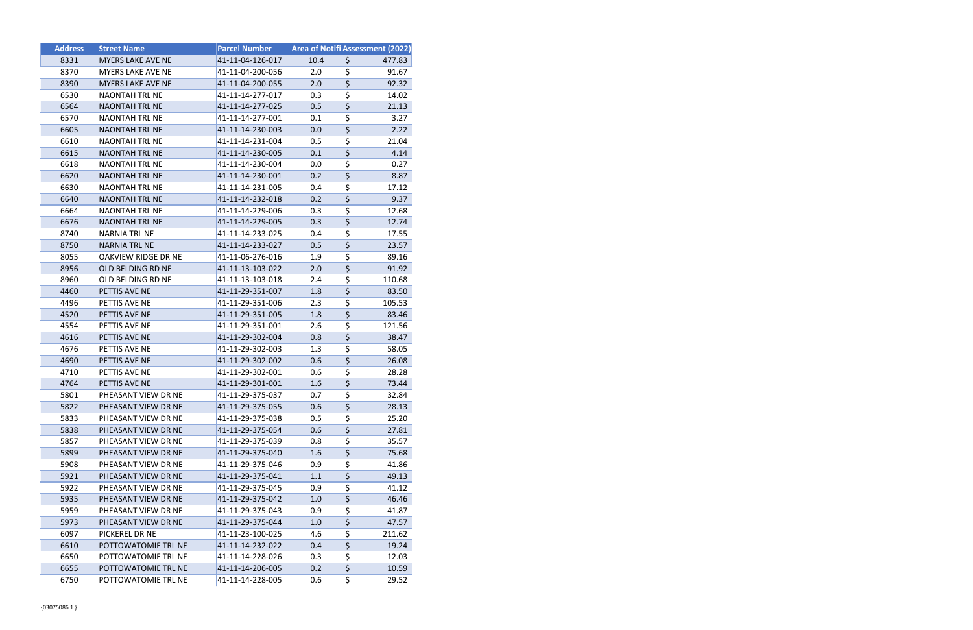| <b>Address</b> | <b>Street Name</b>       | <b>Parcel Number</b> | <b>Area of Notifi Assessment (2022)</b> |                                 |        |
|----------------|--------------------------|----------------------|-----------------------------------------|---------------------------------|--------|
| 8331           | MYERS LAKE AVE NE        | 41-11-04-126-017     | 10.4                                    | \$                              | 477.83 |
| 8370           | MYERS LAKE AVE NE        | 41-11-04-200-056     | 2.0                                     | \$                              | 91.67  |
| 8390           | <b>MYERS LAKE AVE NE</b> | 41-11-04-200-055     | 2.0                                     | $\overline{\boldsymbol{\zeta}}$ | 92.32  |
| 6530           | <b>NAONTAH TRL NE</b>    | 41-11-14-277-017     | 0.3                                     | \$                              | 14.02  |
| 6564           | <b>NAONTAH TRL NE</b>    | 41-11-14-277-025     | 0.5                                     | \$                              | 21.13  |
| 6570           | <b>NAONTAH TRL NE</b>    | 41-11-14-277-001     | 0.1                                     | \$                              | 3.27   |
| 6605           | <b>NAONTAH TRL NE</b>    | 41-11-14-230-003     | 0.0                                     | \$                              | 2.22   |
| 6610           | <b>NAONTAH TRL NE</b>    | 41-11-14-231-004     | 0.5                                     | \$                              | 21.04  |
| 6615           | <b>NAONTAH TRL NE</b>    | 41-11-14-230-005     | 0.1                                     | \$                              | 4.14   |
| 6618           | <b>NAONTAH TRL NE</b>    | 41-11-14-230-004     | 0.0                                     | \$                              | 0.27   |
| 6620           | <b>NAONTAH TRL NE</b>    | 41-11-14-230-001     | 0.2                                     | \$                              | 8.87   |
| 6630           | <b>NAONTAH TRL NE</b>    | 41-11-14-231-005     | 0.4                                     | \$                              | 17.12  |
| 6640           | <b>NAONTAH TRL NE</b>    | 41-11-14-232-018     | 0.2                                     | \$                              | 9.37   |
| 6664           | <b>NAONTAH TRL NE</b>    | 41-11-14-229-006     | 0.3                                     | \$                              | 12.68  |
| 6676           | <b>NAONTAH TRL NE</b>    | 41-11-14-229-005     | 0.3                                     | \$                              | 12.74  |
| 8740           | NARNIA TRL NE            | 41-11-14-233-025     | 0.4                                     | \$                              | 17.55  |
| 8750           | <b>NARNIA TRL NE</b>     | 41-11-14-233-027     | 0.5                                     | \$                              | 23.57  |
| 8055           | OAKVIEW RIDGE DR NE      | 41-11-06-276-016     | 1.9                                     | \$                              | 89.16  |
| 8956           | OLD BELDING RD NE        | 41-11-13-103-022     | 2.0                                     | $\overline{\boldsymbol{\zeta}}$ | 91.92  |
| 8960           | OLD BELDING RD NE        | 41-11-13-103-018     | 2.4                                     | \$                              | 110.68 |
| 4460           | PETTIS AVE NE            | 41-11-29-351-007     | 1.8                                     | \$                              | 83.50  |
| 4496           | PETTIS AVE NE            | 41-11-29-351-006     | 2.3                                     | \$                              | 105.53 |
| 4520           | PETTIS AVE NE            | 41-11-29-351-005     | 1.8                                     | \$                              | 83.46  |
| 4554           | PETTIS AVE NE            | 41-11-29-351-001     | 2.6                                     | \$                              | 121.56 |
| 4616           | PETTIS AVE NE            | 41-11-29-302-004     | 0.8                                     | $\overline{\boldsymbol{\zeta}}$ | 38.47  |
| 4676           | PETTIS AVE NE            | 41-11-29-302-003     | 1.3                                     | \$                              | 58.05  |
| 4690           | PETTIS AVE NE            | 41-11-29-302-002     | 0.6                                     | \$                              | 26.08  |
| 4710           | PETTIS AVE NE            | 41-11-29-302-001     | 0.6                                     | \$                              | 28.28  |
| 4764           | PETTIS AVE NE            | 41-11-29-301-001     | 1.6                                     | $\overline{\boldsymbol{\zeta}}$ | 73.44  |
| 5801           | PHEASANT VIEW DR NE      | 41-11-29-375-037     | 0.7                                     | \$                              | 32.84  |
| 5822           | PHEASANT VIEW DR NE      | 41-11-29-375-055     | 0.6                                     | \$                              | 28.13  |
| 5833           | PHEASANT VIEW DR NE      | 41-11-29-375-038     | 0.5                                     | \$                              | 25.20  |
| 5838           | PHEASANT VIEW DR NE      | 41-11-29-375-054     | 0.6                                     | \$                              | 27.81  |
| 5857           | PHEASANT VIEW DR NE      | 41-11-29-375-039     | 0.8                                     | \$                              | 35.57  |
| 5899           | PHEASANT VIEW DR NE      | 41-11-29-375-040     | 1.6                                     | \$                              | 75.68  |
| 5908           | PHEASANT VIEW DR NE      | 41-11-29-375-046     | 0.9                                     | \$                              | 41.86  |
| 5921           | PHEASANT VIEW DR NE      | 41-11-29-375-041     | 1.1                                     | \$                              | 49.13  |
| 5922           | PHEASANT VIEW DR NE      | 41-11-29-375-045     | 0.9                                     | \$                              | 41.12  |
| 5935           | PHEASANT VIEW DR NE      | 41-11-29-375-042     | 1.0                                     | \$                              | 46.46  |
| 5959           | PHEASANT VIEW DR NE      | 41-11-29-375-043     | 0.9                                     | \$                              | 41.87  |
| 5973           | PHEASANT VIEW DR NE      | 41-11-29-375-044     | 1.0                                     | \$                              | 47.57  |
| 6097           | PICKEREL DR NE           | 41-11-23-100-025     | 4.6                                     | \$                              | 211.62 |
| 6610           | POTTOWATOMIE TRL NE      | 41-11-14-232-022     | 0.4                                     | \$                              | 19.24  |
| 6650           | POTTOWATOMIE TRL NE      | 41-11-14-228-026     | 0.3                                     | \$                              | 12.03  |
| 6655           | POTTOWATOMIE TRL NE      | 41-11-14-206-005     | 0.2                                     | \$                              | 10.59  |
| 6750           | POTTOWATOMIE TRL NE      | 41-11-14-228-005     | 0.6                                     | \$                              | 29.52  |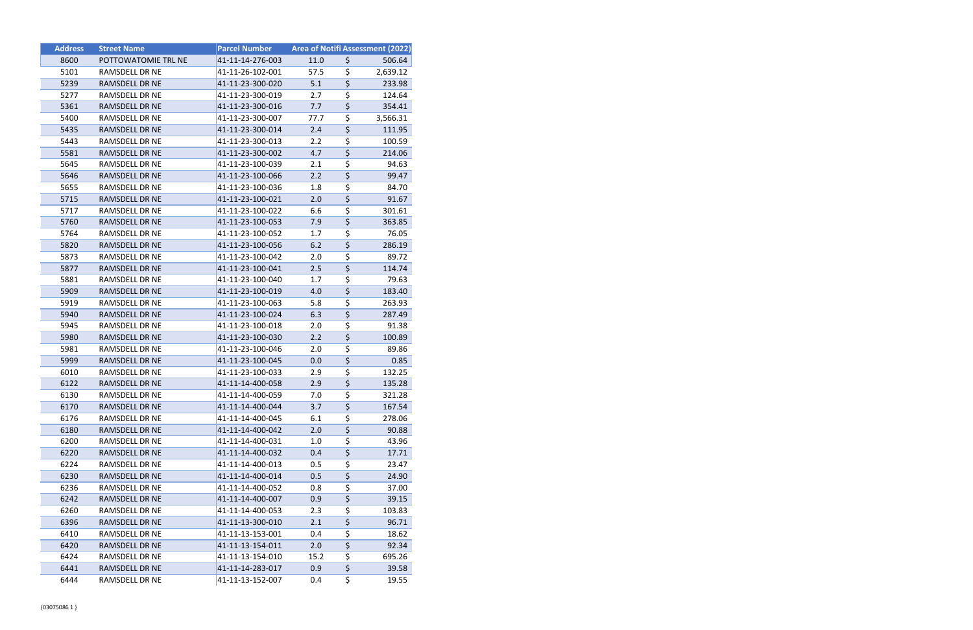| <b>Address</b> | <b>Street Name</b>  | <b>Parcel Number</b> |      |                                     | <b>Area of Notifi Assessment (2022)</b> |
|----------------|---------------------|----------------------|------|-------------------------------------|-----------------------------------------|
| 8600           | POTTOWATOMIE TRL NE | 41-11-14-276-003     | 11.0 | \$                                  | 506.64                                  |
| 5101           | RAMSDELL DR NE      | 41-11-26-102-001     | 57.5 | \$                                  | 2,639.12                                |
| 5239           | RAMSDELL DR NE      | 41-11-23-300-020     | 5.1  | \$                                  | 233.98                                  |
| 5277           | RAMSDELL DR NE      | 41-11-23-300-019     | 2.7  | \$                                  | 124.64                                  |
| 5361           | RAMSDELL DR NE      | 41-11-23-300-016     | 7.7  | $\overline{\varsigma}$              | 354.41                                  |
| 5400           | RAMSDELL DR NE      | 41-11-23-300-007     | 77.7 | \$                                  | 3,566.31                                |
| 5435           | RAMSDELL DR NE      | 41-11-23-300-014     | 2.4  | \$                                  | 111.95                                  |
| 5443           | RAMSDELL DR NE      | 41-11-23-300-013     | 2.2  | \$                                  | 100.59                                  |
| 5581           | RAMSDELL DR NE      | 41-11-23-300-002     | 4.7  | $\overline{\boldsymbol{\zeta}}$     | 214.06                                  |
| 5645           | RAMSDELL DR NE      | 41-11-23-100-039     | 2.1  | \$                                  | 94.63                                   |
| 5646           | RAMSDELL DR NE      | 41-11-23-100-066     | 2.2  | $\overline{\boldsymbol{\zeta}}$     | 99.47                                   |
| 5655           | RAMSDELL DR NE      | 41-11-23-100-036     | 1.8  | \$                                  | 84.70                                   |
| 5715           | RAMSDELL DR NE      | 41-11-23-100-021     | 2.0  | $\overline{\boldsymbol{\varsigma}}$ | 91.67                                   |
| 5717           | RAMSDELL DR NE      | 41-11-23-100-022     | 6.6  | $\overline{\boldsymbol{\zeta}}$     | 301.61                                  |
| 5760           | RAMSDELL DR NE      | 41-11-23-100-053     | 7.9  | $\overline{\xi}$                    | 363.85                                  |
| 5764           | RAMSDELL DR NE      | 41-11-23-100-052     | 1.7  | \$                                  | 76.05                                   |
| 5820           | RAMSDELL DR NE      | 41-11-23-100-056     | 6.2  | $\overline{\boldsymbol{\varsigma}}$ | 286.19                                  |
| 5873           | RAMSDELL DR NE      | 41-11-23-100-042     | 2.0  | \$                                  | 89.72                                   |
| 5877           | RAMSDELL DR NE      | 41-11-23-100-041     | 2.5  | $\overline{\boldsymbol{\zeta}}$     | 114.74                                  |
| 5881           | RAMSDELL DR NE      | 41-11-23-100-040     | 1.7  | $\overline{\boldsymbol{\zeta}}$     | 79.63                                   |
| 5909           | RAMSDELL DR NE      | 41-11-23-100-019     | 4.0  | $\overline{\boldsymbol{\zeta}}$     | 183.40                                  |
| 5919           | RAMSDELL DR NE      | 41-11-23-100-063     | 5.8  | $\overline{\boldsymbol{\zeta}}$     | 263.93                                  |
| 5940           | RAMSDELL DR NE      | 41-11-23-100-024     | 6.3  | $\overline{\boldsymbol{\zeta}}$     | 287.49                                  |
| 5945           | RAMSDELL DR NE      | 41-11-23-100-018     | 2.0  | $\overline{\boldsymbol{\zeta}}$     | 91.38                                   |
| 5980           | RAMSDELL DR NE      | 41-11-23-100-030     | 2.2  | $\overline{\boldsymbol{\zeta}}$     | 100.89                                  |
| 5981           | RAMSDELL DR NE      | 41-11-23-100-046     | 2.0  | \$                                  | 89.86                                   |
| 5999           | RAMSDELL DR NE      | 41-11-23-100-045     | 0.0  | $\overline{\xi}$                    | 0.85                                    |
| 6010           | RAMSDELL DR NE      | 41-11-23-100-033     | 2.9  | $\overline{\boldsymbol{\zeta}}$     | 132.25                                  |
| 6122           | RAMSDELL DR NE      | 41-11-14-400-058     | 2.9  | $\overline{\boldsymbol{\varsigma}}$ | 135.28                                  |
| 6130           | RAMSDELL DR NE      | 41-11-14-400-059     | 7.0  | \$                                  | 321.28                                  |
| 6170           | RAMSDELL DR NE      | 41-11-14-400-044     | 3.7  | \$                                  | 167.54                                  |
| 6176           | RAMSDELL DR NE      | 41-11-14-400-045     | 6.1  | \$                                  | 278.06                                  |
| 6180           | RAMSDELL DR NE      | 41-11-14-400-042     | 2.0  | \$                                  | 90.88                                   |
| 6200           | RAMSDELL DR NE      | 41-11-14-400-031     | 1.0  | \$                                  | 43.96                                   |
| 6220           | RAMSDELL DR NE      | 41-11-14-400-032     | 0.4  | \$                                  | 17.71                                   |
| 6224           | RAMSDELL DR NE      | 41-11-14-400-013     | 0.5  | \$                                  | 23.47                                   |
| 6230           | RAMSDELL DR NE      | 41-11-14-400-014     | 0.5  | \$                                  | 24.90                                   |
| 6236           | RAMSDELL DR NE      | 41-11-14-400-052     | 0.8  | \$                                  | 37.00                                   |
| 6242           | RAMSDELL DR NE      | 41-11-14-400-007     | 0.9  | $\overline{\boldsymbol{\zeta}}$     | 39.15                                   |
| 6260           | RAMSDELL DR NE      | 41-11-14-400-053     | 2.3  | \$                                  | 103.83                                  |
| 6396           | RAMSDELL DR NE      | 41-11-13-300-010     | 2.1  | $\overline{\boldsymbol{\zeta}}$     | 96.71                                   |
| 6410           | RAMSDELL DR NE      | 41-11-13-153-001     | 0.4  | \$                                  | 18.62                                   |
| 6420           | RAMSDELL DR NE      | 41-11-13-154-011     | 2.0  | \$                                  | 92.34                                   |
| 6424           | RAMSDELL DR NE      | 41-11-13-154-010     | 15.2 | \$                                  | 695.26                                  |
| 6441           | RAMSDELL DR NE      | 41-11-14-283-017     | 0.9  | \$                                  | 39.58                                   |
| 6444           | RAMSDELL DR NE      | 41-11-13-152-007     | 0.4  | \$                                  | 19.55                                   |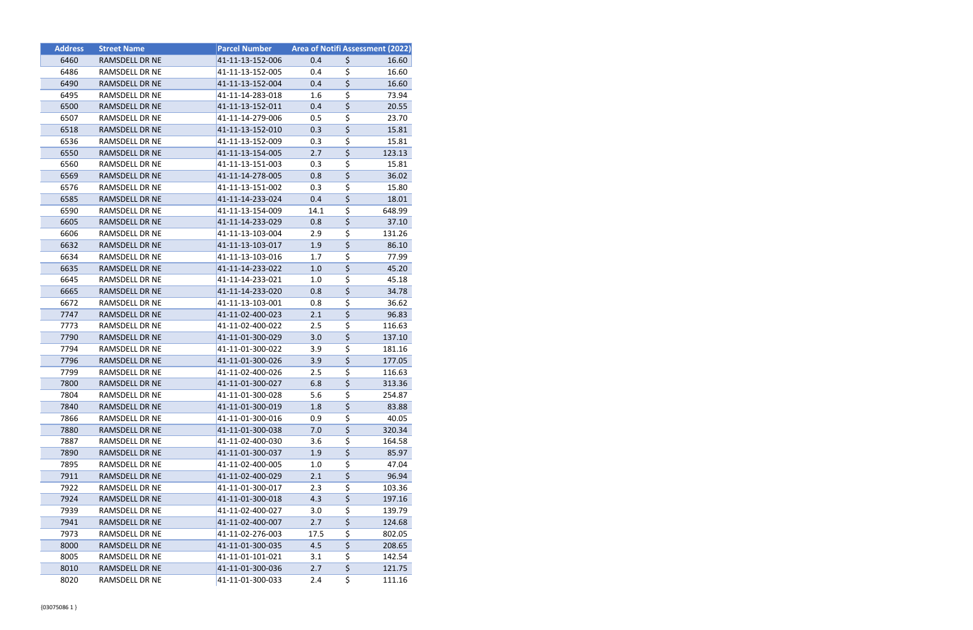| <b>Address</b> | <b>Street Name</b>    | <b>Parcel Number</b> | <b>Area of Notifi Assessment (2022)</b> |                                     |        |
|----------------|-----------------------|----------------------|-----------------------------------------|-------------------------------------|--------|
| 6460           | RAMSDELL DR NE        | 41-11-13-152-006     | 0.4                                     | \$                                  | 16.60  |
| 6486           | RAMSDELL DR NE        | 41-11-13-152-005     | 0.4                                     | \$                                  | 16.60  |
| 6490           | RAMSDELL DR NE        | 41-11-13-152-004     | 0.4                                     | $\overline{\boldsymbol{\zeta}}$     | 16.60  |
| 6495           | RAMSDELL DR NE        | 41-11-14-283-018     | 1.6                                     | \$                                  | 73.94  |
| 6500           | RAMSDELL DR NE        | 41-11-13-152-011     | 0.4                                     | \$                                  | 20.55  |
| 6507           | RAMSDELL DR NE        | 41-11-14-279-006     | 0.5                                     | \$                                  | 23.70  |
| 6518           | RAMSDELL DR NE        | 41-11-13-152-010     | 0.3                                     | \$                                  | 15.81  |
| 6536           | RAMSDELL DR NE        | 41-11-13-152-009     | 0.3                                     | \$                                  | 15.81  |
| 6550           | RAMSDELL DR NE        | 41-11-13-154-005     | 2.7                                     | $\overline{\boldsymbol{\zeta}}$     | 123.13 |
| 6560           | RAMSDELL DR NE        | 41-11-13-151-003     | 0.3                                     | \$                                  | 15.81  |
| 6569           | RAMSDELL DR NE        | 41-11-14-278-005     | 0.8                                     | $\overline{\xi}$                    | 36.02  |
| 6576           | RAMSDELL DR NE        | 41-11-13-151-002     | 0.3                                     | \$                                  | 15.80  |
| 6585           | RAMSDELL DR NE        | 41-11-14-233-024     | 0.4                                     | $\overline{\boldsymbol{\zeta}}$     | 18.01  |
| 6590           | <b>RAMSDELL DR NE</b> | 41-11-13-154-009     | 14.1                                    | \$                                  | 648.99 |
| 6605           | RAMSDELL DR NE        | 41-11-14-233-029     | 0.8                                     | \$                                  | 37.10  |
| 6606           | RAMSDELL DR NE        | 41-11-13-103-004     | 2.9                                     | \$                                  | 131.26 |
| 6632           | RAMSDELL DR NE        | 41-11-13-103-017     | 1.9                                     | \$                                  | 86.10  |
| 6634           | RAMSDELL DR NE        | 41-11-13-103-016     | 1.7                                     | \$                                  | 77.99  |
| 6635           | RAMSDELL DR NE        | 41-11-14-233-022     | 1.0                                     | $\overline{\boldsymbol{\zeta}}$     | 45.20  |
| 6645           | RAMSDELL DR NE        | 41-11-14-233-021     | 1.0                                     | \$                                  | 45.18  |
| 6665           | RAMSDELL DR NE        | 41-11-14-233-020     | 0.8                                     | \$                                  | 34.78  |
| 6672           | RAMSDELL DR NE        | 41-11-13-103-001     | 0.8                                     | \$                                  | 36.62  |
| 7747           | RAMSDELL DR NE        | 41-11-02-400-023     | 2.1                                     | $\overline{\boldsymbol{\varsigma}}$ | 96.83  |
| 7773           | RAMSDELL DR NE        | 41-11-02-400-022     | 2.5                                     | \$                                  | 116.63 |
| 7790           | RAMSDELL DR NE        | 41-11-01-300-029     | 3.0                                     | $\overline{\boldsymbol{\zeta}}$     | 137.10 |
| 7794           | RAMSDELL DR NE        | 41-11-01-300-022     | 3.9                                     | \$                                  | 181.16 |
| 7796           | <b>RAMSDELL DR NE</b> | 41-11-01-300-026     | 3.9                                     | \$                                  | 177.05 |
| 7799           | RAMSDELL DR NE        | 41-11-02-400-026     | 2.5                                     | $\overline{\boldsymbol{\zeta}}$     | 116.63 |
| 7800           | RAMSDELL DR NE        | 41-11-01-300-027     | 6.8                                     | \$                                  | 313.36 |
| 7804           | RAMSDELL DR NE        | 41-11-01-300-028     | 5.6                                     | \$                                  | 254.87 |
| 7840           | RAMSDELL DR NE        | 41-11-01-300-019     | 1.8                                     | \$                                  | 83.88  |
| 7866           | RAMSDELL DR NE        | 41-11-01-300-016     | 0.9                                     | \$                                  | 40.05  |
| 7880           | RAMSDELL DR NE        | 41-11-01-300-038     | 7.0                                     | \$                                  | 320.34 |
| 7887           | RAMSDELL DR NE        | 41-11-02-400-030     | 3.6                                     | \$                                  | 164.58 |
| 7890           | RAMSDELL DR NE        | 41-11-01-300-037     | 1.9                                     | \$                                  | 85.97  |
| 7895           | RAMSDELL DR NE        | 41-11-02-400-005     | 1.0                                     | \$                                  | 47.04  |
| 7911           | RAMSDELL DR NE        | 41-11-02-400-029     | 2.1                                     | \$                                  | 96.94  |
| 7922           | RAMSDELL DR NE        | 41-11-01-300-017     | 2.3                                     | \$                                  | 103.36 |
| 7924           | RAMSDELL DR NE        | 41-11-01-300-018     | 4.3                                     | \$                                  | 197.16 |
| 7939           | RAMSDELL DR NE        | 41-11-02-400-027     | 3.0                                     | \$                                  | 139.79 |
| 7941           | RAMSDELL DR NE        | 41-11-02-400-007     | 2.7                                     | \$                                  | 124.68 |
| 7973           | RAMSDELL DR NE        | 41-11-02-276-003     | 17.5                                    | \$                                  | 802.05 |
| 8000           | RAMSDELL DR NE        | 41-11-01-300-035     | 4.5                                     | \$                                  | 208.65 |
| 8005           | RAMSDELL DR NE        | 41-11-01-101-021     | 3.1                                     | $\overline{\boldsymbol{\zeta}}$     | 142.54 |
| 8010           | RAMSDELL DR NE        | 41-11-01-300-036     | 2.7                                     | $\overline{\boldsymbol{\varsigma}}$ | 121.75 |
| 8020           | RAMSDELL DR NE        | 41-11-01-300-033     | 2.4                                     | \$                                  | 111.16 |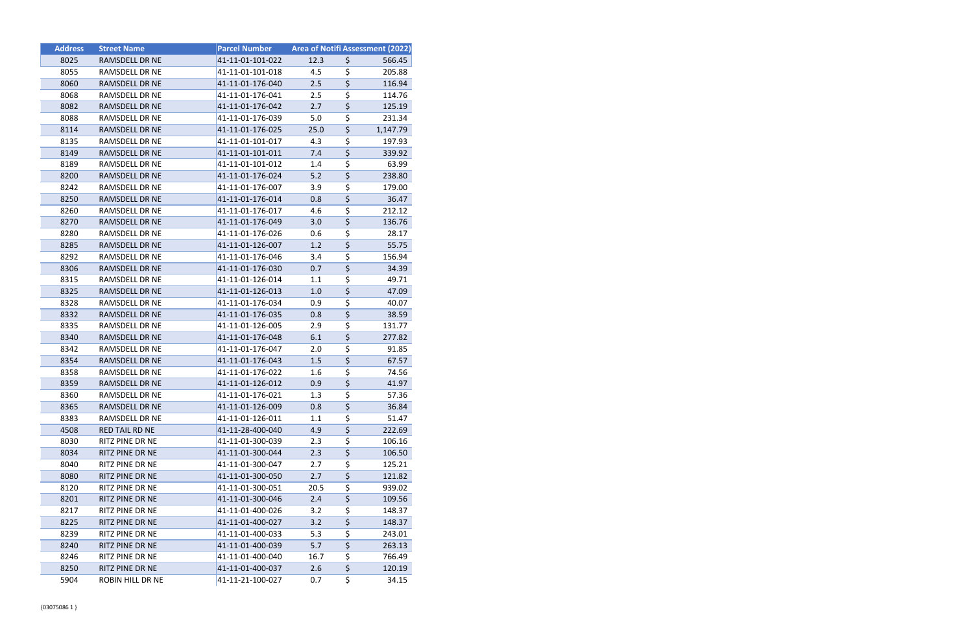| <b>Address</b> | <b>Street Name</b>    | <b>Parcel Number</b> |      |                                       | <b>Area of Notifi Assessment (2022)</b> |
|----------------|-----------------------|----------------------|------|---------------------------------------|-----------------------------------------|
| 8025           | RAMSDELL DR NE        | 41-11-01-101-022     | 12.3 | \$                                    | 566.45                                  |
| 8055           | RAMSDELL DR NE        | 41-11-01-101-018     | 4.5  | \$                                    | 205.88                                  |
| 8060           | RAMSDELL DR NE        | 41-11-01-176-040     | 2.5  | \$                                    | 116.94                                  |
| 8068           | RAMSDELL DR NE        | 41-11-01-176-041     | 2.5  | \$                                    | 114.76                                  |
| 8082           | RAMSDELL DR NE        | 41-11-01-176-042     | 2.7  | \$                                    | 125.19                                  |
| 8088           | RAMSDELL DR NE        | 41-11-01-176-039     | 5.0  | \$                                    | 231.34                                  |
| 8114           | RAMSDELL DR NE        | 41-11-01-176-025     | 25.0 | \$                                    | 1,147.79                                |
| 8135           | RAMSDELL DR NE        | 41-11-01-101-017     | 4.3  | \$                                    | 197.93                                  |
| 8149           | RAMSDELL DR NE        | 41-11-01-101-011     | 7.4  | \$                                    | 339.92                                  |
| 8189           | RAMSDELL DR NE        | 41-11-01-101-012     | 1.4  | \$                                    | 63.99                                   |
| 8200           | RAMSDELL DR NE        | 41-11-01-176-024     | 5.2  | \$                                    | 238.80                                  |
| 8242           | RAMSDELL DR NE        | 41-11-01-176-007     | 3.9  | \$                                    | 179.00                                  |
| 8250           | RAMSDELL DR NE        | 41-11-01-176-014     | 0.8  | \$                                    | 36.47                                   |
| 8260           | RAMSDELL DR NE        | 41-11-01-176-017     | 4.6  | \$                                    | 212.12                                  |
| 8270           | RAMSDELL DR NE        | 41-11-01-176-049     | 3.0  | \$                                    | 136.76                                  |
| 8280           | RAMSDELL DR NE        | 41-11-01-176-026     | 0.6  | \$                                    | 28.17                                   |
| 8285           | RAMSDELL DR NE        | 41-11-01-126-007     | 1.2  | \$                                    | 55.75                                   |
| 8292           | RAMSDELL DR NE        | 41-11-01-176-046     | 3.4  | \$                                    | 156.94                                  |
| 8306           | RAMSDELL DR NE        | 41-11-01-176-030     | 0.7  | \$                                    | 34.39                                   |
| 8315           | RAMSDELL DR NE        | 41-11-01-126-014     | 1.1  | \$                                    | 49.71                                   |
| 8325           | RAMSDELL DR NE        | 41-11-01-126-013     | 1.0  | \$                                    | 47.09                                   |
| 8328           | RAMSDELL DR NE        | 41-11-01-176-034     | 0.9  | \$                                    | 40.07                                   |
| 8332           | RAMSDELL DR NE        | 41-11-01-176-035     | 0.8  | \$                                    | 38.59                                   |
| 8335           | RAMSDELL DR NE        | 41-11-01-126-005     | 2.9  | \$                                    | 131.77                                  |
| 8340           | RAMSDELL DR NE        | 41-11-01-176-048     | 6.1  | \$                                    | 277.82                                  |
| 8342           | RAMSDELL DR NE        | 41-11-01-176-047     | 2.0  | \$                                    | 91.85                                   |
| 8354           | RAMSDELL DR NE        | 41-11-01-176-043     | 1.5  | \$                                    | 67.57                                   |
| 8358           | RAMSDELL DR NE        | 41-11-01-176-022     | 1.6  | \$                                    | 74.56                                   |
| 8359           | RAMSDELL DR NE        | 41-11-01-126-012     | 0.9  | \$                                    | 41.97                                   |
| 8360           | RAMSDELL DR NE        | 41-11-01-176-021     | 1.3  | \$                                    | 57.36                                   |
| 8365           | RAMSDELL DR NE        | 41-11-01-126-009     | 0.8  | \$                                    | 36.84                                   |
| 8383           | RAMSDELL DR NE        | 41-11-01-126-011     | 1.1  | \$                                    | 51.47                                   |
| 4508           | <b>RED TAIL RD NE</b> | 41-11-28-400-040     | 4.9  | $\overline{\boldsymbol{\zeta}}$       | 222.69                                  |
| 8030           | RITZ PINE DR NE       | 41-11-01-300-039     | 2.3  | \$                                    | 106.16                                  |
| 8034           | RITZ PINE DR NE       | 41-11-01-300-044     | 2.3  | \$                                    | 106.50                                  |
| 8040           | RITZ PINE DR NE       | 41-11-01-300-047     | 2.7  | \$                                    | 125.21                                  |
| 8080           | RITZ PINE DR NE       | 41-11-01-300-050     | 2.7  | \$                                    | 121.82                                  |
| 8120           | RITZ PINE DR NE       | 41-11-01-300-051     | 20.5 | \$                                    | 939.02                                  |
| 8201           | RITZ PINE DR NE       | 41-11-01-300-046     | 2.4  | $\overline{\boldsymbol{\zeta}}$       | 109.56                                  |
| 8217           | RITZ PINE DR NE       | 41-11-01-400-026     | 3.2  | \$                                    | 148.37                                  |
| 8225           | RITZ PINE DR NE       | 41-11-01-400-027     | 3.2  | \$                                    | 148.37                                  |
| 8239           | RITZ PINE DR NE       | 41-11-01-400-033     | 5.3  | \$                                    | 243.01                                  |
| 8240           | RITZ PINE DR NE       | 41-11-01-400-039     | 5.7  | \$                                    | 263.13                                  |
| 8246           | RITZ PINE DR NE       | 41-11-01-400-040     | 16.7 | \$<br>$\overline{\boldsymbol{\zeta}}$ | 766.49                                  |
| 8250           | RITZ PINE DR NE       | 41-11-01-400-037     | 2.6  |                                       | 120.19                                  |
| 5904           | ROBIN HILL DR NE      | 41-11-21-100-027     | 0.7  | \$                                    | 34.15                                   |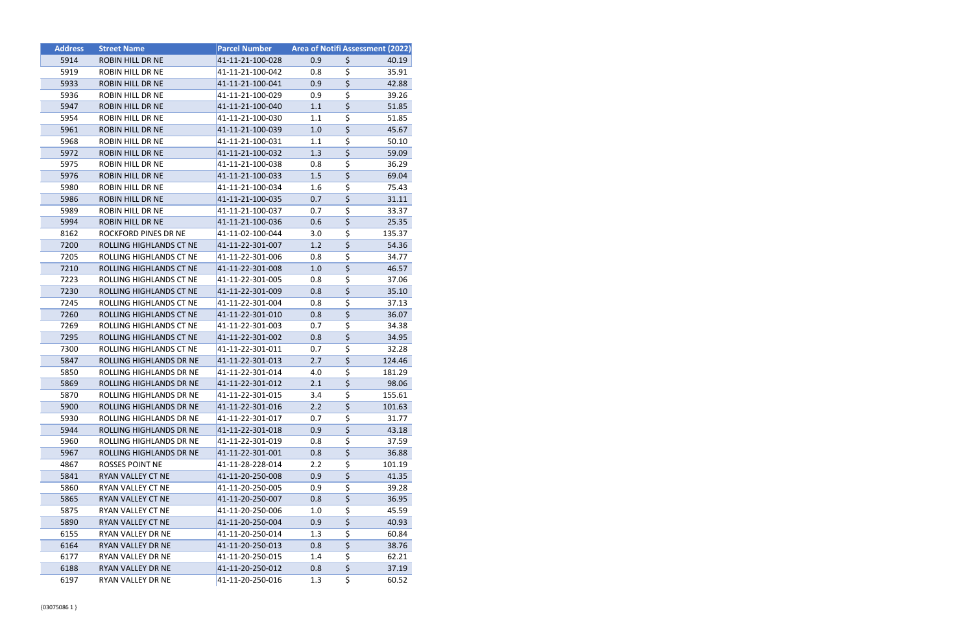| <b>Address</b> | <b>Street Name</b>             | <b>Parcel Number</b> | Area of Notifi Assessment (2022) |                                 |        |
|----------------|--------------------------------|----------------------|----------------------------------|---------------------------------|--------|
| 5914           | <b>ROBIN HILL DR NE</b>        | 41-11-21-100-028     | 0.9                              | \$                              | 40.19  |
| 5919           | ROBIN HILL DR NE               | 41-11-21-100-042     | 0.8                              | \$                              | 35.91  |
| 5933           | <b>ROBIN HILL DR NE</b>        | 41-11-21-100-041     | 0.9                              | $\overline{\xi}$                | 42.88  |
| 5936           | ROBIN HILL DR NE               | 41-11-21-100-029     | 0.9                              | \$                              | 39.26  |
| 5947           | ROBIN HILL DR NE               | 41-11-21-100-040     | 1.1                              | \$                              | 51.85  |
| 5954           | ROBIN HILL DR NE               | 41-11-21-100-030     | 1.1                              | \$                              | 51.85  |
| 5961           | <b>ROBIN HILL DR NE</b>        | 41-11-21-100-039     | 1.0                              | $\overline{\boldsymbol{\zeta}}$ | 45.67  |
| 5968           | ROBIN HILL DR NE               | 41-11-21-100-031     | 1.1                              | \$                              | 50.10  |
| 5972           | <b>ROBIN HILL DR NE</b>        | 41-11-21-100-032     | 1.3                              | \$                              | 59.09  |
| 5975           | ROBIN HILL DR NE               | 41-11-21-100-038     | 0.8                              | $\overline{\boldsymbol{\zeta}}$ | 36.29  |
| 5976           | <b>ROBIN HILL DR NE</b>        | 41-11-21-100-033     | 1.5                              | \$                              | 69.04  |
| 5980           | ROBIN HILL DR NE               | 41-11-21-100-034     | 1.6                              | \$                              | 75.43  |
| 5986           | <b>ROBIN HILL DR NE</b>        | 41-11-21-100-035     | 0.7                              | $\overline{\boldsymbol{\zeta}}$ | 31.11  |
| 5989           | ROBIN HILL DR NE               | 41-11-21-100-037     | 0.7                              | \$                              | 33.37  |
| 5994           | <b>ROBIN HILL DR NE</b>        | 41-11-21-100-036     | 0.6                              | \$                              | 25.35  |
| 8162           | ROCKFORD PINES DR NE           | 41-11-02-100-044     | 3.0                              | \$                              | 135.37 |
| 7200           | ROLLING HIGHLANDS CT NE        | 41-11-22-301-007     | 1.2                              | $\overline{\xi}$                | 54.36  |
| 7205           | ROLLING HIGHLANDS CT NE        | 41-11-22-301-006     | 0.8                              | \$                              | 34.77  |
| 7210           | ROLLING HIGHLANDS CT NE        | 41-11-22-301-008     | 1.0                              | $\overline{\boldsymbol{\zeta}}$ | 46.57  |
| 7223           | ROLLING HIGHLANDS CT NE        | 41-11-22-301-005     | 0.8                              | \$                              | 37.06  |
| 7230           | ROLLING HIGHLANDS CT NE        | 41-11-22-301-009     | 0.8                              | $\overline{\boldsymbol{\zeta}}$ | 35.10  |
| 7245           | ROLLING HIGHLANDS CT NE        | 41-11-22-301-004     | 0.8                              | \$                              | 37.13  |
| 7260           | ROLLING HIGHLANDS CT NE        | 41-11-22-301-010     | 0.8                              | \$                              | 36.07  |
| 7269           | ROLLING HIGHLANDS CT NE        | 41-11-22-301-003     | 0.7                              | \$                              | 34.38  |
| 7295           | ROLLING HIGHLANDS CT NE        | 41-11-22-301-002     | 0.8                              | \$                              | 34.95  |
| 7300           | ROLLING HIGHLANDS CT NE        | 41-11-22-301-011     | 0.7                              | \$                              | 32.28  |
| 5847           | ROLLING HIGHLANDS DR NE        | 41-11-22-301-013     | 2.7                              | $\overline{\boldsymbol{\zeta}}$ | 124.46 |
| 5850           | <b>ROLLING HIGHLANDS DR NE</b> | 41-11-22-301-014     | 4.0                              | \$                              | 181.29 |
| 5869           | ROLLING HIGHLANDS DR NE        | 41-11-22-301-012     | 2.1                              | $\overline{\boldsymbol{\zeta}}$ | 98.06  |
| 5870           | ROLLING HIGHLANDS DR NE        | 41-11-22-301-015     | 3.4                              | \$                              | 155.61 |
| 5900           | ROLLING HIGHLANDS DR NE        | 41-11-22-301-016     | 2.2                              | \$                              | 101.63 |
| 5930           | ROLLING HIGHLANDS DR NE        | 41-11-22-301-017     | 0.7                              | \$                              | 31.77  |
| 5944           | ROLLING HIGHLANDS DR NE        | 41-11-22-301-018     | 0.9                              | $\overline{\boldsymbol{\zeta}}$ | 43.18  |
| 5960           | ROLLING HIGHLANDS DR NE        | 41-11-22-301-019     | 0.8                              | \$                              | 37.59  |
| 5967           | ROLLING HIGHLANDS DR NE        | 41-11-22-301-001     | 0.8                              | \$                              | 36.88  |
| 4867           | <b>ROSSES POINT NE</b>         | 41-11-28-228-014     | 2.2                              | \$                              | 101.19 |
| 5841           | RYAN VALLEY CT NE              | 41-11-20-250-008     | 0.9                              | \$                              | 41.35  |
| 5860           | RYAN VALLEY CT NE              | 41-11-20-250-005     | 0.9                              | \$                              | 39.28  |
| 5865           | <b>RYAN VALLEY CT NE</b>       | 41-11-20-250-007     | 0.8                              | $\overline{\boldsymbol{\zeta}}$ | 36.95  |
| 5875           | RYAN VALLEY CT NE              | 41-11-20-250-006     | 1.0                              | \$                              | 45.59  |
| 5890           | RYAN VALLEY CT NE              | 41-11-20-250-004     | 0.9                              | \$                              | 40.93  |
| 6155           | RYAN VALLEY DR NE              | 41-11-20-250-014     | 1.3                              | \$                              | 60.84  |
| 6164           | RYAN VALLEY DR NE              | 41-11-20-250-013     | 0.8                              | \$                              | 38.76  |
| 6177           | RYAN VALLEY DR NE              | 41-11-20-250-015     | 1.4                              | \$                              | 62.21  |
| 6188           | RYAN VALLEY DR NE              | 41-11-20-250-012     | 0.8                              | $\overline{\boldsymbol{\zeta}}$ | 37.19  |
| 6197           | RYAN VALLEY DR NE              | 41-11-20-250-016     | 1.3                              | \$                              | 60.52  |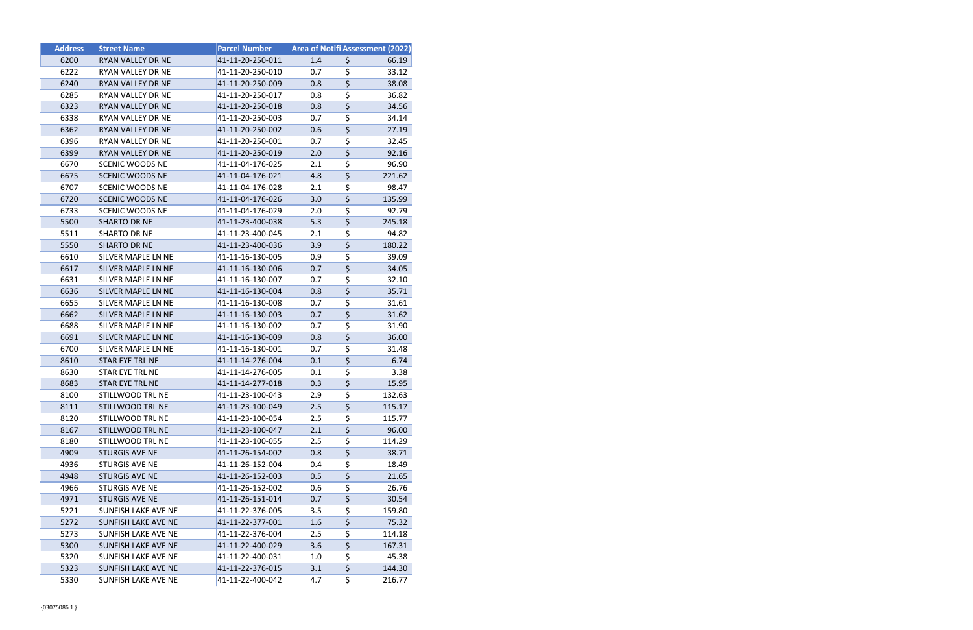| <b>Address</b> | <b>Street Name</b>         | <b>Parcel Number</b> | <b>Area of Notifi Assessment (2022)</b> |                                     |        |
|----------------|----------------------------|----------------------|-----------------------------------------|-------------------------------------|--------|
| 6200           | RYAN VALLEY DR NE          | 41-11-20-250-011     | 1.4                                     | \$                                  | 66.19  |
| 6222           | RYAN VALLEY DR NE          | 41-11-20-250-010     | 0.7                                     | \$                                  | 33.12  |
| 6240           | RYAN VALLEY DR NE          | 41-11-20-250-009     | 0.8                                     | $\overline{\xi}$                    | 38.08  |
| 6285           | RYAN VALLEY DR NE          | 41-11-20-250-017     | 0.8                                     | \$                                  | 36.82  |
| 6323           | RYAN VALLEY DR NE          | 41-11-20-250-018     | 0.8                                     | $\overline{\boldsymbol{\zeta}}$     | 34.56  |
| 6338           | RYAN VALLEY DR NE          | 41-11-20-250-003     | 0.7                                     | \$                                  | 34.14  |
| 6362           | RYAN VALLEY DR NE          | 41-11-20-250-002     | 0.6                                     | $\overline{\boldsymbol{\zeta}}$     | 27.19  |
| 6396           | RYAN VALLEY DR NE          | 41-11-20-250-001     | 0.7                                     | \$                                  | 32.45  |
| 6399           | <b>RYAN VALLEY DR NE</b>   | 41-11-20-250-019     | 2.0                                     | \$                                  | 92.16  |
| 6670           | <b>SCENIC WOODS NE</b>     | 41-11-04-176-025     | 2.1                                     | $\overline{\boldsymbol{\zeta}}$     | 96.90  |
| 6675           | <b>SCENIC WOODS NE</b>     | 41-11-04-176-021     | 4.8                                     | \$                                  | 221.62 |
| 6707           | SCENIC WOODS NE            | 41-11-04-176-028     | 2.1                                     | \$                                  | 98.47  |
| 6720           | <b>SCENIC WOODS NE</b>     | 41-11-04-176-026     | 3.0                                     | $\overline{\xi}$                    | 135.99 |
| 6733           | <b>SCENIC WOODS NE</b>     | 41-11-04-176-029     | 2.0                                     | \$                                  | 92.79  |
| 5500           | <b>SHARTO DR NE</b>        | 41-11-23-400-038     | 5.3                                     | $\overline{\xi}$                    | 245.18 |
| 5511           | SHARTO DR NE               | 41-11-23-400-045     | 2.1                                     | \$                                  | 94.82  |
| 5550           | <b>SHARTO DR NE</b>        | 41-11-23-400-036     | 3.9                                     | \$                                  | 180.22 |
| 6610           | SILVER MAPLE LN NE         | 41-11-16-130-005     | 0.9                                     | \$                                  | 39.09  |
| 6617           | SILVER MAPLE LN NE         | 41-11-16-130-006     | 0.7                                     | $\overline{\boldsymbol{\zeta}}$     | 34.05  |
| 6631           | SILVER MAPLE LN NE         | 41-11-16-130-007     | 0.7                                     | \$                                  | 32.10  |
| 6636           | SILVER MAPLE LN NE         | 41-11-16-130-004     | 0.8                                     | \$                                  | 35.71  |
| 6655           | SILVER MAPLE LN NE         | 41-11-16-130-008     | 0.7                                     | \$                                  | 31.61  |
| 6662           | SILVER MAPLE LN NE         | 41-11-16-130-003     | 0.7                                     | \$                                  | 31.62  |
| 6688           | SILVER MAPLE LN NE         | 41-11-16-130-002     | 0.7                                     | \$                                  | 31.90  |
| 6691           | SILVER MAPLE LN NE         | 41-11-16-130-009     | 0.8                                     | \$                                  | 36.00  |
| 6700           | SILVER MAPLE LN NE         | 41-11-16-130-001     | 0.7                                     | \$                                  | 31.48  |
| 8610           | STAR EYE TRL NE            | 41-11-14-276-004     | 0.1                                     | $\overline{\xi}$                    | 6.74   |
| 8630           | STAR EYE TRL NE            | 41-11-14-276-005     | 0.1                                     | \$                                  | 3.38   |
| 8683           | STAR EYE TRL NE            | 41-11-14-277-018     | 0.3                                     | $\overline{\xi}$                    | 15.95  |
| 8100           | STILLWOOD TRL NE           | 41-11-23-100-043     | 2.9                                     | $\overline{\boldsymbol{\zeta}}$     | 132.63 |
| 8111           | STILLWOOD TRL NE           | 41-11-23-100-049     | 2.5                                     | \$                                  | 115.17 |
| 8120           | STILLWOOD TRL NE           | 41-11-23-100-054     | 2.5                                     | \$                                  | 115.77 |
| 8167           | STILLWOOD TRL NE           | 41-11-23-100-047     | 2.1                                     | $\overline{\boldsymbol{\zeta}}$     | 96.00  |
| 8180           | STILLWOOD TRL NE           | 41-11-23-100-055     | 2.5                                     | $\overline{\boldsymbol{\zeta}}$     | 114.29 |
| 4909           | <b>STURGIS AVE NE</b>      | 41-11-26-154-002     | 0.8                                     | $\overline{\boldsymbol{\zeta}}$     | 38.71  |
| 4936           | STURGIS AVE NE             | 41-11-26-152-004     | 0.4                                     | \$                                  | 18.49  |
| 4948           | <b>STURGIS AVE NE</b>      | 41-11-26-152-003     | 0.5                                     | \$                                  | 21.65  |
| 4966           | STURGIS AVE NE             | 41-11-26-152-002     | 0.6                                     | \$                                  | 26.76  |
| 4971           | <b>STURGIS AVE NE</b>      | 41-11-26-151-014     | 0.7                                     | $\overline{\boldsymbol{\varsigma}}$ | 30.54  |
| 5221           | SUNFISH LAKE AVE NE        | 41-11-22-376-005     | 3.5                                     | $\overline{\boldsymbol{\zeta}}$     | 159.80 |
| 5272           | <b>SUNFISH LAKE AVE NE</b> | 41-11-22-377-001     | 1.6                                     | \$                                  | 75.32  |
| 5273           | SUNFISH LAKE AVE NE        | 41-11-22-376-004     | 2.5                                     | \$                                  | 114.18 |
| 5300           | SUNFISH LAKE AVE NE        | 41-11-22-400-029     | 3.6                                     | $\overline{\boldsymbol{\varsigma}}$ | 167.31 |
| 5320           | SUNFISH LAKE AVE NE        | 41-11-22-400-031     | 1.0                                     | $\overline{\boldsymbol{\zeta}}$     | 45.38  |
| 5323           | SUNFISH LAKE AVE NE        | 41-11-22-376-015     | 3.1                                     | $\overline{\boldsymbol{\zeta}}$     | 144.30 |
| 5330           | SUNFISH LAKE AVE NE        | 41-11-22-400-042     | 4.7                                     | \$                                  | 216.77 |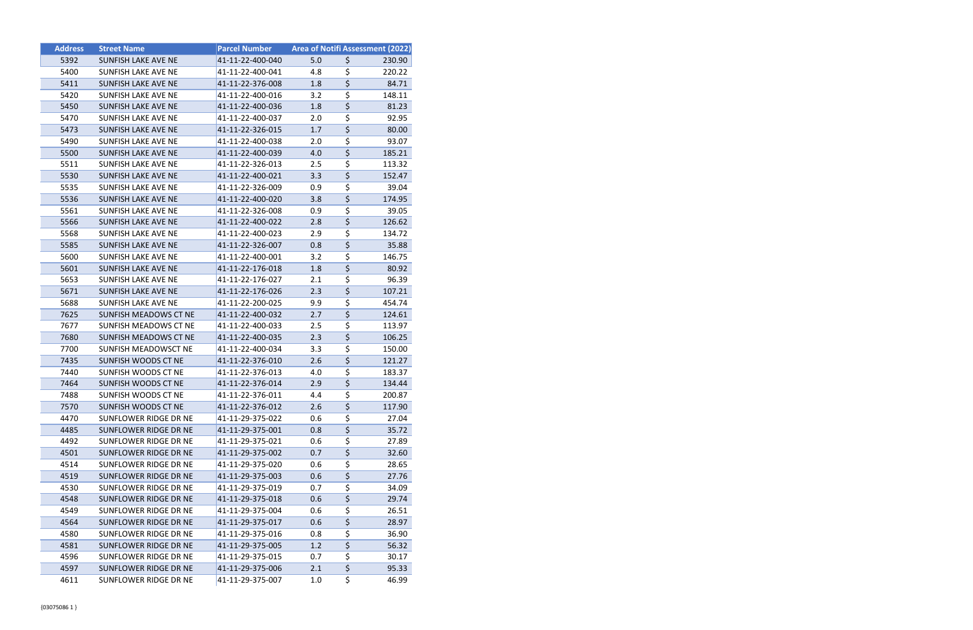| <b>Address</b> | <b>Street Name</b>           | <b>Parcel Number</b> | Area of Notifi Assessment (2022) |                                     |        |
|----------------|------------------------------|----------------------|----------------------------------|-------------------------------------|--------|
| 5392           | <b>SUNFISH LAKE AVE NE</b>   | 41-11-22-400-040     | 5.0                              | \$                                  | 230.90 |
| 5400           | <b>SUNFISH LAKE AVE NE</b>   | 41-11-22-400-041     | 4.8                              | \$                                  | 220.22 |
| 5411           | <b>SUNFISH LAKE AVE NE</b>   | 41-11-22-376-008     | 1.8                              | $\overline{\varsigma}$              | 84.71  |
| 5420           | SUNFISH LAKE AVE NE          | 41-11-22-400-016     | 3.2                              | \$                                  | 148.11 |
| 5450           | SUNFISH LAKE AVE NE          | 41-11-22-400-036     | 1.8                              | $\overline{\boldsymbol{\varsigma}}$ | 81.23  |
| 5470           | SUNFISH LAKE AVE NE          | 41-11-22-400-037     | 2.0                              | \$                                  | 92.95  |
| 5473           | <b>SUNFISH LAKE AVE NE</b>   | 41-11-22-326-015     | 1.7                              | $\overline{\boldsymbol{\zeta}}$     | 80.00  |
| 5490           | <b>SUNFISH LAKE AVE NE</b>   | 41-11-22-400-038     | 2.0                              | \$                                  | 93.07  |
| 5500           | SUNFISH LAKE AVE NE          | 41-11-22-400-039     | 4.0                              | \$                                  | 185.21 |
| 5511           | SUNFISH LAKE AVE NE          | 41-11-22-326-013     | 2.5                              | $\overline{\boldsymbol{\zeta}}$     | 113.32 |
| 5530           | <b>SUNFISH LAKE AVE NE</b>   | 41-11-22-400-021     | 3.3                              | \$                                  | 152.47 |
| 5535           | SUNFISH LAKE AVE NE          | 41-11-22-326-009     | 0.9                              | \$                                  | 39.04  |
| 5536           | <b>SUNFISH LAKE AVE NE</b>   | 41-11-22-400-020     | 3.8                              | $\overline{\boldsymbol{\zeta}}$     | 174.95 |
| 5561           | SUNFISH LAKE AVE NE          | 41-11-22-326-008     | 0.9                              | \$                                  | 39.05  |
| 5566           | <b>SUNFISH LAKE AVE NE</b>   | 41-11-22-400-022     | 2.8                              | $\overline{\boldsymbol{\zeta}}$     | 126.62 |
| 5568           | SUNFISH LAKE AVE NE          | 41-11-22-400-023     | 2.9                              | \$                                  | 134.72 |
| 5585           | <b>SUNFISH LAKE AVE NE</b>   | 41-11-22-326-007     | 0.8                              | $\overline{\xi}$                    | 35.88  |
| 5600           | <b>SUNFISH LAKE AVE NE</b>   | 41-11-22-400-001     | 3.2                              | \$                                  | 146.75 |
| 5601           | <b>SUNFISH LAKE AVE NE</b>   | 41-11-22-176-018     | 1.8                              | $\overline{\boldsymbol{\zeta}}$     | 80.92  |
| 5653           | SUNFISH LAKE AVE NE          | 41-11-22-176-027     | 2.1                              | \$                                  | 96.39  |
| 5671           | <b>SUNFISH LAKE AVE NE</b>   | 41-11-22-176-026     | 2.3                              | $\overline{\boldsymbol{\zeta}}$     | 107.21 |
| 5688           | <b>SUNFISH LAKE AVE NE</b>   | 41-11-22-200-025     | 9.9                              | \$                                  | 454.74 |
| 7625           | SUNFISH MEADOWS CT NE        | 41-11-22-400-032     | 2.7                              | \$                                  | 124.61 |
| 7677           | SUNFISH MEADOWS CT NE        | 41-11-22-400-033     | 2.5                              | \$                                  | 113.97 |
| 7680           | <b>SUNFISH MEADOWS CT NE</b> | 41-11-22-400-035     | 2.3                              | $\overline{\boldsymbol{\zeta}}$     | 106.25 |
| 7700           | SUNFISH MEADOWSCT NE         | 41-11-22-400-034     | 3.3                              | \$                                  | 150.00 |
| 7435           | SUNFISH WOODS CT NE          | 41-11-22-376-010     | 2.6                              | $\overline{\boldsymbol{\zeta}}$     | 121.27 |
| 7440           | SUNFISH WOODS CT NE          | 41-11-22-376-013     | 4.0                              | \$                                  | 183.37 |
| 7464           | SUNFISH WOODS CT NE          | 41-11-22-376-014     | 2.9                              | $\overline{\boldsymbol{\zeta}}$     | 134.44 |
| 7488           | SUNFISH WOODS CT NE          | 41-11-22-376-011     | 4.4                              | $\overline{\boldsymbol{\zeta}}$     | 200.87 |
| 7570           | SUNFISH WOODS CT NE          | 41-11-22-376-012     | 2.6                              | \$                                  | 117.90 |
| 4470           | SUNFLOWER RIDGE DR NE        | 41-11-29-375-022     | 0.6                              | \$                                  | 27.04  |
| 4485           | SUNFLOWER RIDGE DR NE        | 41-11-29-375-001     | 0.8                              | \$                                  | 35.72  |
| 4492           | SUNFLOWER RIDGE DR NE        | 41-11-29-375-021     | 0.6                              | \$                                  | 27.89  |
| 4501           | SUNFLOWER RIDGE DR NE        | 41-11-29-375-002     | 0.7                              | \$                                  | 32.60  |
| 4514           | SUNFLOWER RIDGE DR NE        | 41-11-29-375-020     | 0.6                              | \$                                  | 28.65  |
| 4519           | SUNFLOWER RIDGE DR NE        | 41-11-29-375-003     | 0.6                              | \$                                  | 27.76  |
| 4530           | SUNFLOWER RIDGE DR NE        | 41-11-29-375-019     | 0.7                              | \$                                  | 34.09  |
| 4548           | <b>SUNFLOWER RIDGE DR NE</b> | 41-11-29-375-018     | 0.6                              | $\overline{\boldsymbol{\varsigma}}$ | 29.74  |
| 4549           | SUNFLOWER RIDGE DR NE        | 41-11-29-375-004     | 0.6                              | \$                                  | 26.51  |
| 4564           | SUNFLOWER RIDGE DR NE        | 41-11-29-375-017     | 0.6                              | \$                                  | 28.97  |
| 4580           | SUNFLOWER RIDGE DR NE        | 41-11-29-375-016     | 0.8                              | \$                                  | 36.90  |
| 4581           | SUNFLOWER RIDGE DR NE        | 41-11-29-375-005     | 1.2                              | \$                                  | 56.32  |
| 4596           | SUNFLOWER RIDGE DR NE        | 41-11-29-375-015     | 0.7                              | \$                                  | 30.17  |
| 4597           | SUNFLOWER RIDGE DR NE        | 41-11-29-375-006     | 2.1                              | $\overline{\boldsymbol{\zeta}}$     | 95.33  |
| 4611           | SUNFLOWER RIDGE DR NE        | 41-11-29-375-007     | 1.0                              | \$                                  | 46.99  |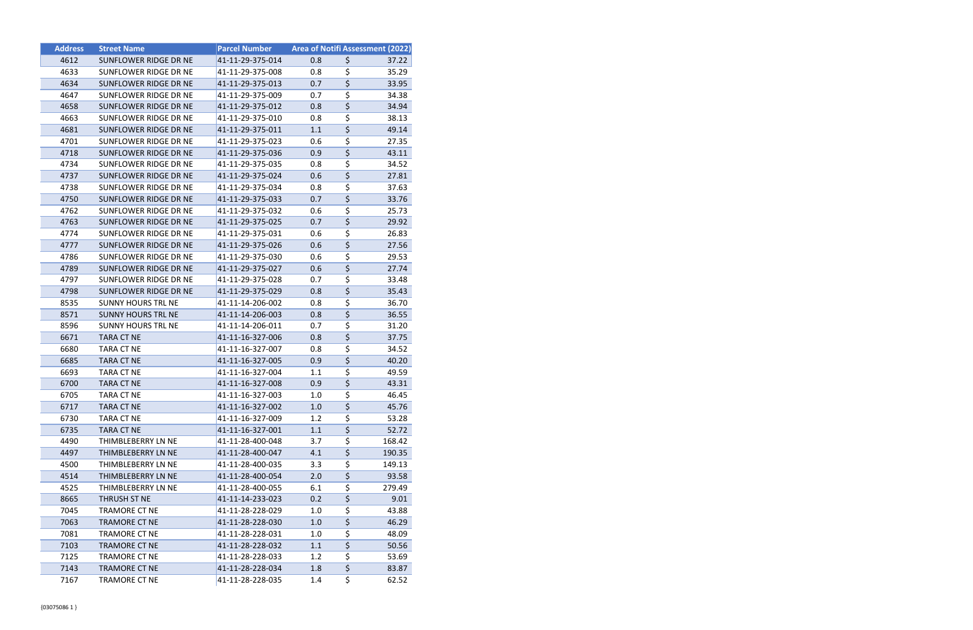| <b>Address</b> | <b>Street Name</b>        | <b>Parcel Number</b> |     |                                 | <b>Area of Notifi Assessment (2022)</b> |
|----------------|---------------------------|----------------------|-----|---------------------------------|-----------------------------------------|
| 4612           | SUNFLOWER RIDGE DR NE     | 41-11-29-375-014     | 0.8 | \$                              | 37.22                                   |
| 4633           | SUNFLOWER RIDGE DR NE     | 41-11-29-375-008     | 0.8 | \$                              | 35.29                                   |
| 4634           | SUNFLOWER RIDGE DR NE     | 41-11-29-375-013     | 0.7 | $\overline{\boldsymbol{\zeta}}$ | 33.95                                   |
| 4647           | SUNFLOWER RIDGE DR NE     | 41-11-29-375-009     | 0.7 | \$                              | 34.38                                   |
| 4658           | SUNFLOWER RIDGE DR NE     | 41-11-29-375-012     | 0.8 | \$                              | 34.94                                   |
| 4663           | SUNFLOWER RIDGE DR NE     | 41-11-29-375-010     | 0.8 | \$                              | 38.13                                   |
| 4681           | SUNFLOWER RIDGE DR NE     | 41-11-29-375-011     | 1.1 | \$                              | 49.14                                   |
| 4701           | SUNFLOWER RIDGE DR NE     | 41-11-29-375-023     | 0.6 | \$                              | 27.35                                   |
| 4718           | SUNFLOWER RIDGE DR NE     | 41-11-29-375-036     | 0.9 | \$                              | 43.11                                   |
| 4734           | SUNFLOWER RIDGE DR NE     | 41-11-29-375-035     | 0.8 | \$                              | 34.52                                   |
| 4737           | SUNFLOWER RIDGE DR NE     | 41-11-29-375-024     | 0.6 | \$                              | 27.81                                   |
| 4738           | SUNFLOWER RIDGE DR NE     | 41-11-29-375-034     | 0.8 | \$                              | 37.63                                   |
| 4750           | SUNFLOWER RIDGE DR NE     | 41-11-29-375-033     | 0.7 | \$                              | 33.76                                   |
| 4762           | SUNFLOWER RIDGE DR NE     | 41-11-29-375-032     | 0.6 | \$                              | 25.73                                   |
| 4763           | SUNFLOWER RIDGE DR NE     | 41-11-29-375-025     | 0.7 | \$                              | 29.92                                   |
| 4774           | SUNFLOWER RIDGE DR NE     | 41-11-29-375-031     | 0.6 | \$                              | 26.83                                   |
| 4777           | SUNFLOWER RIDGE DR NE     | 41-11-29-375-026     | 0.6 | \$                              | 27.56                                   |
| 4786           | SUNFLOWER RIDGE DR NE     | 41-11-29-375-030     | 0.6 | \$                              | 29.53                                   |
| 4789           | SUNFLOWER RIDGE DR NE     | 41-11-29-375-027     | 0.6 | $\overline{\boldsymbol{\zeta}}$ | 27.74                                   |
| 4797           | SUNFLOWER RIDGE DR NE     | 41-11-29-375-028     | 0.7 | \$                              | 33.48                                   |
| 4798           | SUNFLOWER RIDGE DR NE     | 41-11-29-375-029     | 0.8 | \$                              | 35.43                                   |
| 8535           | <b>SUNNY HOURS TRL NE</b> | 41-11-14-206-002     | 0.8 | \$                              | 36.70                                   |
| 8571           | <b>SUNNY HOURS TRL NE</b> | 41-11-14-206-003     | 0.8 | \$                              | 36.55                                   |
| 8596           | <b>SUNNY HOURS TRL NE</b> | 41-11-14-206-011     | 0.7 | \$                              | 31.20                                   |
| 6671           | <b>TARA CT NE</b>         | 41-11-16-327-006     | 0.8 | \$                              | 37.75                                   |
| 6680           | TARA CT NE                | 41-11-16-327-007     | 0.8 | \$                              | 34.52                                   |
| 6685           | <b>TARA CT NE</b>         | 41-11-16-327-005     | 0.9 | \$                              | 40.20                                   |
| 6693           | TARA CT NE                | 41-11-16-327-004     | 1.1 | \$                              | 49.59                                   |
| 6700           | <b>TARA CT NE</b>         | 41-11-16-327-008     | 0.9 | \$                              | 43.31                                   |
| 6705           | TARA CT NE                | 41-11-16-327-003     | 1.0 | \$                              | 46.45                                   |
| 6717           | <b>TARA CT NE</b>         | 41-11-16-327-002     | 1.0 | \$                              | 45.76                                   |
| 6730           | TARA CT NE                | 41-11-16-327-009     | 1.2 | \$                              | 53.28                                   |
| 6735           | <b>TARA CT NE</b>         | 41-11-16-327-001     | 1.1 | \$                              | 52.72                                   |
| 4490           | THIMBLEBERRY LN NE        | 41-11-28-400-048     | 3.7 | \$                              | 168.42                                  |
| 4497           | THIMBLEBERRY LN NE        | 41-11-28-400-047     | 4.1 | \$                              | 190.35                                  |
| 4500           | THIMBLEBERRY LN NE        | 41-11-28-400-035     | 3.3 | \$                              | 149.13                                  |
| 4514           | THIMBLEBERRY LN NE        | 41-11-28-400-054     | 2.0 | \$                              | 93.58                                   |
| 4525           | THIMBLEBERRY LN NE        | 41-11-28-400-055     | 6.1 | \$                              | 279.49                                  |
| 8665           | THRUSH ST NE              | 41-11-14-233-023     | 0.2 | \$                              | 9.01                                    |
| 7045           | <b>TRAMORE CT NE</b>      | 41-11-28-228-029     | 1.0 | \$                              | 43.88                                   |
| 7063           | <b>TRAMORE CT NE</b>      | 41-11-28-228-030     | 1.0 | \$                              | 46.29                                   |
| 7081           | TRAMORE CT NE             | 41-11-28-228-031     | 1.0 | \$                              | 48.09                                   |
| 7103           | <b>TRAMORE CT NE</b>      | 41-11-28-228-032     | 1.1 | \$                              | 50.56                                   |
| 7125           | <b>TRAMORE CT NE</b>      | 41-11-28-228-033     | 1.2 | \$                              | 53.69                                   |
| 7143           | <b>TRAMORE CT NE</b>      | 41-11-28-228-034     | 1.8 | $\overline{\boldsymbol{\zeta}}$ | 83.87                                   |
| 7167           | TRAMORE CT NE             | 41-11-28-228-035     | 1.4 | \$                              | 62.52                                   |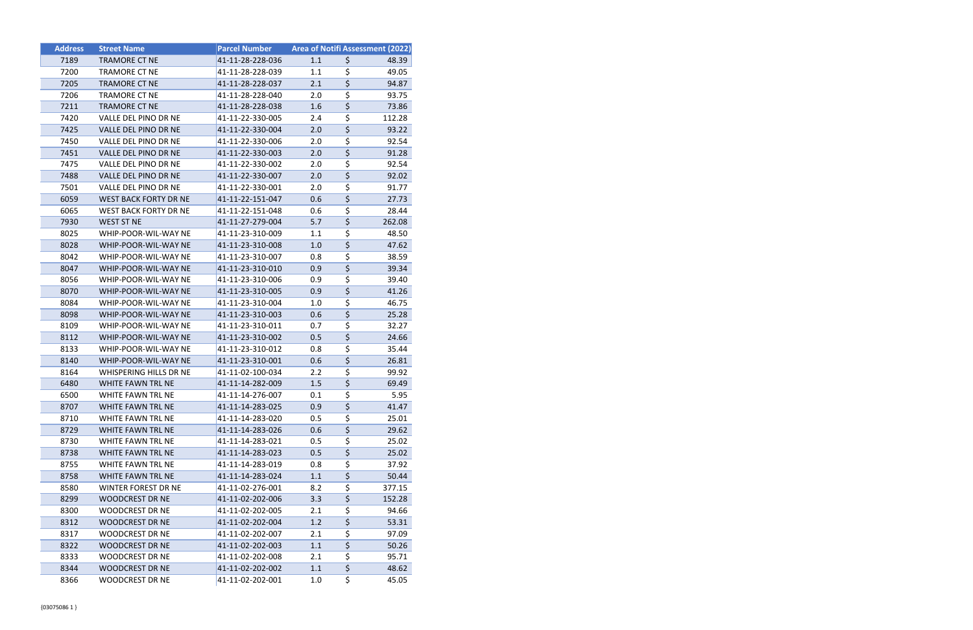| <b>Address</b> | <b>Street Name</b>           | <b>Parcel Number</b> | Area of Notifi Assessment (2022) |                                 |        |
|----------------|------------------------------|----------------------|----------------------------------|---------------------------------|--------|
| 7189           | <b>TRAMORE CT NE</b>         | 41-11-28-228-036     | 1.1                              | \$                              | 48.39  |
| 7200           | <b>TRAMORE CT NE</b>         | 41-11-28-228-039     | 1.1                              | \$                              | 49.05  |
| 7205           | <b>TRAMORE CT NE</b>         | 41-11-28-228-037     | 2.1                              | $\overline{\boldsymbol{\zeta}}$ | 94.87  |
| 7206           | <b>TRAMORE CT NE</b>         | 41-11-28-228-040     | 2.0                              | \$                              | 93.75  |
| 7211           | <b>TRAMORE CT NE</b>         | 41-11-28-228-038     | 1.6                              | $\overline{\boldsymbol{\zeta}}$ | 73.86  |
| 7420           | VALLE DEL PINO DR NE         | 41-11-22-330-005     | 2.4                              | \$                              | 112.28 |
| 7425           | VALLE DEL PINO DR NE         | 41-11-22-330-004     | 2.0                              | $\overline{\boldsymbol{\zeta}}$ | 93.22  |
| 7450           | VALLE DEL PINO DR NE         | 41-11-22-330-006     | 2.0                              | \$                              | 92.54  |
| 7451           | VALLE DEL PINO DR NE         | 41-11-22-330-003     | 2.0                              | \$                              | 91.28  |
| 7475           | VALLE DEL PINO DR NE         | 41-11-22-330-002     | 2.0                              | \$                              | 92.54  |
| 7488           | VALLE DEL PINO DR NE         | 41-11-22-330-007     | 2.0                              | \$                              | 92.02  |
| 7501           | VALLE DEL PINO DR NE         | 41-11-22-330-001     | 2.0                              | \$                              | 91.77  |
| 6059           | <b>WEST BACK FORTY DR NE</b> | 41-11-22-151-047     | 0.6                              | \$                              | 27.73  |
| 6065           | <b>WEST BACK FORTY DR NE</b> | 41-11-22-151-048     | 0.6                              | \$                              | 28.44  |
| 7930           | <b>WEST ST NE</b>            | 41-11-27-279-004     | 5.7                              | \$                              | 262.08 |
| 8025           | WHIP-POOR-WIL-WAY NE         | 41-11-23-310-009     | 1.1                              | \$                              | 48.50  |
| 8028           | WHIP-POOR-WIL-WAY NE         | 41-11-23-310-008     | 1.0                              | $\overline{\boldsymbol{\zeta}}$ | 47.62  |
| 8042           | WHIP-POOR-WIL-WAY NE         | 41-11-23-310-007     | 0.8                              | \$                              | 38.59  |
| 8047           | WHIP-POOR-WIL-WAY NE         | 41-11-23-310-010     | 0.9                              | $\overline{\boldsymbol{\zeta}}$ | 39.34  |
| 8056           | WHIP-POOR-WIL-WAY NE         | 41-11-23-310-006     | 0.9                              | \$                              | 39.40  |
| 8070           | WHIP-POOR-WIL-WAY NE         | 41-11-23-310-005     | 0.9                              | \$                              | 41.26  |
| 8084           | WHIP-POOR-WIL-WAY NE         | 41-11-23-310-004     | 1.0                              | \$                              | 46.75  |
| 8098           | WHIP-POOR-WIL-WAY NE         | 41-11-23-310-003     | 0.6                              | \$                              | 25.28  |
| 8109           | WHIP-POOR-WIL-WAY NE         | 41-11-23-310-011     | 0.7                              | $\overline{\boldsymbol{\zeta}}$ | 32.27  |
| 8112           | WHIP-POOR-WIL-WAY NE         | 41-11-23-310-002     | 0.5                              | \$                              | 24.66  |
| 8133           | WHIP-POOR-WIL-WAY NE         | 41-11-23-310-012     | 0.8                              | \$                              | 35.44  |
| 8140           | WHIP-POOR-WIL-WAY NE         | 41-11-23-310-001     | 0.6                              | $\overline{\boldsymbol{\zeta}}$ | 26.81  |
| 8164           | WHISPERING HILLS DR NE       | 41-11-02-100-034     | 2.2                              | \$                              | 99.92  |
| 6480           | WHITE FAWN TRL NE            | 41-11-14-282-009     | 1.5                              | $\overline{\boldsymbol{\zeta}}$ | 69.49  |
| 6500           | WHITE FAWN TRL NE            | 41-11-14-276-007     | 0.1                              | $\overline{\boldsymbol{\zeta}}$ | 5.95   |
| 8707           | WHITE FAWN TRL NE            | 41-11-14-283-025     | 0.9                              | \$                              | 41.47  |
| 8710           | WHITE FAWN TRL NE            | 41-11-14-283-020     | 0.5                              | \$                              | 25.01  |
| 8729           | WHITE FAWN TRL NE            | 41-11-14-283-026     | 0.6                              | $\overline{\boldsymbol{\zeta}}$ | 29.62  |
| 8730           | WHITE FAWN TRL NE            | 41-11-14-283-021     | 0.5                              | \$                              | 25.02  |
| 8738           | WHITE FAWN TRL NE            | 41-11-14-283-023     | 0.5                              | \$                              | 25.02  |
| 8755           | WHITE FAWN TRL NE            | 41-11-14-283-019     | 0.8                              | \$                              | 37.92  |
| 8758           | WHITE FAWN TRL NE            | 41-11-14-283-024     | 1.1                              | \$                              | 50.44  |
| 8580           | WINTER FOREST DR NE          | 41-11-02-276-001     | 8.2                              | \$                              | 377.15 |
| 8299           | <b>WOODCREST DR NE</b>       | 41-11-02-202-006     | 3.3                              | \$                              | 152.28 |
| 8300           | <b>WOODCREST DR NE</b>       | 41-11-02-202-005     | 2.1                              | \$                              | 94.66  |
| 8312           | <b>WOODCREST DR NE</b>       | 41-11-02-202-004     | 1.2                              | \$                              | 53.31  |
| 8317           | <b>WOODCREST DR NE</b>       | 41-11-02-202-007     | 2.1                              | \$                              | 97.09  |
| 8322           | <b>WOODCREST DR NE</b>       | 41-11-02-202-003     | 1.1                              | \$                              | 50.26  |
| 8333           | <b>WOODCREST DR NE</b>       | 41-11-02-202-008     | 2.1                              | \$                              | 95.71  |
| 8344           | <b>WOODCREST DR NE</b>       | 41-11-02-202-002     | 1.1                              | $\overline{\boldsymbol{\zeta}}$ | 48.62  |
| 8366           | <b>WOODCREST DR NE</b>       | 41-11-02-202-001     | 1.0                              | \$                              | 45.05  |